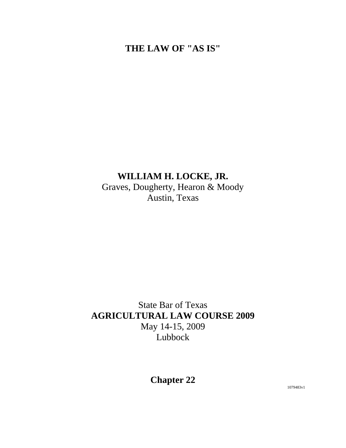# **THE LAW OF "AS IS"**

# **WILLIAM H. LOCKE, JR.**

Graves, Dougherty, Hearon & Moody Austin, Texas

State Bar of Texas **AGRICULTURAL LAW COURSE 2009**  May 14-15, 2009 Lubbock

**Chapter 22** 

1079483v1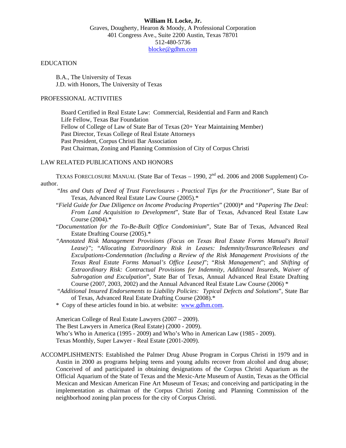#### **William H. Locke, Jr.** Graves, Dougherty, Hearon & Moody, A Professional Corporation 401 Congress Ave., Suite 2200 Austin, Texas 78701 512-480-5736 [blocke@gdhm.com](mailto:blocke@gdhm.com)

#### EDUCATION

B.A., The University of Texas J.D. with Honors, The University of Texas

#### PROFESSIONAL ACTIVITIES

Board Certified in Real Estate Law: Commercial, Residential and Farm and Ranch Life Fellow, Texas Bar Foundation Fellow of College of Law of State Bar of Texas (20+ Year Maintaining Member) Past Director, Texas College of Real Estate Attorneys Past President, Corpus Christi Bar Association Past Chairman, Zoning and Planning Commission of City of Corpus Christi

#### LAW RELATED PUBLICATIONS AND HONORS

TEXAS FORECLOSURE MANUAL (State Bar of Texas – 1990,  $2<sup>nd</sup>$  ed. 2006 and 2008 Supplement) Coauthor.

- "*Ins and Outs of Deed of Trust Foreclosures Practical Tips for the Practitioner*", State Bar of Texas, Advanced Real Estate Law Course (2005).\*
- "*Field Guide for Due Diligence on Income Producing Properties*" (2000)\* and "*Papering The Deal: From Land Acquisition to Development*", State Bar of Texas, Advanced Real Estate Law Course (2004).\*
- "*Documentation for the To-Be-Built Office Condominium*", State Bar of Texas, Advanced Real Estate Drafting Course (2005).\*
- *"Annotated Risk Management Provisions (Focus on Texas Real Estate Forms Manual's Retail Lease)"*; "*Allocating Extraordinary Risk in Leases: Indemnity/Insurance/Releases and Exculpations-Condemnation (Including a Review of the Risk Management Provisions of the Texas Real Estate Forms Manual's Office Lease)*"; "*Risk Management*"; and *Shifting of Extraordinary Risk: Contractual Provisions for Indemnity, Additional Insureds, Waiver of Subrogation and Exculpation*", State Bar of Texas, Annual Advanced Real Estate Drafting Course (2007, 2003, 2002) and the Annual Advanced Real Estate Law Course (2006) \*
- "*Additional Insured Endorsements to Liability Policies: Typical Defects and Solutions*", State Bar of Texas, Advanced Real Estate Drafting Course (2008).\*
- \* Copy of these articles found in bio. at website: [www.gdhm.com.](http://www.gdhm.com/)

American College of Real Estate Lawyers (2007 – 2009). The Best Lawyers in America (Real Estate) (2000 - 2009). Who's Who in America (1995 - 2009) and Who's Who in American Law (1985 - 2009). Texas Monthly, Super Lawyer - Real Estate (2001-2009).

ACCOMPLISHMENTS: Established the Palmer Drug Abuse Program in Corpus Christi in 1979 and in Austin in 2000 as programs helping teens and young adults recover from alcohol and drug abuse; Conceived of and participated in obtaining designations of the Corpus Christi Aquarium as the Official Aquarium of the State of Texas and the Mexic-Arte Museum of Austin, Texas as the Official Mexican and Mexican American Fine Art Museum of Texas; and conceiving and participating in the implementation as chairman of the Corpus Christi Zoning and Planning Commission of the neighborhood zoning plan process for the city of Corpus Christi.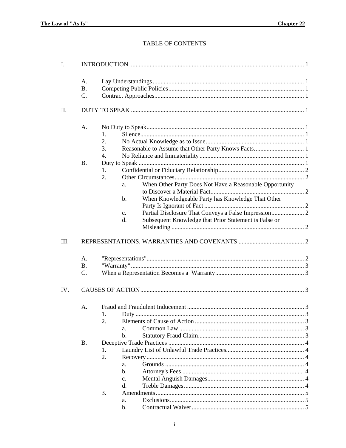# TABLE OF CONTENTS

| I.   |                              |                                                               |               |  |  |  |
|------|------------------------------|---------------------------------------------------------------|---------------|--|--|--|
|      | A.                           |                                                               |               |  |  |  |
|      | <b>B.</b><br>$\mathcal{C}$ . |                                                               |               |  |  |  |
|      |                              |                                                               |               |  |  |  |
| II.  |                              |                                                               |               |  |  |  |
|      | A.                           |                                                               |               |  |  |  |
|      |                              | 1.                                                            |               |  |  |  |
|      |                              | 2.                                                            |               |  |  |  |
|      |                              | 3.                                                            |               |  |  |  |
|      |                              | $\overline{4}$ .                                              |               |  |  |  |
|      | <b>B.</b>                    |                                                               |               |  |  |  |
|      |                              | 1.                                                            |               |  |  |  |
|      |                              | 2.                                                            |               |  |  |  |
|      |                              | When Other Party Does Not Have a Reasonable Opportunity<br>a. |               |  |  |  |
|      |                              |                                                               |               |  |  |  |
|      |                              | When Knowledgeable Party has Knowledge That Other<br>b.       |               |  |  |  |
|      |                              |                                                               |               |  |  |  |
|      |                              | c.                                                            |               |  |  |  |
|      |                              | d.<br>Subsequent Knowledge that Prior Statement is False or   |               |  |  |  |
|      |                              |                                                               |               |  |  |  |
| III. |                              |                                                               |               |  |  |  |
|      | A <sub>1</sub>               |                                                               |               |  |  |  |
|      | <b>B.</b>                    |                                                               |               |  |  |  |
|      | C.                           |                                                               |               |  |  |  |
| IV.  |                              |                                                               |               |  |  |  |
|      | A.                           |                                                               |               |  |  |  |
|      |                              |                                                               | $\mathcal{F}$ |  |  |  |
|      |                              | 2.                                                            |               |  |  |  |
|      |                              | a.                                                            |               |  |  |  |
|      |                              | $\mathbf{b}$ .                                                |               |  |  |  |
|      | <b>B.</b>                    |                                                               |               |  |  |  |
|      |                              | -1.                                                           |               |  |  |  |
|      |                              | 2.                                                            |               |  |  |  |
|      |                              | a.                                                            |               |  |  |  |
|      |                              | $\mathbf{b}$ .                                                |               |  |  |  |
|      |                              | $C_{\bullet}$                                                 |               |  |  |  |
|      |                              | d.                                                            |               |  |  |  |
|      |                              | 3.                                                            |               |  |  |  |
|      |                              | a.                                                            |               |  |  |  |
|      |                              | $b$ .                                                         |               |  |  |  |
|      |                              |                                                               |               |  |  |  |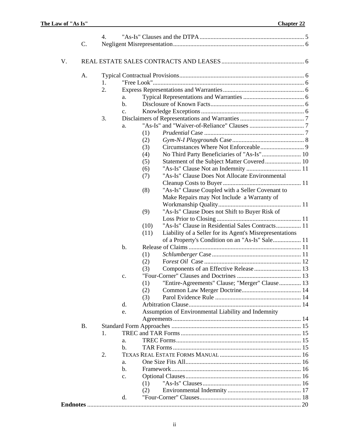|    |           | 4. |    |                                                                  |  |  |  |
|----|-----------|----|----|------------------------------------------------------------------|--|--|--|
|    | C.        |    |    |                                                                  |  |  |  |
| V. |           |    |    |                                                                  |  |  |  |
|    |           |    |    |                                                                  |  |  |  |
|    | А.        |    |    |                                                                  |  |  |  |
|    |           | 1. |    |                                                                  |  |  |  |
|    |           | 2. |    |                                                                  |  |  |  |
|    |           |    | a. |                                                                  |  |  |  |
|    |           |    | b. |                                                                  |  |  |  |
|    |           |    | c. |                                                                  |  |  |  |
|    |           | 3. |    |                                                                  |  |  |  |
|    |           |    | a. |                                                                  |  |  |  |
|    |           |    |    | (1)                                                              |  |  |  |
|    |           |    |    | (2)                                                              |  |  |  |
|    |           |    |    | (3)                                                              |  |  |  |
|    |           |    |    | No Third Party Beneficiaries of "As-Is" 10<br>(4)                |  |  |  |
|    |           |    |    | Statement of the Subject Matter Covered 10<br>(5)                |  |  |  |
|    |           |    |    | (6)                                                              |  |  |  |
|    |           |    |    | "As-Is" Clause Does Not Allocate Environmental<br>(7)            |  |  |  |
|    |           |    |    |                                                                  |  |  |  |
|    |           |    |    | (8)<br>"As-Is" Clause Coupled with a Seller Covenant to          |  |  |  |
|    |           |    |    | Make Repairs may Not Include a Warranty of                       |  |  |  |
|    |           |    |    |                                                                  |  |  |  |
|    |           |    |    | "As-Is" Clause Does not Shift to Buyer Risk of<br>(9)            |  |  |  |
|    |           |    |    |                                                                  |  |  |  |
|    |           |    |    | "As-Is" Clause in Residential Sales Contracts 11<br>(10)         |  |  |  |
|    |           |    |    | Liability of a Seller for its Agent's Misrepresentations<br>(11) |  |  |  |
|    |           |    |    | of a Property's Condition on an "As-Is" Sale 11                  |  |  |  |
|    |           |    | b. |                                                                  |  |  |  |
|    |           |    |    | (1)                                                              |  |  |  |
|    |           |    |    | (2)                                                              |  |  |  |
|    |           |    |    | (3)                                                              |  |  |  |
|    |           |    | c. |                                                                  |  |  |  |
|    |           |    |    | "Entire-Agreements" Clause; "Merger" Clause 13<br>(1)            |  |  |  |
|    |           |    |    | (2)                                                              |  |  |  |
|    |           |    |    | (3)                                                              |  |  |  |
|    |           |    | d. |                                                                  |  |  |  |
|    |           |    | e. | Assumption of Environmental Liability and Indemnity              |  |  |  |
|    |           |    |    |                                                                  |  |  |  |
|    | <b>B.</b> |    |    |                                                                  |  |  |  |
|    |           | 1. |    |                                                                  |  |  |  |
|    |           |    | a. |                                                                  |  |  |  |
|    |           |    | h. |                                                                  |  |  |  |
|    |           | 2. |    |                                                                  |  |  |  |
|    |           |    | a. |                                                                  |  |  |  |
|    |           |    | b. |                                                                  |  |  |  |
|    |           |    | c. |                                                                  |  |  |  |
|    |           |    |    | (1)                                                              |  |  |  |
|    |           |    |    | (2)                                                              |  |  |  |
|    |           |    | d. |                                                                  |  |  |  |
|    |           |    |    |                                                                  |  |  |  |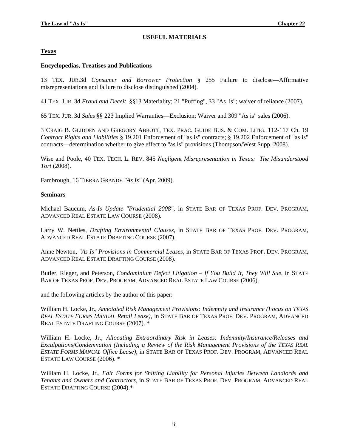# **USEFUL MATERIALS**

# **Texas**

#### **Encyclopedias, Treatises and Publications**

13 TEX. JUR.3d *Consumer and Borrower Protection* § 255 Failure to disclose—Affirmative misrepresentations and failure to disclose distinguished (2004).

41 TEX. JUR. 3d *Fraud and Deceit* §§13 Materiality; 21 "Puffing", 33 "As is"; waiver of reliance (2007).

65 TEX. JUR. 3d *Sales* §§ 223 Implied Warranties—Exclusion; Waiver and 309 "As is" sales (2006).

3 CRAIG B. GLIDDEN AND GREGORY ABBOTT, TEX. PRAC. GUIDE BUS. & COM. LITIG. 112-117 Ch. 19 *Contract Rights and Liabilities* § 19.201 Enforcement of "as is" contracts; § 19.202 Enforcement of "as is" contracts—determination whether to give effect to "as is" provisions (Thompson/West Supp. 2008).

Wise and Poole, 40 TEX. TECH. L. REV. 845 *Negligent Misrepresentation in Texas: The Misunderstood Tort* (2008).

Fambrough, 16 TIERRA GRANDE *"As Is"* (Apr. 2009).

#### **Seminars**

Michael Baucum, *As-Is Update "Prudential 2008"*, in STATE BAR OF TEXAS PROF. DEV. PROGRAM, ADVANCED REAL ESTATE LAW COURSE (2008).

Larry W. Nettles, *Drafting Environmental Clauses*, in STATE BAR OF TEXAS PROF. DEV. PROGRAM, ADVANCED REAL ESTATE DRAFTING COURSE (2007).

Anne Newton, *"As Is" Provisions in Commercial Leases*, in STATE BAR OF TEXAS PROF. DEV. PROGRAM, ADVANCED REAL ESTATE DRAFTING COURSE (2008).

Butler, Rieger, and Peterson, *Condominium Defect Litigation – If You Build It, They Will Sue*, in STATE BAR OF TEXAS PROF. DEV. PROGRAM, ADVANCED REAL ESTATE LAW COURSE (2006).

and the following articles by the author of this paper:

William H. Locke, Jr., *Annotated Risk Management Provisions: Indemnity and Insurance (Focus on TEXAS REAL ESTATE FORMS MANUAL Retail Lease)*, in STATE BAR OF TEXAS PROF. DEV. PROGRAM, ADVANCED REAL ESTATE DRAFTING COURSE (2007). \*

William H. Locke, Jr., *Allocating Extraordinary Risk in Leases: Indemnity/Insurance/Releases and Exculpations/Condemnation (Including a Review of the Risk Management Provisions of the TEXAS REAL ESTATE FORMS MANUAL Office Lease)*, in STATE BAR OF TEXAS PROF. DEV. PROGRAM, ADVANCED REAL ESTATE LAW COURSE (2006). \*

William H. Locke, Jr., *Fair Forms for Shifting Liability for Personal Injuries Between Landlords and Tenants and Owners and Contractors*, in STATE BAR OF TEXAS PROF. DEV. PROGRAM, ADVANCED REAL ESTATE DRAFTING COURSE (2004).\*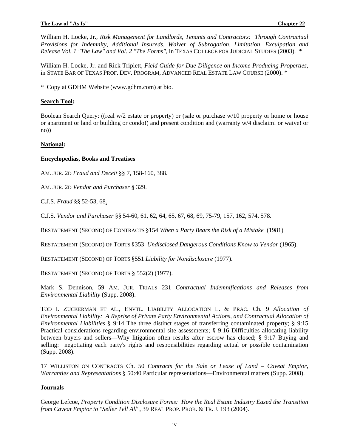William H. Locke, Jr., *Risk Management for Landlords, Tenants and Contractors: Through Contractual Provisions for Indemnity, Additional Insureds, Waiver of Subrogation, Limitation, Exculpation and Release Vol. 1 "The Law" and Vol. 2 "The Forms"*, in TEXAS COLLEGE FOR JUDICIAL STUDIES (2003). \*

William H. Locke, Jr. and Rick Triplett, *Field Guide for Due Diligence on Income Producing Properties*, in STATE BAR OF TEXAS PROF. DEV. PROGRAM, ADVANCED REAL ESTATE LAW COURSE (2000). \*

\* Copy at GDHM Website [\(www.gdhm.com](http://www.gdhm.com/)) at bio.

#### **Search Tool:**

Boolean Search Query: ((real w/2 estate or property) or (sale or purchase w/10 property or home or house or apartment or land or building or condo!) and present condition and (warranty w/4 disclaim! or waive! or no))

#### **National:**

#### **Encyclopedias, Books and Treatises**

AM. JUR. 2D *[Fraud and Deceit](http://www.westlaw.com/Find/Default.wl?rs=dfa1.0&vr=2.0&DB=0113504&FindType=Y&SerialNum=0281967625)* §§ 7, [158](http://www.westlaw.com/Find/Default.wl?rs=dfa1.0&vr=2.0&DB=0113504&FindType=Y&SerialNum=0281967776)[-160,](http://www.westlaw.com/Find/Default.wl?rs=dfa1.0&vr=2.0&DB=0113504&FindType=Y&SerialNum=0281967778) [388.](http://www.westlaw.com/Find/Default.wl?rs=dfa1.0&vr=2.0&DB=0113504&FindType=Y&SerialNum=0281968006)

AM. JUR. 2D *[Vendor and Purchaser](http://www.westlaw.com/Find/Default.wl?rs=dfa1.0&vr=2.0&DB=0113753&FindType=Y&SerialNum=0281521352)* § 329.

[C.J.S.](http://www.westlaw.com/Find/Default.wl?rs=dfa1.0&vr=2.0&DB=0157016&FindType=Y&SerialNum=0289599117) *Fraud* §§ 52[-53](http://www.westlaw.com/Find/Default.wl?rs=dfa1.0&vr=2.0&DB=0157016&FindType=Y&SerialNum=0289599118), [68.](http://www.westlaw.com/Find/Default.wl?rs=dfa1.0&vr=2.0&DB=0157016&FindType=Y&SerialNum=0289599133)

C.J.S. *[Vendor and Purchaser](http://www.westlaw.com/Find/Default.wl?rs=dfa1.0&vr=2.0&DB=0158418&FindType=Y&SerialNum=0289701288)* §§ 54[-60](http://www.westlaw.com/Find/Default.wl?rs=dfa1.0&vr=2.0&DB=0158418&FindType=Y&SerialNum=0289701294), [61,](http://www.westlaw.com/Find/Default.wl?rs=dfa1.0&vr=2.0&DB=0158418&FindType=Y&SerialNum=0289701295) [62](http://www.westlaw.com/Find/Default.wl?rs=dfa1.0&vr=2.0&DB=0158418&FindType=Y&SerialNum=0289701296), [64,](http://www.westlaw.com/Find/Default.wl?rs=dfa1.0&vr=2.0&DB=0158418&FindType=Y&SerialNum=0289701298) [65](http://www.westlaw.com/Find/Default.wl?rs=dfa1.0&vr=2.0&DB=0158418&FindType=Y&SerialNum=0289701299), [67,](http://www.westlaw.com/Find/Default.wl?rs=dfa1.0&vr=2.0&DB=0158418&FindType=Y&SerialNum=0289701301) [68](http://www.westlaw.com/Find/Default.wl?rs=dfa1.0&vr=2.0&DB=0158418&FindType=Y&SerialNum=0289701302), [69,](http://www.westlaw.com/Find/Default.wl?rs=dfa1.0&vr=2.0&DB=0158418&FindType=Y&SerialNum=0289701303) [75](http://www.westlaw.com/Find/Default.wl?rs=dfa1.0&vr=2.0&DB=0158418&FindType=Y&SerialNum=0289701309)-[79,](http://www.westlaw.com/Find/Default.wl?rs=dfa1.0&vr=2.0&DB=0158418&FindType=Y&SerialNum=0289701313) [157,](http://www.westlaw.com/Find/Default.wl?rs=dfa1.0&vr=2.0&DB=0158418&FindType=Y&SerialNum=0289701391) [162,](http://www.westlaw.com/Find/Default.wl?rs=dfa1.0&vr=2.0&DB=0158418&FindType=Y&SerialNum=0289701396) 574, [578.](http://www.westlaw.com/Find/Default.wl?rs=dfa1.0&vr=2.0&DB=0158418&FindType=Y&SerialNum=0289701812)

RESTATEMENT (SECOND) OF CONTRACTS §154 *When a Party Bears the Risk of a Mistake* (1981)

RESTATEMENT (SECOND) OF TORTS §353 *Undisclosed Dangerous Conditions Know to Vendor* (1965).

RESTATEMENT (SECOND) OF TORTS §551 *Liability for Nondisclosure* (1977).

RESTATEMENT (SECOND) OF TORTS § 552(2) (1977).

Mark S. Dennison, 59 AM. JUR. TRIALS 231 *Contractual Indemnifications and Releases from Environmental Liability* (Supp. 2008).

TOD I. ZUCKERMAN ET AL., ENVTL. LIABILITY ALLOCATION L. & PRAC. Ch. 9 *Allocation of Environmental Liability: A Reprise of Private Party Environmental Actions, and Contractual Allocation of Environmental Liabilities* § 9:14 The three distinct stages of transferring contaminated property; § 9:15 Practical considerations regarding environmental site assessments; § 9:16 Difficulties allocating liability between buyers and sellers—Why litigation often results after escrow has closed; § 9:17 Buying and selling: negotiating each party's rights and responsibilities regarding actual or possible contamination (Supp. 2008).

17 WILLISTON ON CONTRACTS Ch. 50 *Contracts for the Sale or Lease of Land – Caveat Emptor, Warranties and Representations* § 50:40 Particular representations—Environmental matters (Supp. 2008).

## **Journals**

George Lefcoe, *Property Condition Disclosure Forms: How the Real Estate Industry Eased the Transition from Caveat Emptor to "Seller Tell All"*, 39 REAL PROP. PROB. & TR. J. 193 (2004).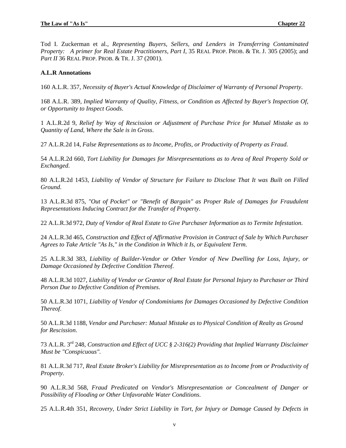Tod I. Zuckerman et al., *Representing Buyers, Sellers, and Lenders in Transferring Contaminated Property: A primer for Real Estate Practitioners, Part I*, 35 REAL PROP. PROB. & TR. J. 305 (2005); and *Part II* 36 REAL PROP. PROB. & TR. J. 37 (2001).

#### **A.L.R Annotations**

160 A.L.R. 357, *Necessity of Buyer's Actual Knowledge of Disclaimer of Warranty of Personal Property*.

168 A.L.R. 389, *Implied Warranty of Quality, Fitness, or Condition as Affected by Buyer's Inspection Of, or Opportunity to Inspect Goods*.

1 A.L.R.2d 9, *[Relief by Way of Rescission or Adjustment of Purchase Price for Mutual Mistake as to](http://www.westlaw.com/Find/Default.wl?rs=dfa1.0&vr=2.0&DB=0000107&FindType=Y&SerialNum=1948007911)  [Quantity of Land, Where the Sale is in Gross](http://www.westlaw.com/Find/Default.wl?rs=dfa1.0&vr=2.0&DB=0000107&FindType=Y&SerialNum=1948007911)*.

27 A.L.R.2d 14, *[False Representations as to Income, Profits, or Productivity of Property as Fraud](http://www.westlaw.com/Find/Default.wl?rs=dfa1.0&vr=2.0&DB=0000107&FindType=Y&SerialNum=1953010539)*.

54 A.L.R.2d 660, *[Tort Liability for Damages for Misrepresentations as to Area of Real Property Sold or](http://www.westlaw.com/Find/Default.wl?rs=dfa1.0&vr=2.0&DB=0000107&FindType=Y&SerialNum=1957011994)  [Exchanged](http://www.westlaw.com/Find/Default.wl?rs=dfa1.0&vr=2.0&DB=0000107&FindType=Y&SerialNum=1957011994)*.

80 A.L.R.2d 1453, *[Liability of Vendor of Structure for Failure to Disclose That It was Built on Filled](http://www.westlaw.com/Find/Default.wl?rs=dfa1.0&vr=2.0&DB=0000107&FindType=Y&SerialNum=1961011118)  [Ground](http://www.westlaw.com/Find/Default.wl?rs=dfa1.0&vr=2.0&DB=0000107&FindType=Y&SerialNum=1961011118)*.

13 A.L.R.3d 875, *["Out of Pocket" or "Benefit of Bargain" as Proper Rule of Damages for Fraudulent](http://www.westlaw.com/Find/Default.wl?rs=dfa1.0&vr=2.0&DB=0000108&FindType=Y&SerialNum=1967011558)  [Representations Inducing Contract for the Transfer of Property](http://www.westlaw.com/Find/Default.wl?rs=dfa1.0&vr=2.0&DB=0000108&FindType=Y&SerialNum=1967011558)*.

22 A.L.R.3d 972, *[Duty of Vendor of Real Estate to Give Purchaser Information as to Termite Infestation](http://www.westlaw.com/Find/Default.wl?rs=dfa1.0&vr=2.0&DB=0000108&FindType=Y&SerialNum=1968011442)*.

24 A.L.R.3d 465, *Construction and Effect of Affirmative Provision in Contract of Sale by Which Purchaser Agrees to Take Article "As Is," in the Condition in Which it Is, or Equivalent Term.*

25 A.L.R.3d 383, *[Liability of Builder-Vendor or Other Vendor of New Dwelling for Loss, Injury, or](http://www.westlaw.com/Find/Default.wl?rs=dfa1.0&vr=2.0&DB=0000108&FindType=Y&SerialNum=1969012960)  [Damage Occasioned by Defective Condition Thereof](http://www.westlaw.com/Find/Default.wl?rs=dfa1.0&vr=2.0&DB=0000108&FindType=Y&SerialNum=1969012960)*.

48 A.L.R.3d 1027, *[Liability of Vendor or Grantor of Real Estate for Personal Injury to Purchaser or Third](http://www.westlaw.com/Find/Default.wl?rs=dfa1.0&vr=2.0&DB=0000108&FindType=Y&SerialNum=1973019664)  [Person Due to Defective Condition of Premises](http://www.westlaw.com/Find/Default.wl?rs=dfa1.0&vr=2.0&DB=0000108&FindType=Y&SerialNum=1973019664)*.

50 A.L.R.3d 1071, *[Liability of Vendor of Condominiums for Damages Occasioned by Defective Condition](http://www.westlaw.com/Find/Default.wl?rs=dfa1.0&vr=2.0&DB=0000108&FindType=Y&SerialNum=1973019537)  [Thereof](http://www.westlaw.com/Find/Default.wl?rs=dfa1.0&vr=2.0&DB=0000108&FindType=Y&SerialNum=1973019537)*.

50 A.L.R.3d 1188, *[Vendor and Purchaser: Mutual Mistake as to Physical Condition of Realty as Ground](http://www.westlaw.com/Find/Default.wl?rs=dfa1.0&vr=2.0&DB=0000108&FindType=Y&SerialNum=1973019543)  [for Rescission](http://www.westlaw.com/Find/Default.wl?rs=dfa1.0&vr=2.0&DB=0000108&FindType=Y&SerialNum=1973019543)*.

73 A.L.R. 3rd 248, *Construction and Effect of UCC § 2-316(2) Providing that Implied Warranty Disclaimer Must be "Conspicuous".*

81 A.L.R.3d 717, *[Real Estate Broker's Liability for Misrepresentation as to Income from or Productivity of](http://www.westlaw.com/Find/Default.wl?rs=dfa1.0&vr=2.0&DB=0000108&FindType=Y&SerialNum=1977017934)  [Property](http://www.westlaw.com/Find/Default.wl?rs=dfa1.0&vr=2.0&DB=0000108&FindType=Y&SerialNum=1977017934)*.

90 A.L.R.3d 568, *[Fraud Predicated on Vendor's Misrepresentation or Concealment of Danger or](http://www.westlaw.com/Find/Default.wl?rs=dfa1.0&vr=2.0&DB=0000108&FindType=Y&SerialNum=1979018472)  [Possibility of Flooding or Other Unfavorable Water Conditions](http://www.westlaw.com/Find/Default.wl?rs=dfa1.0&vr=2.0&DB=0000108&FindType=Y&SerialNum=1979018472)*.

25 A.L.R.4th 351, *[Recovery, Under Strict Liability in Tort, for Injury or Damage Caused by Defects in](http://www.westlaw.com/Find/Default.wl?rs=dfa1.0&vr=2.0&DB=0000849&FindType=Y&SerialNum=1983025951)*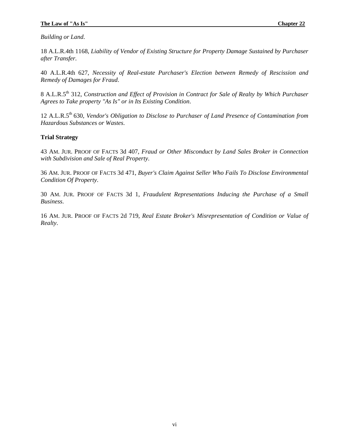#### **The Law of "As Is" Chapter 22**

*[Building or Land](http://www.westlaw.com/Find/Default.wl?rs=dfa1.0&vr=2.0&DB=0000849&FindType=Y&SerialNum=1983025951)*.

18 A.L.R.4th 1168, *[Liability of Vendor of Existing Structure for Property Damage Sustained by Purchaser](http://www.westlaw.com/Find/Default.wl?rs=dfa1.0&vr=2.0&DB=0000849&FindType=Y&SerialNum=1982026110)  [after Transfer.](http://www.westlaw.com/Find/Default.wl?rs=dfa1.0&vr=2.0&DB=0000849&FindType=Y&SerialNum=1982026110)*

40 A.L.R.4th 627, *[Necessity of Real-estate Purchaser's Election between Remedy of Rescission and](http://www.westlaw.com/Find/Default.wl?rs=dfa1.0&vr=2.0&DB=0000849&FindType=Y&SerialNum=1985026159)  [Remedy of Damages for Fraud](http://www.westlaw.com/Find/Default.wl?rs=dfa1.0&vr=2.0&DB=0000849&FindType=Y&SerialNum=1985026159)*.

8 A.L.R.5th 312, *Construction and Effect of Provision in Contract for Sale of Realty by Which Purchaser Agrees to Take property "As Is" or in Its Existing Condition*.

12 A.L.R.5th 630, *Vendor's Obligation to Disclose to Purchaser of Land Presence of Contamination from Hazardous Substances or Wastes*.

#### **Trial Strategy**

43 AM. JUR. PROOF OF FACTS 3d 407, *[Fraud or Other Misconduct by Land Sales Broker in Connection](http://www.westlaw.com/Find/Default.wl?rs=dfa1.0&vr=2.0&DB=0119405&FindType=Y&SerialNum=0110538928)  [with Subdivision and Sale of Real Property](http://www.westlaw.com/Find/Default.wl?rs=dfa1.0&vr=2.0&DB=0119405&FindType=Y&SerialNum=0110538928)*.

36 AM. JUR. PROOF OF FACTS 3d 471, *[Buyer's Claim Against Seller Who Fails To Disclose Environmental](http://www.westlaw.com/Find/Default.wl?rs=dfa1.0&vr=2.0&DB=0119405&FindType=Y&SerialNum=0110538869)  [Condition Of Property](http://www.westlaw.com/Find/Default.wl?rs=dfa1.0&vr=2.0&DB=0119405&FindType=Y&SerialNum=0110538869)*.

30 AM. JUR. PROOF OF FACTS 3d 1, *[Fraudulent Representations Inducing the Purchase of a Small](http://www.westlaw.com/Find/Default.wl?rs=dfa1.0&vr=2.0&DB=0119405&FindType=Y&SerialNum=0110538808)  [Business](http://www.westlaw.com/Find/Default.wl?rs=dfa1.0&vr=2.0&DB=0119405&FindType=Y&SerialNum=0110538808)*.

16 AM. JUR. PROOF OF FACTS 2d 719, *[Real Estate Broker's Misrepresentation of Condition or Value of](http://www.westlaw.com/Find/Default.wl?rs=dfa1.0&vr=2.0&DB=0119404&FindType=Y&SerialNum=0110537998)  [Realty](http://www.westlaw.com/Find/Default.wl?rs=dfa1.0&vr=2.0&DB=0119404&FindType=Y&SerialNum=0110537998)*.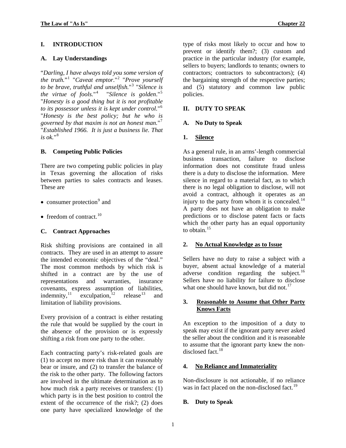# <span id="page-8-0"></span>**A. Lay Understandings**

"*Darling, I have always told you some version of the truth.*"[1](#page-27-1) "*Caveat emptor*."[2](#page-27-2) "*Prove yourself to be brave, truthful and unselfish.*"[3](#page-27-2) "*Silence is the virtue of fools.*"[4](#page-27-2) "*Silence is golden*."[5](#page-27-2) "*Honesty is a good thing but it is not profitable to its possessor unless it is kept under control.*"[6](#page-27-2) "*Honesty is the best policy; but he who is governed by that maxim is not an honest man.*" [7](#page-27-2) "*Established 1966. It is just a business lie. That is ok.*" $8$ 

## **B. Competing Public Policies**

There are two competing public policies in play in Texas governing the allocation of risks between parties to sales contracts and leases. These are

- consumer protection<sup>[9](#page-27-2)</sup> and
- freedom of contract. $10$

## **C. Contract Approaches**

Risk shifting provisions are contained in all contracts. They are used in an attempt to assure the intended economic objectives of the "deal." The most common methods by which risk is shifted in a contract are by the use of representations and warranties, insurance covenants, express assumption of liabilities, indemnity, $11 \quad \text{exculpation}$  $11 \quad \text{exculpation}$ , $12 \quad \text{release}$  $12 \quad \text{release}$ <sup>[13](#page-28-0)</sup> and limitation of liability provisions.

Every provision of a contract is either restating the rule that would be supplied by the court in the absence of the provision or is expressly shifting a risk from one party to the other.

Each contracting party's risk-related goals are (1) to accept no more risk than it can reasonably bear or insure, and (2) to transfer the balance of the risk to the other party. The following factors are involved in the ultimate determination as to how much risk a party receives or transfers: (1) which party is in the best position to control the extent of the occurrence of the risk?; (2) does one party have specialized knowledge of the

type of risks most likely to occur and how to prevent or identify them?; (3) custom and practice in the particular industry (for example, sellers to buyers; landlords to tenants; owners to contractors; contractors to subcontractors); (4) the bargaining strength of the respective parties; and (5) statutory and common law public policies.

# **II. DUTY TO SPEAK**

# **A. No Duty to Speak**

## **1. Silence**

As a general rule, in an arms'-length commercial business transaction, failure to disclose information does not constitute fraud unless there is a duty to disclose the information. Mere silence in regard to a material fact, as to which there is no legal obligation to disclose, will not avoid a contract, although it operates as an injury to the party from whom it is concealed. $14$ A party does not have an obligation to make predictions or to disclose patent facts or facts which the other party has an equal opportunity to obtain. $15$ 

## **2. No Actual Knowledge as to Issue**

Sellers have no duty to raise a subject with a buyer, absent actual knowledge of a material adverse condition regarding the subject.<sup>[16](#page-28-0)</sup> Sellers have no liability for failure to disclose what one should have known, but did not.<sup>17</sup>

#### **3. Reasonable to Assume that Other Party Knows Facts**

An exception to the imposition of a duty to speak may exist if the ignorant party never asked the seller about the condition and it is reasonable to assume that the ignorant party knew the non-disclosed fact.<sup>[18](#page-28-0)</sup>

## **4. No Reliance and Immateriality**

Non-disclosure is not actionable, if no reliance was in fact placed on the non-disclosed fact.<sup>[19](#page-29-0)</sup>

## **B. Duty to Speak**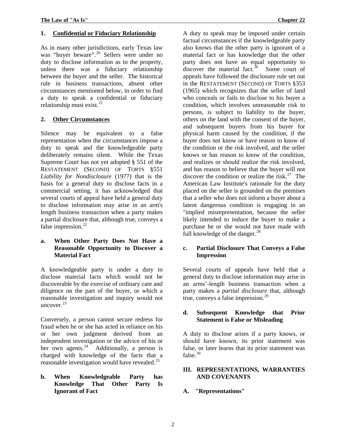#### <span id="page-9-0"></span>**1. Confidential or Fiduciary Relationship**

As in many other jurisdictions, early Texas law was "buyer beware".<sup>[20](#page-29-0)</sup> Sellers were under no duty to disclose information as to the property, unless there was a fiduciary relationship between the buyer and the seller. The historical rule in business transactions, absent other circumstances mentioned below, in order to find a duty to speak a confidential or fiduciary relationship must exist.<sup>[21](#page-29-0)</sup>

#### **2. Other Circumstances**

Silence may be equivalent to a false representation when the circumstances impose a duty to speak and the knowledgeable party deliberately remains silent. While the Texas Supreme Court has not yet adopted § 551 of the RESTATEMENT (SECOND) OF TORTS §551 *Liability for Nondisclosure* (1977) that is the basis for a general duty to disclose facts in a commercial setting, it has acknowledged that several courts of appeal have held a general duty to disclose information may arise in an arm's length business transaction when a party makes a partial disclosure that, although true, conveys a false impression. $^{22}$  $^{22}$  $^{22}$ 

#### **a. When Other Party Does Not Have a Reasonable Opportunity to Discover a Material Fact**

A knowledgeable party is under a duty to disclose material facts which would not be discoverable by the exercise of ordinary care and diligence on the part of the buyer, or which a reasonable investigation and inquiry would not uncover $^{23}$  $^{23}$  $^{23}$ 

Conversely, a person cannot secure redress for fraud when he or she has acted in reliance on his or her own judgment derived from an independent investigation or the advice of his or her own agents.<sup>[24](#page-30-0)</sup> Additionally, a person is charged with knowledge of the facts that a reasonable investigation would have revealed. $^{25}$  $^{25}$  $^{25}$ 

#### **b. When Knowledgeable Party has Knowledge That Other Party Is Ignorant of Fact**

A duty to speak may be imposed under certain factual circumstances if the knowledgeable party also knows that the other party is ignorant of a material fact or has knowledge that the other party does not have an equal opportunity to discover the material fact.<sup>[26](#page-30-0)</sup> Some court of appeals have followed the disclosure rule set out in the RESTATEMENT (SECOND) OF TORTS §353 (1965) which recognizes that the seller of land who conceals or fails to disclose to his buyer a condition, which involves unreasonable risk to persons, is subject to liability to the buyer, others on the land with the consent of the buyer, and subsequent buyers from his buyer for physical harm caused by the condition, if the buyer does not know or have reason to know of the condition or the risk involved, and the seller knows or has reason to know of the condition, and realizes or should realize the risk involved, and has reason to believe that the buyer will not discover the condition or realize the risk. $27$  The American Law Institute's rationale for the duty placed on the seller is grounded on the premises that a seller who does not inform a buyer about a latent dangerous condition is engaging in an "implied misrepresentation, because the seller likely intended to induce the buyer to make a purchase he or she would not have made with full knowledge of the danger. $^{28}$  $^{28}$  $^{28}$ 

#### **c. Partial Disclosure That Conveys a False Impression**

Several courts of appeals have held that a general duty to disclose information may arise in an arms'-length business transaction when a party makes a *partial disclosure* that, although true, conveys a false impression.<sup>[29](#page-31-0)</sup>

#### **d. Subsequent Knowledge that Prior Statement is False or Misleading**

A duty to disclose arises if a party knows, or should have known, its prior statement was false, or later learns that its prior statement was false. $30$ 

#### **III. REPRESENTATIONS, WARRANTIES AND COVENANTS**

#### **A. "Representations"**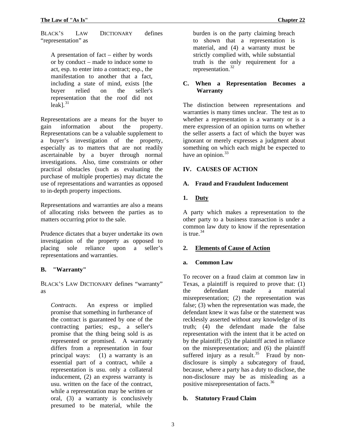<span id="page-10-0"></span>BLACK'S LAW DICTIONARY defines "representation" as

A presentation of fact – either by words or by conduct – made to induce some to act, esp. to enter into a contract; esp., the manifestation to another that a fact, including a state of mind, exists [the buyer relied on the seller's representation that the roof did not  $leak$ ].  $31$ 

Representations are a means for the buyer to gain information about the property. Representations can be a valuable supplement to a buyer's investigation of the property, especially as to matters that are not readily ascertainable by a buyer through normal investigations. Also, time constraints or other practical obstacles (such as evaluating the purchase of multiple properties) may dictate the use of representations and warranties as opposed to in-depth property inspections.

Representations and warranties are also a means of allocating risks between the parties as to matters occurring prior to the sale.

Prudence dictates that a buyer undertake its own investigation of the property as opposed to placing sole reliance upon a seller's representations and warranties.

# **B. "Warranty"**

BLACK'S LAW DICTIONARY defines "warranty" as

*Contracts*. An express or implied promise that something in furtherance of the contract is guaranteed by one of the contracting parties; esp., a seller's promise that the thing being sold is as represented or promised. A warranty differs from a representation in four principal ways: (1) a warranty is an essential part of a contract, while a representation is usu. only a collateral inducement, (2) an express warranty is usu. written on the face of the contract, while a representation may be written or oral, (3) a warranty is conclusively presumed to be material, while the

burden is on the party claiming breach to shown that a representation is material, and (4) a warranty must be strictly complied with, while substantial truth is the only requirement for a representation.<sup>[32](#page-31-0)</sup>

#### **C. When a Representation Becomes a Warranty**

The distinction between representations and warranties is many times unclear. The test as to whether a representation is a warranty or is a mere expression of an opinion turns on whether the seller asserts a fact of which the buyer was ignorant or merely expresses a judgment about something on which each might be expected to have an opinion. $33$ 

# **IV. CAUSES OF ACTION**

## **A. Fraud and Fraudulent Inducement**

## **1. Duty**

A party which makes a representation to the other party to a business transaction is under a common law duty to know if the representation is true.<sup>[34](#page-31-0)</sup>

#### **2. Elements of Cause of Action**

#### **a. Common Law**

To recover on a fraud claim at common law in Texas, a plaintiff is required to prove that: (1) the defendant made a material misrepresentation; (2) the representation was false; (3) when the representation was made, the defendant knew it was false or the statement was recklessly asserted without any knowledge of its truth; (4) the defendant made the false representation with the intent that it be acted on by the plaintiff; (5) the plaintiff acted in reliance on the misrepresentation; and (6) the plaintiff suffered injury as a result.<sup>[35](#page-31-0)</sup> Fraud by nondisclosure is simply a subcategory of fraud, because, where a party has a duty to disclose, the non-disclosure may be as misleading as a positive misrepresentation of facts.[36](#page-32-0)

## **b. Statutory Fraud Claim**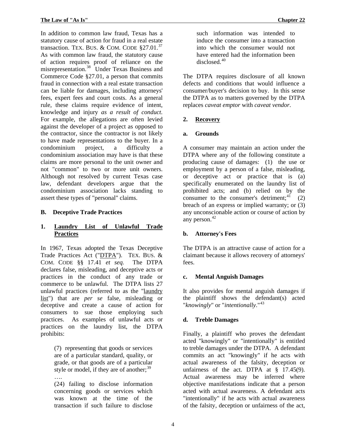<span id="page-11-0"></span>In addition to common law fraud, Texas has a statutory cause of action for fraud in a real estate transaction. TEX. BUS. & COM. CODE  $$27.01$ .<sup>[37](#page-32-0)</sup> As with common law fraud, the statutory cause of action requires proof of reliance on the misrepresentation.<sup>[38](#page-32-0)</sup> Under Texas Business and Commerce Code §27.01, a person that commits fraud in connection with a real estate transaction can be liable for damages, including attorneys' fees, expert fees and court costs. As a general rule, these claims require evidence of intent, knowledge and injury *as a result of conduct.* For example, the allegations are often levied against the developer of a project as opposed to the contractor, since the contractor is not likely to have made representations to the buyer. In a condominium project, a difficulty a condominium association may have is that these claims are more personal to the unit owner and not "common" to two or more unit owners. Although not resolved by current Texas case law, defendant developers argue that the condominium association lacks standing to assert these types of "personal" claims.

# **B. Deceptive Trade Practices**

#### **1. Laundry List of Unlawful Trade Practices**

In 1967, Texas adopted the Texas Deceptive Trade Practices Act ("DTPA"). TEX. BUS. & COM. CODE §§ 17.41 *et seq.* The DTPA declares false, misleading, and deceptive acts or practices in the conduct of any trade or commerce to be unlawful. The DTPA lists 27 unlawful practices (referred to as the "laundry list") that are *per se* false, misleading or deceptive and create a cause of action for consumers to sue those employing such practices. As examples of unlawful acts or practices on the laundry list, the DTPA prohibits:

> (7) representing that goods or services are of a particular standard, quality, or grade, or that goods are of a particular style or model, if they are of another; $39$ ….

(24) failing to disclose information concerning goods or services which was known at the time of the transaction if such failure to disclose

such information was intended to induce the consumer into a transaction into which the consumer would not have entered had the information been disclosed.[40](#page-32-0)

The DTPA requires disclosure of all known defects and conditions that would influence a consumer/buyer's decision to buy. In this sense the DTPA as to matters governed by the DTPA replaces *caveat emptor* with *caveat vendor*.

# **2. Recovery**

# **a. Grounds**

A consumer may maintain an action under the DTPA where any of the following constitute a producing cause of damages: (1) the use or employment by a person of a false, misleading, or deceptive act or practice that is (a) specifically enumerated on the laundry list of prohibited acts; and (b) relied on by the consumer to the consumer's detriment;  $^{41}$  $^{41}$  $^{41}$  (2) breach of an express or implied warranty; or (3) any unconscionable action or course of action by any person. $42$ 

## **b. Attorney's Fees**

The DTPA is an attractive cause of action for a claimant because it allows recovery of attorneys' fees.

## **c. Mental Anguish Damages**

It also provides for mental anguish damages if the plaintiff shows the defendant(s) acted "*knowingly*" or "*intentionally*."[43](#page-33-0)

## **d. Treble Damages**

Finally, a plaintiff who proves the defendant acted "knowingly" or "intentionally" is entitled to treble damages under the DTPA. A defendant commits an act "knowingly" if he acts with actual awareness of the falsity, deception or unfairness of the act. DTPA at  $\S$  17.45(9). Actual awareness may be inferred where objective manifestations indicate that a person acted with actual awareness. A defendant acts "intentionally" if he acts with actual awareness of the falsity, deception or unfairness of the act,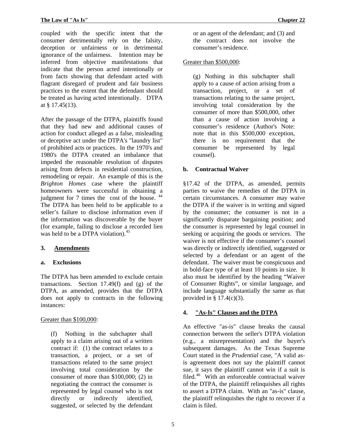<span id="page-12-0"></span>coupled with the specific intent that the consumer detrimentally rely on the falsity, deception or unfairness or in detrimental ignorance of the unfairness. Intention may be inferred from objective manifestations that indicate that the person acted intentionally or from facts showing that defendant acted with flagrant disregard of prudent and fair business practices to the extent that the defendant should be treated as having acted intentionally. DTPA at § 17.45(13).

After the passage of the DTPA, plaintiffs found that they had new and additional causes of action for conduct alleged as a false, misleading or deceptive act under the DTPA's "laundry list" of prohibited acts or practices. In the 1970's and 1980's the DTPA created an imbalance that impeded the reasonable resolution of disputes arising from defects in residential construction, remodeling or repair. An example of this is the *Brighton Homes* case where the plaintiff homeowners were successful in obtaining a judgment for 7 times the cost of the house.  $44$ The DTPA has been held to be applicable to a seller's failure to disclose information even if the information was discoverable by the buyer (for example, failing to disclose a recorded lien was held to be a DTPA violation).<sup>[45](#page-33-0)</sup>

## **3. Amendments**

## **a. Exclusions**

The DTPA has been amended to exclude certain transactions. Section 17.49(f) and (g) of the DTPA, as amended, provides that the DTPA does not apply to contracts in the following instances:

## Greater than \$100,000:

(f) Nothing in the subchapter shall apply to a claim arising out of a written contract if: (1) the contract relates to a transaction, a project, or a set of transactions related to the same project involving total consideration by the consumer of more than \$100,000; (2) in negotiating the contract the consumer is represented by legal counsel who is not directly or indirectly identified, suggested, or selected by the defendant

or an agent of the defendant; and (3) and the contract does not involve the consumer's residence.

# Greater than \$500,000:

(g) Nothing in this subchapter shall apply to a cause of action arising from a transaction, project, or a set of transactions relating to the same project, involving total consideration by the consumer of more than \$500,000, other than a cause of action involving a consumer's residence (Author's Note: note that in this \$500,000 exception, there is no requirement that the consumer be represented by legal counsel).

# **b. Contractual Waiver**

§17.42 of the DTPA, as amended, permits parties to waive the remedies of the DTPA in certain circumstances. A consumer may waive the DTPA if the waiver is in writing and signed by the consumer; the consumer is not in a significantly disparate bargaining position; and the consumer is represented by legal counsel in seeking or acquiring the goods or services. The waiver is not effective if the consumer's counsel was directly or indirectly identified, suggested or selected by a defendant or an agent of the defendant. The waiver must be conspicuous and in bold-face type of at least 10 points in size. It also must be identified by the heading "Waiver of Consumer Rights", or similar language, and include language substantially the same as that provided in §  $17.4(c)(3)$ .

# **4. "As-Is" Clauses and the DTPA**

An effective "as-is" clause breaks the causal connection between the seller's DTPA violation (e.g., a misrepresentation) and the buyer's subsequent damages. As the Texas Supreme Court stated in the *Prudential* case, "A valid asis agreement does not say the plaintiff cannot sue, it says the plaintiff cannot win if a suit is filed.[46](#page-33-0) With an enforceable contractual waiver of the DTPA, the plaintiff relinquishes all rights to assert a DTPA claim. With an "as-is" clause, the plaintiff relinquishes the right to recover if a claim is filed.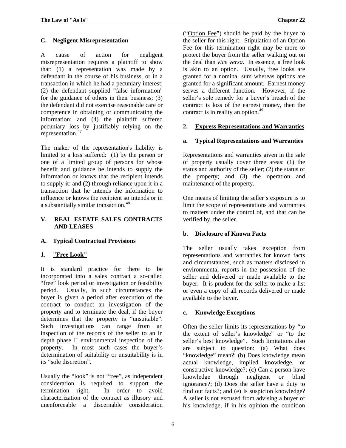# <span id="page-13-0"></span>**C. Negligent Misrepresentation**

A cause of action for negligent misrepresentation requires a plaintiff to show that: (1) a representation was made by a defendant in the course of his business, or in a transaction in which he had a pecuniary interest; (2) the defendant supplied "false information" for the guidance of others in their business; (3) the defendant did not exercise reasonable care or competence in obtaining or communicating the information; and (4) the plaintiff suffered pecuniary loss by justifiably relying on the representation.<sup>[47](#page-33-0)</sup>

The maker of the representation's liability is limited to a loss suffered: (1) by the person or one of a limited group of persons for whose benefit and guidance he intends to supply the information or knows that the recipient intends to supply it: and (2) through reliance upon it in a transaction that he intends the information to influence or knows the recipient so intends or in a substantially similar transaction.<sup>[48](#page-33-0)</sup>

## **V. REAL ESTATE SALES CONTRACTS AND LEASES**

## **A. Typical Contractual Provisions**

## **1. "Free Look"**

It is standard practice for there to be incorporated into a sales contract a so-called "free" look period or investigation or feasibility period. Usually, in such circumstances the buyer is given a period after execution of the contract to conduct an investigation of the property and to terminate the deal, if the buyer determines that the property is "unsuitable". Such investigations can range from an inspection of the records of the seller to an in depth phase II environmental inspection of the property. In most such cases the buyer's determination of suitability or unsuitability is in its "sole discretion".

Usually the "look" is not "free", as independent consideration is required to support the termination right. In order to avoid characterization of the contract as illusory and unenforceable a discernable consideration

("Option Fee") should be paid by the buyer to the seller for this right. Stipulation of an Option Fee for this termination right may be more to protect the buyer from the seller walking out on the deal than *vice versa*. In essence, a free look is akin to an option. Usually, free looks are granted for a nominal sum whereas options are granted for a significant amount. Earnest money serves a different function. However, if the seller's sole remedy for a buyer's breach of the contract is loss of the earnest money, then the contract is in reality an option.<sup>[49](#page-33-0)</sup>

#### **2. Express Representations and Warranties**

#### **a. Typical Representations and Warranties**

Representations and warranties given in the sale of property usually cover three areas: (1) the status and authority of the seller; (2) the status of the property; and (3) the operation and maintenance of the property.

One means of limiting the seller's exposure is to limit the scope of representations and warranties to matters under the control of, and that can be verified by, the seller.

#### **b. Disclosure of Known Facts**

The seller usually takes exception from representations and warranties for known facts and circumstances, such as matters disclosed in environmental reports in the possession of the seller and delivered or made available to the buyer. It is prudent for the seller to make a list or even a copy of all records delivered or made available to the buyer.

#### **c. Knowledge Exceptions**

Often the seller limits its representations by "to the extent of seller's knowledge" or "to the seller's best knowledge". Such limitations also are subject to question: (a) What does "knowledge" mean?; (b) Does knowledge mean actual knowledge, implied knowledge, or constructive knowledge?; (c) Can a person have knowledge through negligent or blind ignorance?; (d) Does the seller have a duty to find out facts?; and (e) Is suspicion knowledge? A seller is not excused from advising a buyer of his knowledge, if in his opinion the condition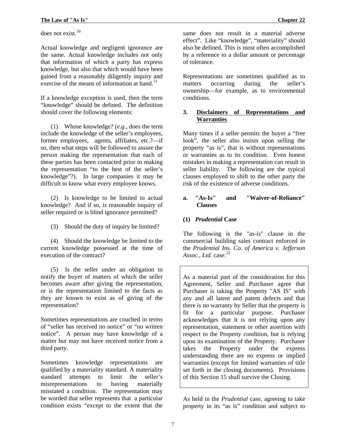<span id="page-14-0"></span>does not exist.<sup>[50](#page-34-0)</sup>

Actual knowledge and negligent ignorance are the same. Actual knowledge includes not only that information of which a party has express knowledge, but also that which would have been gained from a reasonably diligently inquiry and exercise of the means of information at hand. $51$ 

If a knowledge exception is used, then the term "knowledge" should be defined. The definition should cover the following elements:

(1) Whose knowledge? (*e.g.,* does the term include the knowledge of the seller's employees, former employees, agents, affiliates, etc.?—if so, then what steps will be followed to assure the person making the representation that each of these parties has been contacted prior to making the representation "to the best of the seller's knowledge"?). In large companies it may be difficult to know what every employee knows.

(2) Is knowledge to be limited to actual knowledge? And if so, is reasonable inquiry of seller required or is blind ignorance permitted?

(3) Should the duty of inquiry be limited?

(4) Should the knowledge be limited to the current knowledge possessed at the time of execution of the contract?

(5) Is the seller under an obligation to notify the buyer of matters of which the seller becomes aware after giving the representation, or is the representation limited to the facts as they are known to exist as of giving of the representation?

Sometimes representations are couched in terms of "seller has received no notice" or "no written notice". A person may have knowledge of a matter but may not have received notice from a third party.

Sometimes knowledge representations are qualified by a materiality standard. A materiality standard attempts to limit the seller's misrepresentations to having materially misstated a condition. The representation may be worded that seller represents that a particular condition exists "except to the extent that the

same does not result in a material adverse effect". Like "knowledge", "materiality" should also be defined. This is most often accomplished by a reference to a dollar amount or percentage of tolerance.

Representations are sometimes qualified as to matters occurring during the seller's ownership—for example, as to environmental conditions.

## **3. Disclaimers of Representations and Warranties**

Many times if a seller permits the buyer a "free look", the seller also insists upon selling the property "as is", that is without representations or warranties as to its condition. Even honest mistakes in making a representation can result in seller liability. The following are the typical clauses employed to shift to the other party the risk of the existence of adverse conditions.

#### **a. "As-Is" and "Waiver-of-Reliance" Clauses**

# **(1)** *Prudential* **Case**

The following is the "as-is" clause in the commercial building sales contract enforced in the *Prudential Ins. Co. of America v. Jefferson Assoc., Ltd.* case:<sup>[52](#page-34-0)</sup>

As a material part of the consideration for this Agreement, Seller and Purchaser agree that Purchaser is taking the Property "AS IS" with any and all latent and patent defects and that there is no warranty by Seller that the property is fit for a particular purpose. Purchaser acknowledges that it is not relying upon any representation, statement or other assertion with respect to the Property condition, but is relying upon its examination of the Property. Purchaser takes the Property under the express understanding there are no express or implied warranties (except for limited warranties of title set forth in the closing documents). Provisions of this Section 15 shall survive the Closing.

As held in the *Prudential* case, agreeing to take property in its "as is" condition and subject to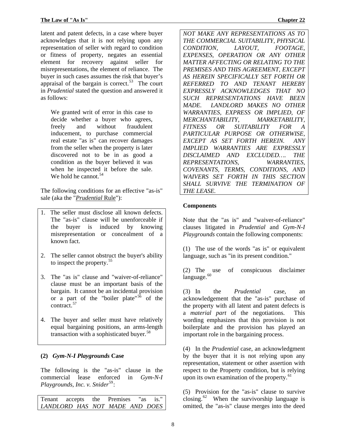<span id="page-15-0"></span>as follows: latent and patent defects, in a case where buyer acknowledges that it is not relying upon any representation of seller with regard to condition or fitness of property, negates an essential element for recovery against seller for misrepresentations, the element of reliance. The buyer in such cases assumes the risk that buyer's appraisal of the bargain is correct. $53$  The court in *Prudential* stated the question and answered it

We granted writ of error in this case to decide whether a buyer who agrees, freely and without fraudulent inducement, to purchase commercial real estate "as is" can recover damages from the seller when the property is later discovered not to be in as good a condition as the buyer believed it was when he inspected it before the sale. We hold he cannot.  $54$ 

The following conditions for an effective "as-is" sale (aka the "*Prudential* Rule"):

- 1. The seller must disclose all known defects. The "as-is" clause will be unenforceable if the buyer is induced by knowing misrepresentation or concealment of a known fact.
- 2. The seller cannot obstruct the buyer's ability to inspect the property.<sup>[55](#page-35-0)</sup>
- 3. The "as is" clause and "waiver-of-reliance" clause must be an important basis of the bargain. It cannot be an incidental provision or a part of the "boiler plate"<sup>[56](#page-35-0)</sup> of the contract.<sup>[57](#page-35-0)</sup>
- 4. The buyer and seller must have relatively equal bargaining positions, an arms-length transaction with a sophisticated buyer.<sup>[58](#page-36-0)</sup>

#### **(2)** *Gym-N-I Playgrounds* **Case**

The following is the "as-is" clause in the commercial lease enforced in *Gym-N-I Playgrounds, Inc. v. Snider*<sup>[59](#page-36-0)</sup>:

Tenant accepts the Premises "as is." *LANDLORD HAS NOT MADE AND DOES* 

*NOT MAKE ANY REPRESENTATIONS AS TO THE COMMERCIAL SUITABILITY, PHYSICAL CONDITION, LAYOUT, FOOTAGE, EXPENSES, OPERATION OR ANY OTHER MATTER AFFECTING OR RELATING TO THE PREMISES AND THIS AGREEMENT, EXCEPT AS HEREIN SPECIFICALLY SET FORTH OR REFERRED TO AND TENANT HEREBY EXPRESSLY ACKNOWLEDGES THAT NO SUCH REPRESENTATIONS HAVE BEEN MADE. LANDLORD MAKES NO OTHER WARRANTIES, EXPRESS OR IMPLIED, OF MERCHANTABILITY, MARKETABILITY, FITNESS OR SUITABILITY FOR A PARTICULAR PURPOSE OR OTHERWISE, EXCEPT AS SET FORTH HEREIN. ANY IMPLIED WARRANTIES ARE EXPRESSLY DISCLAIMED AND EXCLUDED…. THE REPRESENTATIONS, WARRANTIES, COVENANTS, TERMS, CONDITIONS, AND WAIVERS SET FORTH IN THIS SECTION SHALL SURVIVE THE TERMINATION OF THE LEASE.*

#### **Components**

Note that the "as is" and "waiver-of-reliance" clauses litigated in *Prudential* and *Gym-N-I Playgrounds* contain the following components:

(1) The use of the words "as is" or equivalent language, such as "in its present condition."

(2) The use of conspicuous disclaimer language.<sup>[60](#page-36-0)</sup>

(3) In the *Prudential* case, an acknowledgement that the "as-is" purchase of the property with all latent and patent defects is a *material part* of the negotiations. This wording emphasizes that this provision is not boilerplate and the provision has played an important role in the bargaining process.

(4) In the *Prudential* case, an acknowledgment by the buyer that it is not relying upon any representation, statement or other assertion with respect to the Property condition, but is relying upon its own examination of the property.<sup>[61](#page-36-0)</sup>

(5) Provision for the "as-is" clause to survive closing.<sup>[62](#page-37-0)</sup> When the survivorship language is omitted, the "as-is" clause merges into the deed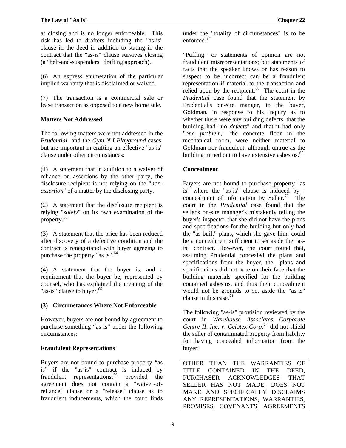<span id="page-16-0"></span>at closing and is no longer enforceable. This risk has led to drafters including the "as-is" clause in the deed in addition to stating in the contract that the "as-is" clause survives closing (a "belt-and-suspenders" drafting approach).

(6) An express enumeration of the particular implied warranty that is disclaimed or waived.

(7) The transaction is a commercial sale or lease transaction as opposed to a new home sale.

## **Matters Not Addressed**

The following matters were not addressed in the *Prudential* and the *Gym-N-I Playground* cases, but are important in crafting an effective "as-is" clause under other circumstances:

(1) A statement that in addition to a waiver of reliance on assertions by the other party, the disclosure recipient is not relying on the "*nonassertion*" of a matter by the disclosing party.

(2) A statement that the disclosure recipient is relying "*solely*" on its own examination of the property.[63](#page-37-0)

(3) A statement that the price has been reduced after discovery of a defective condition and the contract is renegotiated with buyer agreeing to purchase the property "as is".  $64$ 

(4) A statement that the buyer is, and a requirement that the buyer be, represented by counsel, who has explained the meaning of the "as-is" clause to buyer.<sup>[65](#page-38-0)</sup>

# **(3) Circumstances Where Not Enforceable**

However, buyers are not bound by agreement to purchase something "as is" under the following circumstances:

# **Fraudulent Representations**

Buyers are not bound to purchase property "as is" if the "as-is" contract is induced by fraudulent representations; $^{66}$  $^{66}$  $^{66}$  provided the agreement does not contain a "waiver-ofreliance" clause or a "release" clause as to fraudulent inducements, which the court finds

under the "totality of circumstances" is to be enforced.<sup>[67](#page-38-0)</sup>

"Puffing" or statements of opinion are not fraudulent misrepresentations; but statements of facts that the speaker knows or has reason to suspect to be incorrect can be a fraudulent representation if material to the transaction and relied upon by the recipient. $68$  The court in the *Prudential* case found that the statement by Prudential's on-site manger, to the buyer, Goldman, in response to his inquiry as to whether there were any building defects, that the building had "*no defects*" and that it had only "*one problem*," the concrete floor in the mechanical room, were neither material to Goldman nor fraudulent, although untrue as the building turned out to have extensive asbestos.<sup>[69](#page-38-0)</sup>

# **Concealment**

Buyers are not bound to purchase property "as is" where the "as-is" clause is induced by - concealment of information by Seller.<sup>[70](#page-39-0)</sup> The court in the *Prudential* case found that the seller's on-site manager's mistakenly telling the buyer's inspector that she did not have the plans and specifications for the building but only had the "as-built" plans, which she gave him, could be a concealment sufficient to set aside the "asis" contract. However, the court found that, assuming Prudential concealed the plans and specifications from the buyer, the plans and specifications did not note on their face that the building materials specified for the building contained asbestos, and thus their concealment would not be grounds to set aside the "as-is" clause in this case  $71$ 

The following "as-is" provision reviewed by the court in *Warehouse Associates Corporate Centre II, Inc. v. Celotex Corp.*[72](#page-39-0) did not shield the seller of contaminated property from liability for having concealed information from the buyer:

OTHER THAN THE WARRANTIES OF TITLE CONTAINED IN THE DEED, PURCHASER ACKNOWLEDGES THAT SELLER HAS NOT MADE, DOES NOT MAKE AND SPECIFICALLY DISCLAIMS ANY REPRESENTATIONS, WARRANTIES, PROMISES, COVENANTS, AGREEMENTS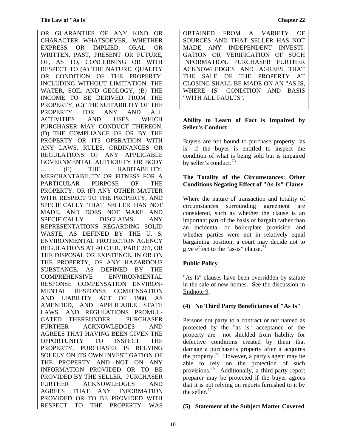<span id="page-17-0"></span>OR GUARANTIES OF ANY KIND OR CHARACTER WHATSOEVER, WHETHER EXPRESS OR IMPLIED, ORAL OR WRITTEN, PAST, PRESENT OR FUTURE, OF, AS TO, CONCERNING OR WITH RESPECT TO (A) THE NATURE, QUALITY OR CONDITION OF THE PROPERTY, INCLUDING WITHOUT LIMITATION, THE WATER, SOIL AND GEOLOGY, (B) THE INCOME TO BE DERIVED FROM THE PROPERTY, (C) THE SUITABILITY OF THE PROPERTY FOR ANY AND ALL ACTIVITIES AND USES WHICH PURCHASER MAY CONDUCT THEREON, (D) THE COMPLIANCE OF OR BY THE PROPERTY OR ITS OPERATION WITH ANY LAWS, RULES, ORDINANCES OR REGULATIONS OF ANY APPLICABLE GOVERNMENTAL AUTHORITY OR BODY … (E) THE HABITABILITY, MERCHANTABILITY OR FITNESS FOR A PARTICULAR PURPOSE OF THE PROPERTY, OR (F) ANY OTHER MATTER WITH RESPECT TO THE PROPERTY, AND SPECIFICALLY THAT SELLER HAS NOT MADE, AND DOES NOT MAKE AND SPECIFICALLY DISCLAIMS ANY REPRESENTATIONS REGARDING SOLID WASTE, AS DEFINED BY THE U. S. ENVIRONMENTAL PROTECTION AGENCY REGULATIONS AT 40 C.F.R., PART 261, OR THE DISPOSAL OR EXISTENCE, IN OR ON THE PROPERTY, OF ANY HAZARDOUS SUBSTANCE, AS DEFINED BY THE COMPREHENSIVE ENVIRONMENTAL RESPONSE COMPENSATION ENVIRON-MENTAL RESPONSE COMPENSATION AND LIABILITY ACT OF 1980, AS AMENDED, AND APPLICABLE STATE LAWS, AND REGULATIONS PROMUL-GATED THEREUNDER. PURCHASER FURTHER ACKNOWLEDGES AND AGREES THAT HAVING BEEN GIVEN THE OPPORTUNITY TO INSPECT THE PROPERTY, PURCHASER IS RELYING SOLELY ON ITS OWN INVESTIGATION OF THE PROPERTY AND NOT ON ANY INFORMATION PROVIDED OR TO BE PROVIDED BY THE SELLER. PURCHASER FURTHER ACKNOWLEDGES AND AGREES THAT ANY INFORMATION PROVIDED OR TO BE PROVIDED WITH RESPECT TO THE PROPERTY WAS

OBTAINED FROM A VARIETY OF SOURCES AND THAT SELLER HAS NOT MADE ANY INDEPENDENT INVESTI-GATION OR VERIFICATION OF SUCH INFORMATION. PURCHASER FURTHER ACKNOWLEDGES AND AGREES THAT THE SALE OF THE PROPERTY AT CLOSING SHALL BE MADE ON AN "AS IS, WHERE IS" CONDITION AND BASIS "WITH ALL FAULTS".

#### **Ability to Learn of Fact is Impaired by Seller's Conduct**

Buyers are not bound to purchase property "as is" if the buyer is entitled to inspect the condition of what is being sold but is impaired by seller's conduct.<sup>[73](#page-40-0)</sup>

# **The Totality of the Circumstances: Other Conditions Negating Effect of "As-Is" Clause**

Where the nature of transaction and totality of circumstances surrounding agreement are considered, such as whether the clause is an important part of the basis of bargain rather than an incidental or boilerplate provision and whether parties were not in relatively equal bargaining position, a court may decide not to give effect to the "as-is" clause.<sup>[74](#page-40-0)</sup>

# **Public Policy**

"As-Is" clauses have been overridden by statute in the sale of new homes. See the discussion in Endnote 9.

# **(4) No Third Party Beneficiaries of "As Is"**

Persons not party to a contract or not named as protected by the "as is" acceptance of the property are not shielded from liability for defective conditions created by them that damage a purchaser's property after it acquires the property.<sup>[75](#page-40-0)</sup> However, a party's agent may be able to rely on the protection of such provisions.[76](#page-40-0) Additionally, a third-party report preparer may be protected if the buyer agrees that it is not relying on reports furnished to it by the seller.<sup>[77](#page-40-0)</sup>

## **(5) Statement of the Subject Matter Covered**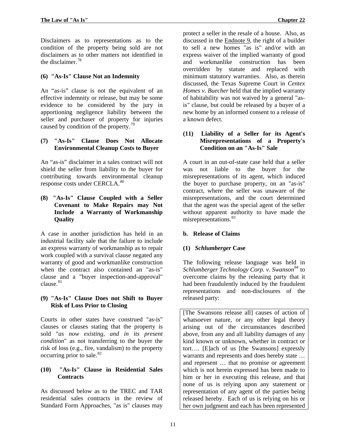# <span id="page-18-0"></span>**(6) "As-Is" Clause Not an Indemnity**

An "as-is" clause is not the equivalent of an effective indemnity or release, but may be some evidence to be considered by the jury in apportioning negligence liability between the seller and purchaser of property for injuries caused by condition of the property.<sup>[79](#page-41-0)</sup>

#### **(7) "As-Is" Clause Does Not Allocate Environmental Cleanup Costs to Buyer**

An "as-is" disclaimer in a sales contract will not shield the seller from liability to the buyer for contributing towards environmental cleanup response costs under CERCLA.[80](#page-41-0)

#### **(8) "As-Is" Clause Coupled with a Seller Covenant to Make Repairs may Not Include a Warranty of Workmanship Quality**

A case in another jurisdiction has held in an industrial facility sale that the failure to include an express warranty of workmanship as to repair work coupled with a survival clause negated any warranty of good and workmanlike construction when the contract also contained an "as-is" clause and a "buyer inspection-and-approval" clause.<sup>[81](#page-41-0)</sup>

#### **(9) "As-Is" Clause Does not Shift to Buyer Risk of Loss Prior to Closing**

Courts in other states have construed "as-is" clauses or clauses stating that the property is sold "*as now existing, and in its present condition*" as not transferring to the buyer the risk of loss (e.g., fire, vandalism) to the property occurring prior to sale.<sup>[82](#page-41-0)</sup>

#### **(10) "As-Is" Clause in Residential Sales Contracts**

As discussed below as to the TREC and TAR residential sales contracts in the review of Standard Form Approaches, "as is" clauses may

protect a seller in the resale of a house. Also, as discussed in the Endnote 9, the right of a builder to sell a new homes "as is" and/or with an express waiver of the implied warranty of good and workmanlike construction has been overridden by statute and replaced with minimum statutory warranties. Also, as therein discussed, the Texas Supreme Court in *Centex Homes v. Buecher* held that the implied warranty of habitability was not waived by a general "asis" clause, but could be released by a buyer of a new home by an informed consent to a release of a known defect.

#### **(11) Liability of a Seller for its Agent's Misrepresentations of a Property's Condition on an "As-Is" Sale**

A court in an out-of-state case held that a seller was not liable to the buyer for the misrepresentations of its agent, which induced the buyer to purchase property, on an "as-is" contract, where the seller was unaware of the misrepresentations, and the court determined that the agent was the special agent of the seller without apparent authority to have made the misrepresentations.<sup>[83](#page-42-0)</sup>

## **b. Release of Claims**

#### **(1)** *Schlumberger* **Case**

The following release language was held in *Schlumberger Technology Corp. v. Swanson[84](#page-42-0)* to overcome claims by the releasing party that it had been fraudulently induced by the fraudulent representations and non-disclosures of the released party:

[The Swansons release all] causes of action of whatsoever nature, or any other legal theory arising out of the circumstances described above, from any and all liability damages of any kind known or unknown, whether in contract or tort…. [E]ach of us [the Swansons] expressly warrants and represents and does hereby state ... and represent … that no promise or agreement which is not herein expressed has been made to him or her in executing this release, and that none of us is relying upon any statement or representation of any agent of the parties being released hereby. Each of us is relying on his or her own judgment and each has been represented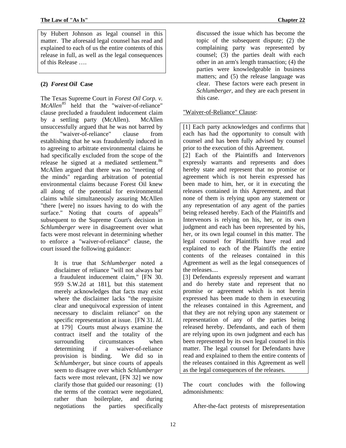<span id="page-19-0"></span>by Hubert Johnson as legal counsel in this matter. The aforesaid legal counsel has read and explained to each of us the entire contents of this release in full, as well as the legal consequences of this Release ….

# **(2)** *Forest Oil* **Case**

The Texas Supreme Court in *Forest Oil Corp. v. McAllen[85](#page-42-0)* held that the "waiver-of-reliance" clause precluded a fraudulent inducement claim by a settling party (McAllen). McAllen unsuccessfully argued that he was not barred by the "waiver-of-reliance" clause from establishing that he was fraudulently induced in to agreeing to arbitrate environmental claims he had specifically excluded from the scope of the release he signed at a mediated settlement.<sup>[86](#page-42-0)</sup> McAllen argued that there was no "meeting of the minds" regarding arbitration of potential environmental claims because Forest Oil knew all along of the potential for environmental claims while simultaneously assuring McAllen "there [were] no issues having to do with the surface." Noting that courts of appeals  $87$ subsequent to the Supreme Court's decision in *Schlumberger* were in disagreement over what facts were most relevant in determining whether to enforce a "waiver-of-reliance" clause, the court issued the following guidance:

> It is true that *Schlumberger* noted a disclaimer of reliance "will not always bar a fraudulent inducement claim," [FN 30. 959 S.W.2d at 181], but this statement merely acknowledges that facts may exist where the disclaimer lacks "the requisite clear and unequivocal expression of intent necessary to disclaim reliance" on the specific representation at issue. [FN 31. *Id.* at 179] Courts must always examine the contract itself and the totality of the surrounding circumstances when determining if a waiver-of-reliance provision is binding. We did so in *Schlumberger*, but since courts of appeals seem to disagree over which *Schlumberger* facts were most relevant, [FN 32] we now clarify those that guided our reasoning: (1) the terms of the contract were negotiated, rather than boilerplate, and during negotiations the parties specifically

discussed the issue which has become the topic of the subsequent dispute; (2) the complaining party was represented by counsel; (3) the parties dealt with each other in an arm's length transaction; (4) the parties were knowledgeable in business matters; and (5) the release language was clear. These factors were each present in *Schlumberger*, and they are each present in this case.

## "Waiver-of-Reliance" Clause:

[1] Each party acknowledges and confirms that each has had the opportunity to consult with counsel and has been fully advised by counsel prior to the execution of this Agreement.

[2] Each of the Plaintiffs and Intervenors expressly warrants and represents and does hereby state and represent that no promise or agreement which is not herein expressed has been made to him, her, or it in executing the releases contained in this Agreement, and that none of them is relying upon any statement or any representation of any agent of the parties being released hereby. Each of the Plaintiffs and Intervenors is relying on his, her, or its own judgment and each has been represented by his, her, or its own legal counsel in this matter. The legal counsel for Plaintiffs have read and explained to each of the Plaintiffs the entire contents of the releases contained in this Agreement as well as the legal consequences of the releases....

[3] Defendants expressly represent and warrant and do hereby state and represent that no promise or agreement which is not herein expressed has been made to them in executing the releases contained in this Agreement, and that they are not relying upon any statement or representation of any of the parties being released hereby. Defendants, and each of them are relying upon its own judgment and each has been represented by its own legal counsel in this matter. The legal counsel for Defendants have read and explained to them the entire contents of the releases contained in this Agreement as well as the legal consequences of the releases.

The court concludes with the following admonishments:

After-the-fact protests of misrepresentation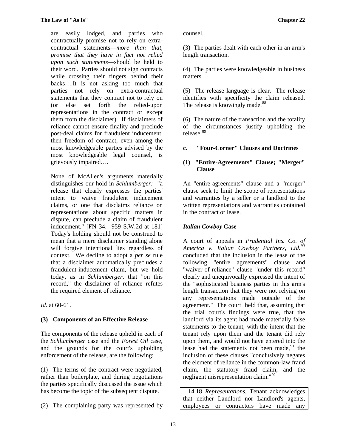<span id="page-20-0"></span>are easily lodged, and parties who contractually promise not to rely on extracontractual statements—*more than that, promise that they have in fact not relied upon such statements*—should be held to their word. Parties should not sign contracts while crossing their fingers behind their backs….It is not asking too much that parties not rely on extra-contractual statements that they contract not to rely on (or else set forth the relied-upon representations in the contract or except them from the disclaimer). If disclaimers of reliance cannot ensure finality and preclude post-deal claims for fraudulent inducement, then freedom of contract, even among the most knowledgeable parties advised by the most knowledgeable legal counsel, is grievously impaired….

None of McAllen's arguments materially distinguishes our hold in *Schlumberger:* "a release that clearly expresses the parties' intent to waive fraudulent inducement claims, or one that disclaims reliance on representations about specific matters in dispute, can preclude a claim of fraudulent inducement." [FN 34. 959 S.W.2d at 181] Today's holding should not be construed to mean that a mere disclaimer standing alone will forgive intentional lies regardless of context. We decline to adopt a *per se* rule that a disclaimer automatically precludes a fraudulent-inducement claim, but we hold today, as in *Schlumberger*, that "on this record," the disclaimer of reliance refutes the required element of reliance.

*Id.* at 60-61.

#### **(3) Components of an Effective Release**

The components of the release upheld in each of the *Schlumberger* case and the *Forest Oil* case, and the grounds for the court's upholding enforcement of the release, are the following:

(1) The terms of the contract were negotiated, rather than boilerplate, and during negotiations the parties specifically discussed the issue which has become the topic of the subsequent dispute.

(2) The complaining party was represented by

counsel.

(3) The parties dealt with each other in an arm's length transaction.

(4) The parties were knowledgeable in business matters.

(5) The release language is clear. The release identifies with specificity the claim released. The release is knowingly made.<sup>[88](#page-43-0)</sup>

(6) The nature of the transaction and the totality of the circumstances justify upholding the release.<sup>[89](#page-43-0)</sup>

## **c. "Four-Corner" Clauses and Doctrines**

# **(1) "Entire-Agreements" Clause; "Merger" Clause**

An "entire-agreements" clause and a "merger" clause seek to limit the scope of representations and warranties by a seller or a landlord to the written representations and warranties contained in the contract or lease.

## *Italian Cowboy* **Case**

A court of appeals in *Prudential Ins. Co. of*  America v. Italian Cowboy Partners, Ltd.<sup>5</sup> concluded that the inclusion in the lease of the following "entire agreements" clause and "waiver-of-reliance" clause "under this record" clearly and unequivocally expressed the intent of the "sophisticated business parties in this arm's length transaction that they were not relying on any representations made outside of the agreement." The court held that, assuming that the trial court's findings were true, that the landlord via its agent had made materially false statements to the tenant, with the intent that the tenant rely upon them and the tenant did rely upon them, and would not have entered into the lease had the statements not been made,  $91$  the inclusion of these clauses "conclusively negates the element of reliance in the common-law fraud claim, the statutory fraud claim, and the negligent misrepresentation claim."<sup>[92](#page-43-0)</sup>

14.18 *Representations.* Tenant acknowledges that neither Landlord nor Landlord's agents, employees or contractors have made any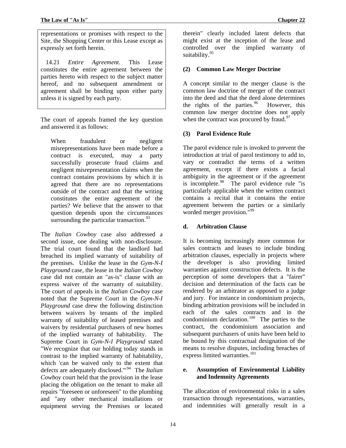<span id="page-21-0"></span>representations or promises with respect to the Site, the Shopping Center or this Lease except as expressly set forth herein.

14.21 *Entire Agreement.* This Lease constitutes the entire agreement between the parties hereto with respect to the subject matter hereof, and no subsequent amendment or agreement shall be binding upon either party unless it is signed by each party.

The court of appeals framed the key question and answered it as follows:

When fraudulent or negligent misrepresentations have been made before a contract is executed, may a party successfully prosecute fraud claims and negligent misrepresentation claims when the contract contains provisions by which it is agreed that there are no representations outside of the contract and that the writing constitutes the entire agreement of the parties? We believe that the answer to that question depends upon the circumstances surrounding the particular transaction.  $93$ 

The *Italian Cowboy* case also addressed a second issue, one dealing with non-disclosure. The trial court found that the landlord had breached its implied warranty of suitability of the premises. Unlike the lease in the *Gym-N-I Playground* case, the lease in the *Italian Cowboy* case did not contain an "as-is" clause with an express waiver of the warranty of suitability. The court of appeals in the *Italian Cowboy* case noted that the Supreme Court in the *Gym-N-I Playground* case drew the following distinction between waivers by tenants of the implied warranty of suitability of leased premises and waivers by residential purchasers of new homes of the implied warranty of habitability. The Supreme Court in *Gym-N-I Playground* stated "We recognize that our holding today stands in contrast to the implied warranty of habitability, which 'can be waived only to the extent that defects are adequately disclosed.'"[94](#page-43-0) The *Italian Cowboy* court held that the provision in the lease placing the obligation on the tenant to make all repairs "foreseen or unforeseen" to the plumbing and "any other mechanical installations or equipment serving the Premises or located

therein" clearly included latent defects that might exist at the inception of the lease and controlled over the implied warranty of suitability.<sup>[95](#page-44-0)</sup>

# **(2) Common Law Merger Doctrine**

A concept similar to the merger clause is the common law doctrine of merger of the contract into the deed and that the deed alone determines the rights of the parties. $96$  However, this common law merger doctrine does not apply when the contract was procured by fraud. $97$ 

# **(3) Parol Evidence Rule**

The parol evidence rule is invoked to prevent the introduction at trial of parol testimony to add to, vary or contradict the terms of a written agreement, except if there exists a facial ambiguity in the agreement or if the agreement is incomplete.<sup>[98](#page-44-0)</sup> The parol evidence rule "is particularly applicable when the written contract contains a recital that it contains the entire agreement between the parties or a similarly worded merger provision.<sup>"[99](#page-44-0)</sup>

## **d. Arbitration Clause**

It is becoming increasingly more common for sales contracts and leases to include binding arbitration clauses, especially in projects where the developer is also providing limited warranties against construction defects. It is the perception of some developers that a "fairer" decision and determination of the facts can be rendered by an arbitrator as opposed to a judge and jury. For instance in condominium projects, binding arbitration provisions will be included in each of the sales contracts and in the condominium declaration.<sup>[100](#page-44-0)</sup> The parties to the contract, the condominium association and subsequent purchasers of units have been held to be bound by this contractual designation of the means to resolve disputes, including breaches of express limited warranties.<sup>[101](#page-44-0)</sup>

#### **e. Assumption of Environmental Liability and Indemnity Agreements**

The allocation of environmental risks in a sales transaction through representations, warranties, and indemnities will generally result in a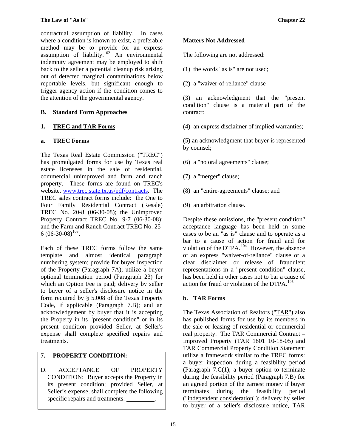<span id="page-22-0"></span>contractual assumption of liability. In cases where a condition is known to exist, a preferable method may be to provide for an express assumption of liability.<sup>[102](#page-44-0)</sup> An environmental indemnity agreement may be employed to shift back to the seller a potential cleanup risk arising out of detected marginal contaminations below reportable levels, but significant enough to trigger agency action if the condition comes to the attention of the governmental agency.

# **B. Standard Form Approaches**

# **1. TREC and TAR Forms**

## **a. TREC Forms**

The Texas Real Estate Commission ("TREC") has promulgated forms for use by Texas real estate licensees in the sale of residential, commercial unimproved and farm and ranch property. These forms are found on TREC's website. [www.trec.state.tx.us/pdf/contracts.](http://www.trec.state.tx.us/pdf/contracts) The TREC sales contract forms include: the One to Four Family Residential Contract (Resale) TREC No. 20-8 (06-30-08); the Unimproved Property Contract TREC No. 9-7 (06-30-08); and the Farm and Ranch Contract TREC No. 25-  $6 (06-30-08)^{103}$  $6 (06-30-08)^{103}$  $6 (06-30-08)^{103}$ .

Each of these TREC forms follow the same template and almost identical paragraph numbering system; provide for buyer inspection of the Property (Paragraph 7A); utilize a buyer optional termination period (Paragraph 23) for which an Option Fee is paid; delivery by seller to buyer of a seller's disclosure notice in the form required by § 5.008 of the Texas Property Code, if applicable (Paragraph 7.B); and an acknowledgement by buyer that it is accepting the Property in its "present condition" or in its present condition provided Seller, at Seller's expense shall complete specified repairs and treatments.

# **7. PROPERTY CONDITION:**

D. ACCEPTANCE OF PROPERTY CONDITION: Buyer accepts the Property in its present condition; provided Seller, at Seller's expense, shall complete the following specific repairs and treatments:

# **Matters Not Addressed**

The following are not addressed:

(1) the words "as is" are not used;

(2) a "waiver-of-reliance" clause

(3) an acknowledgment that the "present condition" clause is a material part of the contract;

(4) an express disclaimer of implied warranties;

(5) an acknowledgment that buyer is represented by counsel;

(6) a "no oral agreements" clause;

(7) a "merger" clause;

(8) an "entire-agreements" clause; and

(9) an arbitration clause.

Despite these omissions, the "present condition" acceptance language has been held in some cases to be an "as is" clause and to operate as a bar to a cause of action for fraud and for violation of the DTPA.[104](#page-44-0) However, the absence of an express "waiver-of-reliance" clause or a clear disclaimer or release of fraudulent representations in a "present condition" clause, has been held in other cases not to bar a cause of action for fraud or violation of the  $DTPA$ .<sup>[105](#page-45-0)</sup>

# **b. TAR Forms**

The Texas Association of Realtors ("TAR") also has published forms for use by its members in the sale or leasing of residential or commercial real property. The TAR Commercial Contract – Improved Property (TAR 1801 10-18-05) and TAR Commercial Property Condition Statement utilize a framework similar to the TREC forms: a buyer inspection during a feasibility period (Paragraph  $7.C(1)$ ; a buyer option to terminate during the feasibility period (Paragraph 7.B) for an agreed portion of the earnest money if buyer terminates during the feasibility period ("independent consideration"); delivery by seller to buyer of a seller's disclosure notice, TAR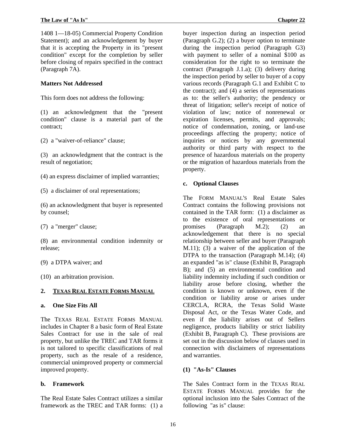<span id="page-23-0"></span>1408 1—18-05) Commercial Property Condition Statement); and an acknowledgement by buyer that it is accepting the Property in its "present condition" except for the completion by seller before closing of repairs specified in the contract (Paragraph 7A).

## **Matters Not Addressed**

This form does not address the following:

(1) an acknowledgment that the "present condition" clause is a material part of the contract;

(2) a "waiver-of-reliance" clause;

(3) an acknowledgment that the contract is the result of negotiation;

(4) an express disclaimer of implied warranties;

(5) a disclaimer of oral representations;

(6) an acknowledgment that buyer is represented by counsel;

(7) a "merger" clause;

(8) an environmental condition indemnity or release;

(9) a DTPA waiver; and

(10) an arbitration provision.

## **2. TEXAS REAL ESTATE FORMS MANUAL**

#### **a. One Size Fits All**

The TEXAS REAL ESTATE FORMS MANUAL includes in Chapter 8 a basic form of Real Estate Sales Contract for use in the sale of real property, but unlike the TREC and TAR forms it is not tailored to specific classifications of real property, such as the resale of a residence, commercial unimproved property or commercial improved property.

## **b. Framework**

The Real Estate Sales Contract utilizes a similar framework as the TREC and TAR forms: (1) a buyer inspection during an inspection period (Paragraph G.2); (2) a buyer option to terminate during the inspection period (Paragraph G3) with payment to seller of a nominal \$100 as consideration for the right to so terminate the contract (Paragraph J.1.a); (3) delivery during the inspection period by seller to buyer of a copy various records (Paragraph G.1 and Exhibit C to the contract); and (4) a series of representations as to: the seller's authority; the pendency or threat of litigation; seller's receipt of notice of violation of law; notice of nonrenewal or expiration licenses, permits, and approvals; notice of condemnation, zoning, or land-use proceedings affecting the property; notice of inquiries or notices by any governmental authority or third party with respect to the presence of hazardous materials on the property or the migration of hazardous materials from the property.

#### **c. Optional Clauses**

The FORM MANUAL'S Real Estate Sales Contract contains the following provisions not contained in the TAR form: (1) a disclaimer as to the existence of oral representations or promises (Paragraph M.2); (2) an acknowledgement that there is no special relationship between seller and buyer (Paragraph M.11); (3) a waiver of the application of the DTPA to the transaction (Paragraph M.14); (4) an expanded "as is" clause (Exhibit B, Paragraph B); and (5) an environmental condition and liability indemnity including if such condition or liability arose before closing, whether the condition is known or unknown, even if the condition or liability arose or arises under CERCLA, RCRA, the Texas Solid Waste Disposal Act, or the Texas Water Code, and even if the liability arises out of Sellers negligence, products liability or strict liability (Exhibit B, Paragraph C). These provisions are set out in the discussion below of clauses used in connection with disclaimers of representations and warranties.

## **(1) "As-Is" Clauses**

The Sales Contract form in the TEXAS REAL ESTATE FORMS MANUAL provides for the optional inclusion into the Sales Contract of the following "as is" clause: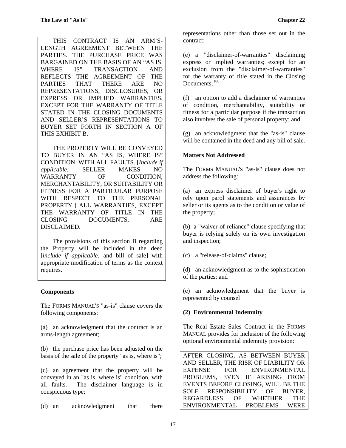<span id="page-24-0"></span> THIS CONTRACT IS AN ARM'S-LENGTH AGREEMENT BETWEEN THE PARTIES. THE PURCHASE PRICE WAS BARGAINED ON THE BASIS OF AN "AS IS, WHERE IS" TRANSACTION AND REFLECTS THE AGREEMENT OF THE PARTIES THAT THERE ARE NO REPRESENTATIONS, DISCLOSURES, OR EXPRESS OR IMPLIED WARRANTIES, EXCEPT FOR THE WARRANTY OF TITLE STATED IN THE CLOSING DOCUMENTS AND SELLER'S REPRESENTATIONS TO BUYER SET FORTH IN SECTION A OF THIS EXHIBIT B.

 THE PROPERTY WILL BE CONVEYED TO BUYER IN AN "AS IS, WHERE IS" CONDITION, WITH ALL FAULTS. [*Include if applicable:* SELLER MAKES NO WARRANTY OF CONDITION, MERCHANTABILITY, OR SUITABILITY OR FITNESS FOR A PARTICULAR PURPOSE WITH RESPECT TO THE PERSONAL PROPERTY.] ALL WARRANTIES, EXCEPT THE WARRANTY OF TITLE IN THE CLOSING DOCUMENTS, ARE DISCLAIMED.

 The provisions of this section B regarding the Property will be included in the deed [*include if applicable:* and bill of sale] with appropriate modification of terms as the context requires.

## **Components**

The FORMS MANUAL'S "as-is" clause covers the following components:

(a) an acknowledgment that the contract is an arms-length agreement;

(b) the purchase price has been adjusted on the basis of the sale of the property "as is, where is";

(c) an agreement that the property will be conveyed in an "as is, where is" condition, with all faults. The disclaimer language is in conspicuous type;

(d) an acknowledgment that there

representations other than those set out in the contract;

(e) a "disclaimer-of-warranties" disclaiming express or implied warranties; except for an exclusion from the "disclaimer-of-warranties" for the warranty of title stated in the Closing Documents; $^{106}$  $^{106}$  $^{106}$ 

(f) an option to add a disclaimer of warranties of condition, merchantability, suitability or fitness for a particular purpose if the transaction also involves the sale of personal property; and

(g) an acknowledgment that the "as-is" clause will be contained in the deed and any bill of sale.

#### **Matters Not Addressed**

The FORMS MANUAL'S "as-is" clause does not address the following:

(a) an express disclaimer of buyer's right to rely upon parol statements and assurances by seller or its agents as to the condition or value of the property;

(b) a "waiver-of-reliance" clause specifying that buyer is relying solely on its own investigation and inspection;

(c) a "release-of-claims" clause;

(d) an acknowledgment as to the sophistication of the parties; and

(e) an acknowledgment that the buyer is represented by counsel

## **(2) Environmental Indemnity**

The Real Estate Sales Contract in the FORMS MANUAL provides for inclusion of the following optional environmental indemnity provision:

AFTER CLOSING, AS BETWEEN BUYER AND SELLER, THE RISK OF LIABILITY OR EXPENSE FOR ENVIRONMENTAL PROBLEMS, EVEN IF ARISING FROM EVENTS BEFORE CLOSING, WILL BE THE SOLE RESPONSIBILITY OF BUYER, REGARDLESS OF WHETHER THE ENVIRONMENTAL PROBLEMS WERE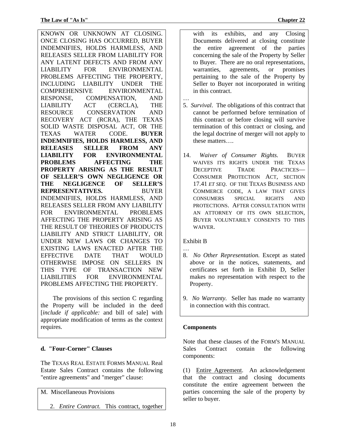<span id="page-25-0"></span>KNOWN OR UNKNOWN AT CLOSING. ONCE CLOSING HAS OCCURRED, BUYER INDEMNIFIES, HOLDS HARMLESS, AND RELEASES SELLER FROM LIABILITY FOR ANY LATENT DEFECTS AND FROM ANY LIABILITY FOR ENVIRONMENTAL PROBLEMS AFFECTING THE PROPERTY, INCLUDING LIABILITY UNDER THE COMPREHENSIVE ENVIRONMENTAL RESPONSE, COMPENSATION, AND LIABILITY ACT (CERCLA), THE RESOURCE CONSERVATION AND RECOVERY ACT (RCRA), THE TEXAS SOLID WASTE DISPOSAL ACT, OR THE TEXAS WATER CODE. **BUYER INDEMNIFIES, HOLDS HARMLESS, AND RELEASES SELLER FROM ANY LIABILITY FOR ENVIRONMENTAL PROBLEMS AFFECTING THE PROPERTY ARISING AS THE RESULT OF SELLER'S OWN NEGLIGENCE OR THE NEGLIGENCE OF SELLER'S REPRESENTATIVES.** BUYER INDEMNIFIES, HOLDS HARMLESS, AND RELEASES SELLER FROM ANY LIABILITY FOR ENVIRONMENTAL PROBLEMS AFFECTING THE PROPERTY ARISING AS THE RESULT OF THEORIES OF PRODUCTS LIABILITY AND STRICT LIABILITY, OR UNDER NEW LAWS OR CHANGES TO EXISTING LAWS ENACTED AFTER THE EFFECTIVE DATE THAT WOULD OTHERWISE IMPOSE ON SELLERS IN THIS TYPE OF TRANSACTION NEW LIABILITIES FOR ENVIRONMENTAL PROBLEMS AFFECTING THE PROPERTY.

 The provisions of this section C regarding the Property will be included in the deed [*include if applicable:* and bill of sale] with appropriate modification of terms as the context requires.

# **d. "Four-Corner" Clauses**

The TEXAS REAL ESTATE FORMS MANUAL Real Estate Sales Contract contains the following "entire agreements" and "merger" clause:

M. Miscellaneous Provisions

2. *Entire Contract.* This contract, together

with its exhibits, and any Closing Documents delivered at closing constitute the entire agreement of the parties concerning the sale of the Property by Seller to Buyer. There are no oral representations, warranties, agreements, or promises pertaining to the sale of the Property by Seller to Buyer not incorporated in writing in this contract.

- 5. *Survival*. The obligations of this contract that cannot be performed before termination of this contract or before closing will survive termination of this contract or closing, and the legal doctrine of merger will not apply to these matters….
- 14. *Waiver of Consumer Rights.* BUYER WAIVES ITS RIGHTS UNDER THE TEXAS DECEPTIVE TRADE PRACTICES— CONSUMER PROTECTION ACT, SECTION 17.41 *ET SEQ*. OF THE TEXAS BUSINESS AND COMMERCE CODE, A LAW THAT GIVES CONSUMERS SPECIAL RIGHTS AND PROTECTIONS. AFTER CONSULTATION WITH AN ATTORNEY OF ITS OWN SELECTION, BUYER VOLUNTARILY CONSENTS TO THIS WAIVER.

# Exhibit B

…

- … 8. *No Other Representation.* Except as stated above or in the notices, statements, and certificates set forth in Exhibit D, Seller makes no representation with respect to the Property.
- 9. *No Warranty.* Seller has made no warranty in connection with this contract.

## **Components**

Note that these clauses of the FORM'S MANUAL Sales Contract contain the following components:

(1) Entire Agreement. An acknowledgement that the contract and closing documents constitute the entire agreement between the parties concerning the sale of the property by seller to buyer.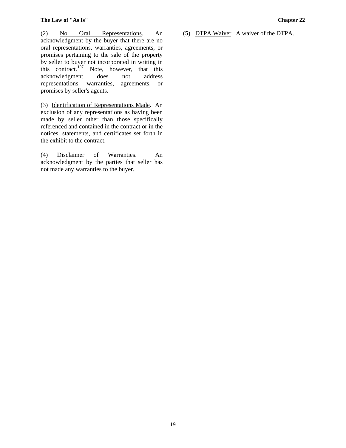(2) No Oral Representations. An acknowledgment by the buyer that there are no oral representations, warranties, agreements, or promises pertaining to the sale of the property by seller to buyer not incorporated in writing in this contract.<sup>[107](#page-46-0)</sup> Note, however, that this acknowledgment does not address representations, warranties, agreements, or promises by seller's agents.

(3) Identification of Representations Made. An exclusion of any representations as having been made by seller other than those specifically referenced and contained in the contract or in the notices, statements, and certificates set forth in the exhibit to the contract.

(4) Disclaimer of Warranties. An acknowledgment by the parties that seller has not made any warranties to the buyer.

(5) DTPA Waiver. A waiver of the DTPA.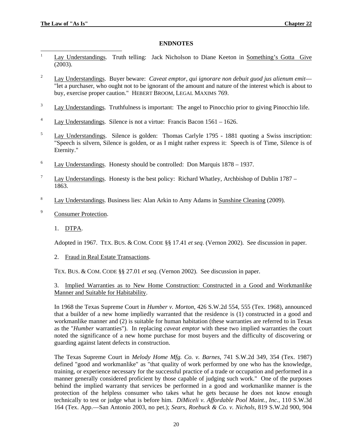# **ENDNOTES**

- <span id="page-27-2"></span><span id="page-27-1"></span><span id="page-27-0"></span> $\frac{1}{1}$ Lay Understandings. Truth telling: Jack Nicholson to Diane Keeton in Something's Gotta Give (2003).
- 2 Lay Understandings. Buyer beware: *Caveat emptor, qui ignorare non debuit guod jus alienum emit*— "let a purchaser, who ought not to be ignorant of the amount and nature of the interest which is about to buy, exercise proper caution." HEBERT BROOM, LEGAL MAXIMS 769.
- 3 Lay Understandings. Truthfulness is important: The angel to Pinocchio prior to giving Pinocchio life.
- 4 Lay Understandings. Silence is not a virtue: Francis Bacon 1561 – 1626.
- 5 Lay Understandings. Silence is golden: Thomas Carlyle 1795 - 1881 quoting a Swiss inscription: "Speech is silvern, Silence is golden, or as I might rather express it: Speech is of Time, Silence is of Eternity."
- 6 Lay Understandings. Honesty should be controlled: Don Marquis 1878 – 1937.
- 7 Lay Understandings. Honesty is the best policy: Richard Whatley, Archbishop of Dublin 1787 – 1863.
- 8 Lay Understandings. Business lies: Alan Arkin to Amy Adams in Sunshine Cleaning (2009).
- 9 Consumer Protection.
	- 1. DTPA.

Adopted in 1967. TEX. BUS. & COM. CODE §§ 17.41 *et seq*. (Vernon 2002). See discussion in paper.

2. Fraud in Real Estate Transactions.

TEX. BUS. & COM. CODE §§ 27.01 *et seq*. (Vernon 2002). See discussion in paper.

## 3. Implied Warranties as to New Home Construction: Constructed in a Good and Workmanlike Manner and Suitable for Habitability.

In 1968 the Texas Supreme Court in *Humber v. Morton*, 426 S.W.2d 554, 555 (Tex. 1968), announced that a builder of a new home impliedly warranted that the residence is (1) constructed in a good and workmanlike manner and (2) is suitable for human habitation (these warranties are referred to in Texas as the "*Humber* warranties"). In replacing *caveat emptor* with these two implied warranties the court noted the significance of a new home purchase for most buyers and the difficulty of discovering or guarding against latent defects in construction.

The Texas Supreme Court in *Melody Home Mfg. Co. v. Barnes*, 741 S.W.2d 349, 354 (Tex. 1987) defined "good and workmanlike" as "that quality of work performed by one who has the knowledge, training, or experience necessary for the successful practice of a trade or occupation and performed in a manner generally considered proficient by those capable of judging such work." One of the purposes behind the implied warranty that services be performed in a good and workmanlike manner is the protection of the helpless consumer who takes what he gets because he does not know enough technically to test or judge what is before him. *DiMiceli v. Affordable Pool Maint., Inc.*, 110 S.W.3d 164 (Tex. App.—San Antonio 2003, no pet.); *Sears, Roebuck & Co. v. Nichols*, 819 S.W.2d 900, 904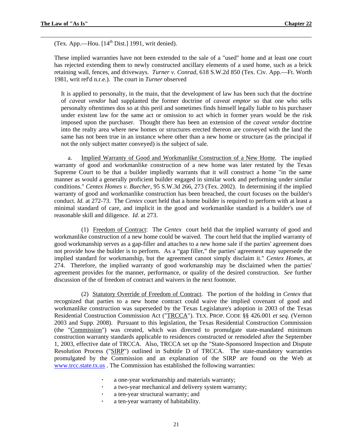<span id="page-28-0"></span>(Tex. App.—Hou.  $[14<sup>th</sup> Dist.]$  1991, writ denied).

These implied warranties have not been extended to the sale of a "used" home and at least one court has rejected extending them to newly constructed ancillary elements of a used home, such as a brick retaining wall, fences, and driveways. *Turner v. Conrad*, 618 S.W.2d 850 (Tex. Civ. App.—Ft. Worth 1981, writ ref'd n.r.e.). The court in *Turner* observed

It is applied to personalty, in the main, that the development of law has been such that the doctrine of *caveat vendor* had supplanted the former doctrine of *caveat emptor* so that one who sells personalty oftentimes dos so at this peril and sometimes finds himself legally liable to his purchaser under existent law for the same act or omission to act which in former years would be the risk imposed upon the purchaser. Thought there has been an extension of the *caveat vendor* doctrine into the realty area where new homes or structures erected thereon are conveyed with the land the same has not been true in an instance where other than a new home or structure (as the principal if not the only subject matter conveyed) is the subject of sale.

a. Implied Warranty of Good and Workmanlike Construction of a New Home. The implied warranty of good and workmanlike construction of a new home was later restated by the Texas Supreme Court to be that a builder impliedly warrants that it will construct a home "in the same manner as would a generally proficient builder engaged in similar work and performing under similar conditions." *Centex Homes v. Buecher*, 95 S.W.3d 266, 273 (Tex. 2002). In determining if the implied warranty of good and workmanlike construction has been breached, the court focuses on the builder's conduct. *Id.* at 272-73. The *Centex* court held that a home builder is required to perform with at least a minimal standard of care, and implicit in the good and workmanlike standard is a builder's use of reasonable skill and diligence. *Id*. at 273.

(1) Freedom of Contract: The *Centex* court held that the implied warranty of good and workmanlike construction of a new home could be waived. The court held that the implied warranty of good workmanship serves as a gap-filler and attaches to a new home sale if the parties' agreement does not provide how the builder is to perform. As a "gap filler," the parties' agreement may supersede the implied standard for workmanship, but the agreement cannot simply disclaim it." *Centex Homes*, at 274. Therefore, the implied warranty of good workmanship may be disclaimed when the parties' agreement provides for the manner, performance, or quality of the desired construction. *See* further discussion of the of freedom of contract and waivers in the next footnote.

(2) Statutory Override of Freedom of Contract. The portion of the holding in *Centex* that recognized that parties to a new home contract could waive the implied covenant of good and workmanlike construction was superseded by the Texas Legislature's adoption in 2003 of the Texas Residential Construction Commission Act ("TRCCA"). TEX. PROP. CODE §§ 426.001 *et seq.* (Vernon 2003 and Supp. 2008). Pursuant to this legislation, the Texas Residential Construction Commission (the "Commission") was created, which was directed to promulgate state-mandated minimum construction warranty standards applicable to residences constructed or remodeled after the September 1, 2003, effective date of TRCCA. Also, TRCCA set up the "State-Sponsored Inspection and Dispute Resolution Process ("SIRP") outlined in Subtitle D of TRCCA. The state-mandatory warranties promulgated by the Commission and an explanation of the SIRP are found on the Web at [www.trcc.state.tx.us](http://www.trcc.state.tx.us/) . The Commission has established the following warranties:

- **·** a one-year workmanship and materials warranty;
- **·** a two-year mechanical and delivery system warranty;
- **·** a ten-year structural warranty; and
- **·** a ten-year warranty of habitability.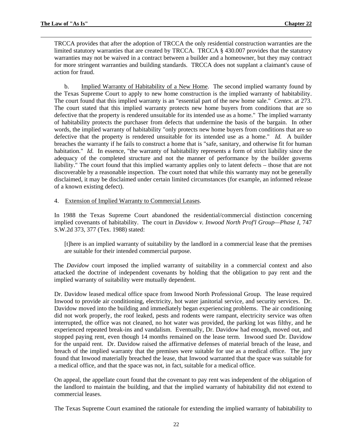<span id="page-29-0"></span>TRCCA provides that after the adoption of TRCCA the only residential construction warranties are the limited statutory warranties that are created by TRCCA. TRCCA § 430.007 provides that the statutory warranties may not be waived in a contract between a builder and a homeowner, but they may contract for more stringent warranties and building standards. TRCCA does not supplant a claimant's cause of action for fraud.

b. Implied Warranty of Habitability of a New Home. The second implied warranty found by the Texas Supreme Court to apply to new home construction is the implied warranty of habitability. The court found that this implied warranty is an "essential part of the new home sale." *Centex.* at 273. The court stated that this implied warranty protects new home buyers from conditions that are so defective that the property is rendered unsuitable for its intended use as a home." The implied warranty of habitability protects the purchaser from defects that undermine the basis of the bargain. In other words, the implied warranty of habitability "only protects new home buyers from conditions that are so defective that the property is rendered unsuitable for its intended use as a home." *Id.* A builder breaches the warranty if he fails to construct a home that is "safe, sanitary, and otherwise fit for human habitation." *Id.* In essence, "the warranty of habitability represents a form of strict liability since the adequacy of the completed structure and not the manner of performance by the builder governs liability." The court found that this implied warranty applies only to latent defects – those that are not discoverable by a reasonable inspection. The court noted that while this warranty may not be generally disclaimed, it may be disclaimed under certain limited circumstances (for example, an informed release of a known existing defect).

#### 4. Extension of Implied Warranty to Commercial Leases.

In 1988 the Texas Supreme Court abandoned the residential/commercial distinction concerning implied covenants of habitability. The court in *Davidow v. Inwood North Prof'l Group—Phase I,* 747 S.W.2d 373, 377 (Tex. 1988) stated:

[t]here is an implied warranty of suitability by the landlord in a commercial lease that the premises are suitable for their intended commercial purpose.

The *Davidow* court imposed the implied warranty of suitability in a commercial context and also attacked the doctrine of independent covenants by holding that the obligation to pay rent and the implied warranty of suitability were mutually dependent.

Dr. Davidow leased medical office space from Inwood North Professional Group. The lease required Inwood to provide air conditioning, electricity, hot water janitorial service, and security services. Dr. Davidow moved into the building and immediately began experiencing problems. The air conditioning did not work properly, the roof leaked, pests and rodents were rampant, electricity service was often interrupted, the office was not cleaned, no hot water was provided, the parking lot was filthy, and he experienced repeated break-ins and vandalism. Eventually, Dr. Davidow had enough, moved out, and stopped paying rent, even though 14 months remained on the lease term. Inwood sued Dr. Davidow for the unpaid rent. Dr. Davidow raised the affirmative defenses of material breach of the lease, and breach of the implied warranty that the premises were suitable for use as a medical office. The jury found that Inwood materially breached the lease, that Inwood warranted that the space was suitable for a medical office, and that the space was not, in fact, suitable for a medical office.

On appeal, the appellate court found that the covenant to pay rent was independent of the obligation of the landlord to maintain the building, and that the implied warranty of habitability did not extend to commercial leases.

The Texas Supreme Court examined the rationale for extending the implied warranty of habitability to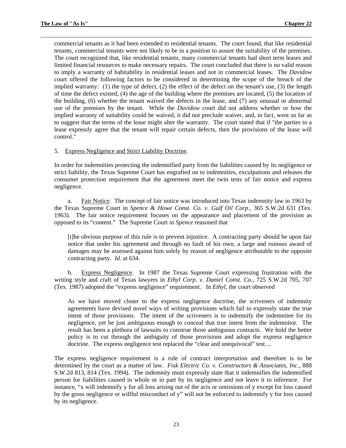<span id="page-30-0"></span>commercial tenants as it had been extended to residential tenants. The court found, that like residential tenants, commercial tenants were not likely to be in a position to assure the suitability of the premises. The court recognized that, like residential tenants, many commercial tenants had short term leases and limited financial resources to make necessary repairs. The court concluded that there is no valid reason to imply a warranty of habitability in residential leases and not in commercial leases. The *Davidow* court offered the following factors to be considered in determining the scope of the breach of the implied warranty: (1) the type of defect, (2) the effect of the defect on the tenant's use, (3) the length of time the defect existed, (4) the age of the building where the premises are located, (5) the location of the building, (6) whether the tenant waived the defects in the lease, and (7) any unusual or abnormal use of the premises by the tenant. While the *Davidow* court did not address whether or how the implied warranty of suitability could be waived, it did not preclude waiver, and, in fact, went so far as to suggest that the terms of the lease might alter the warranty. The court stated that if "the parties to a lease expressly agree that the tenant will repair certain defects, then the provisions of the lease will control."

#### 5. Express Negligence and Strict Liability Doctrine.

In order for indemnities protecting the indemnified party from the liabilities caused by its negligence or strict liability, the Texas Supreme Court has engrafted on to indemnities, exculpations and releases the consumer protection requirement that the agreement meet the twin tests of fair notice and express negligence.

a. Fair Notice. The concept of fair notice was introduced into Texas indemnity law in 1963 by the Texas Supreme Court in *Spence & Howe Const. Co. v. Gulf Oil Corp*., 365 S.W.2d 631 (Tex. 1963). The fair notice requirement focuses on the appearance and placement of the provision as opposed to its "content." The Supreme Court in *Spence* reasoned that

[t]he obvious purpose of this rule is to prevent injustice. A contracting party should be upon fair notice that under his agreement and through no fault of his own, a large and ruinous award of damages may be assessed against him solely by reason of negligence attributable to the opposite contracting party. *Id*. at 634.

b. Express Negligence. In 1987 the Texas Supreme Court expressing frustration with the writing style and craft of Texas lawyers in *Ethyl Corp. v. Daniel Const. Co*., 725 S.W.2d 705, 707 (Tex. 1987) adopted the "express negligence" requirement. In *Ethyl*, the court observed

As we have moved closer to the express negligence doctrine, the scriveners of indemnity agreements have devised novel ways of writing provisions which fail to expressly state the true intent of those provisions. The intent of the scriveners is to indemnify the indemnitee for its negligence, yet be just ambiguous enough to conceal that true intent from the indemnitor. The result has been a plethora of lawsuits to construe those ambiguous contracts. We hold the better policy is to cut through the ambiguity of those provisions and adopt the express negligence doctrine. The express negligence test replaced the "clear and unequivocal" test....

The express negligence requirement is a rule of contract interpretation and therefore is to be determined by the court as a matter of law. *Fisk Electric Co. v. Constructors & Associates, Inc.*, 888 S.W.2d 813, 814 (Tex. 1994). The indemnity must expressly state that it indemnifies the indemnified person for liabilities caused in whole or in part by its negligence and not leave it to inference. For instance, "x will indemnify y for all loss arising out of the acts or omissions of y except for loss caused by the gross negligence or willful misconduct of y" will not be enforced to indemnify y for loss caused by its negligence.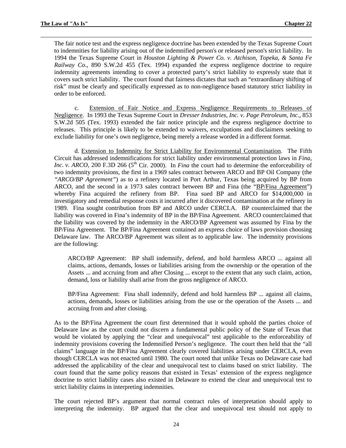<span id="page-31-0"></span>The fair notice test and the express negligence doctrine has been extended by the Texas Supreme Court to indemnities for liability arising out of the indemnified person's or released person's strict liability. In 1994 the Texas Supreme Court in *Houston Lighting & Power Co. v. Atchison, Topeka, & Santa Fe Railway Co*., 890 S.W.2d 455 (Tex. 1994) expanded the express negligence doctrine to require indemnity agreements intending to cover a protected party's strict liability to expressly state that it covers such strict liability. The court found that fairness dictates that such an "extraordinary shifting of risk" must be clearly and specifically expressed as to non-negligence based statutory strict liability in order to be enforced.

c. Extension of Fair Notice and Express Negligence Requirements to Releases of Negligence. In 1993 the Texas Supreme Court in *Dresser Industries, Inc. v. Page Petroleum, Inc*., 853 S.W.2d 505 (Tex. 1993) extended the fair notice principle and the express negligence doctrine to releases. This principle is likely to be extended to waivers, exculpations and disclaimers seeking to exclude liability for one's own negligence, being merely a release worded in a different format.

d. Extension to Indemnity for Strict Liability for Environmental Contamination. The Fifth Circuit has addressed indemnifications for strict liability under environmental protection laws in *Fina, Inc. v. ARCO*, 200 F.3D 266 (5<sup>th</sup> Cir. 2000). In *Fina* the court had to determine the enforceability of two indemnity provisions, the first in a 1969 sales contract between ARCO and BP Oil Company (the *"ARCO/BP Agreement"*) as to a refinery located in Port Arthur, Texas being acquired by BP from ARCO, and the second in a 1973 sales contract between BP and Fina (the "BP/Fina Agreement") whereby Fina acquired the refinery from BP. Fina sued BP and ARCO for \$14,000,000 in investigatory and remedial response costs it incurred after it discovered contamination at the refinery in 1989. Fina sought contribution from BP and ARCO under CERCLA. BP counterclaimed that the liability was covered in Fina's indemnity of BP in the BP/Fina Agreement. ARCO counterclaimed that the liability was covered by the indemnity in the ARCO/BP Agreement was assumed by Fina by the BP/Fina Agreement. The BP/Fina Agreement contained an express choice of laws provision choosing Delaware law. The ARCO/BP Agreement was silent as to applicable law. The indemnity provisions are the following:

ARCO/BP Agreement: BP shall indemnify, defend, and hold harmless ARCO ... against all claims, actions, demands, losses or liabilities arising from the ownership or the operation of the Assets ... and accruing from and after Closing ... except to the extent that any such claim, action, demand, loss or liability shall arise from the gross negligence of ARCO.

BP/Fina Agreement: Fina shall indemnify, defend and hold harmless BP ... against all claims, actions, demands, losses or liabilities arising from the use or the operation of the Assets ... and accruing from and after closing.

As to the BP/Fina Agreement the court first determined that it would uphold the parties choice of Delaware law as the court could not discern a fundamental public policy of the State of Texas that would be violated by applying the "clear and unequivocal" test applicable to the enforceability of indemnity provisions covering the Indemnified Person's negligence. The court then held that the "all claims" language in the BP/Fina Agreement clearly covered liabilities arising under CERCLA, even though CERCLA was not enacted until 1980. The court noted that unlike Texas no Delaware case had addressed the applicability of the clear and unequivocal test to claims based on strict liability. The court found that the same policy reasons that existed in Texas' extension of the express negligence doctrine to strict liability cases also existed in Delaware to extend the clear and unequivocal test to strict liability claims in interpreting indemnities.

The court rejected BP's argument that normal contract rules of interpretation should apply to interpreting the indemnity. BP argued that the clear and unequivocal test should not apply to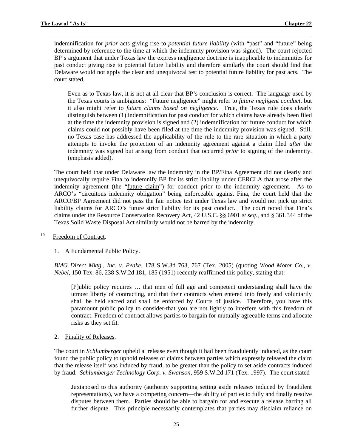<span id="page-32-0"></span>indemnification for *prior* acts giving rise to *potential future liability* (with "past" and "future" being determined by reference to the time at which the indemnity provision was signed). The court rejected BP's argument that under Texas law the express negligence doctrine is inapplicable to indemnities for past conduct giving rise to potential future liability and therefore similarly the court should find that Delaware would not apply the clear and unequivocal test to potential future liability for past acts. The court stated,

Even as to Texas law, it is not at all clear that BP's conclusion is correct. The language used by the Texas courts is ambiguous: "Future negligence" might refer to *future negligent conduct*, but it also might refer to *future claims based on negligence*. True, the Texas rule does clearly distinguish between (1) indemnification for past conduct for which claims have already been filed at the time the indemnity provision is signed and (2) indemnification for future conduct for which claims could not possibly have been filed at the time the indemnity provision was signed. Still, no Texas case has addressed the applicability of the rule to the rare situation in which a party attempts to invoke the protection of an indemnity agreement against a claim filed *after* the indemnity was signed but arising from conduct that occurred *prior* to signing of the indemnity. (emphasis added).

The court held that under Delaware law the indemnity in the BP/Fina Agreement did not clearly and unequivocally require Fina to indemnify BP for its strict liability under CERCLA that arose after the indemnity agreement (the "future claim") for conduct prior to the indemnity agreement. As to ARCO's "circuitous indemnity obligation" being enforceable against Fina, the court held that the ARCO/BP Agreement did not pass the fair notice test under Texas law and would not pick up strict liability claims for ARCO's future strict liability for its past conduct. The court noted that Fina's claims under the Resource Conservation Recovery Act, 42 U.S.C. §§ 6901 *et seq*., and § 361.344 of the Texas Solid Waste Disposal Act similarly would not be barred by the indemnity.

- <sup>10</sup> Freedom of Contract.
	- 1. A Fundamental Public Policy.

*BMG Direct Mktg., Inc. v. Peake*, 178 S.W.3d 763, 767 (Tex. 2005) (quoting *Wood Motor Co., v. Nebel*, 150 Tex. 86, 238 S.W.2d 181, 185 (1951) recently reaffirmed this policy, stating that:

[P]ublic policy requires … that men of full age and competent understanding shall have the utmost liberty of contracting, and that their contracts when entered into freely and voluntarily shall be held sacred and shall be enforced by Courts of justice. Therefore, you have this paramount public policy to consider-that you are not lightly to interfere with this freedom of contract. Freedom of contract allows parties to bargain for mutually agreeable terms and allocate risks as they set fit.

2. Finality of Releases.

The court in *Schlumberger* upheld a release even though it had been fraudulently induced, as the court found the public policy to uphold releases of claims between parties which expressly released the claim that the release itself was induced by fraud, to be greater than the policy to set aside contracts induced by fraud. *Schlumberger Technology Corp. v. Swanson*, 959 S.W.2d 171 (Tex. 1997). The court stated

Juxtaposed to this authority (authority supporting setting aside releases induced by fraudulent representations), we have a competing concern—the ability of parties to fully and finally resolve disputes between them. Parties should be able to bargain for and execute a release barring all further dispute. This principle necessarily contemplates that parties may disclaim reliance on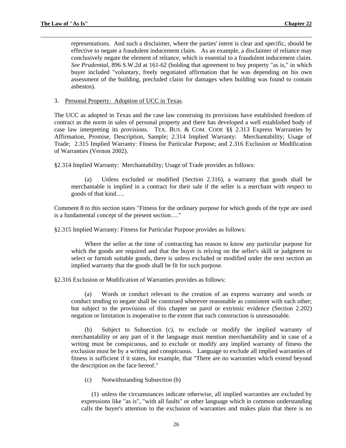<span id="page-33-0"></span>representations. And such a disclaimer, where the parties' intent is clear and specific, should be effective to negate a fraudulent inducement claim. As an example, a disclaimer of reliance may conclusively negate the element of reliance, which is essential to a fraudulent inducement claim. *See Prudential*, 896 S.W.2d at 161-62 (holding that agreement to buy property "as is," in which buyer included "voluntary, freely negotiated affirmation that he was depending on his own assessment of the building, precluded claim for damages when building was found to contain asbestos).

#### 3. Personal Property: Adoption of UCC in Texas.

The UCC as adopted in Texas and the case law construing its provisions have established freedom of contract as the norm in sales of personal property and there has developed a well established body of case law interpreting its provisions. TEX. BUS. & COM. CODE §§ 2.313 Express Warranties by Affirmation, Promise, Description, Sample; 2.314 Implied Warranty: Merchantability; Usage of Trade; 2.315 Implied Warranty: Fitness for Particular Purpose; and 2.316 Exclusion or Modification of Warranties (Vernon 2002).

§2.314 Implied Warranty: Merchantability; Usage of Trade provides as follows:

 (a) Unless excluded or modified (Section 2.316), a warranty that goods shall be merchantable is implied in a contract for their sale if the seller is a merchant with respect to goods of that kind….

Comment 8 to this section states "Fitness for the ordinary purpose for which goods of the type are used is a fundamental concept of the present section…."

§2.315 Implied Warranty: Fitness for Particular Purpose provides as follows:

 Where the seller at the time of contracting has reason to know any particular purpose for which the goods are required and that the buyer is relying on the seller's skill or judgment to select or furnish suitable goods, there is unless excluded or modified under the next section an implied warranty that the goods shall be fit for such purpose.

§2.316 Exclusion or Modification of Warranties provides as follows:

 (a) Words or conduct relevant to the creation of an express warranty and words or conduct tending to negate shall be construed wherever reasonable as consistent with each other; but subject to the provisions of this chapter on parol or extrinsic evidence (Section 2.202) negation or limitation is inoperative to the extent that such construction is unreasonable.

 (b) Subject to Subsection (c), to exclude or modify the implied warranty of merchantability or any part of it the language must mention merchantability and in case of a writing must be conspicuous, and to exclude or modify any implied warranty of fitness the exclusion must be by a writing and conspicuous. Language to exclude all implied warranties of fitness is sufficient if it states, for example, that "There are no warranties which extend beyond the description on the face hereof."

(c) Notwithstanding Subsection (b)

 (1) unless the circumstances indicate otherwise, all implied warranties are excluded by expressions like "as is", "with all faults" or other language which in common understanding calls the buyer's attention to the exclusion of warranties and makes plain that there is no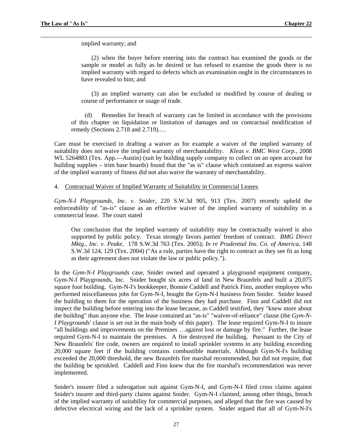<span id="page-34-0"></span>implied warranty; and

 (2) when the buyer before entering into the contract has examined the goods or the sample or model as fully as he desired or has refused to examine the goods there is no implied warranty with regard to defects which an examination ought in the circumstances to have revealed to him; and

 (3) an implied warranty can also be excluded or modified by course of dealing or course of performance or usage of trade.

 (d) Remedies for breach of warranty can be limited in accordance with the provisions of this chapter on liquidation or limitation of damages and on contractual modification of remedy (Sections 2.718 and 2.719).…

Care must be exercised in drafting a waiver as for example a waiver of the implied warranty of suitability does not waive the implied warranty of merchantability. *Kleas v. BMC West Corp.*, 2008 WL 5264883 (Tex. App.—Austin) (suit by building supply company to collect on an open account for building supplies – trim base boards) found that the "as is" clause which contained an express waiver of the implied warranty of fitness did not also waive the warranty of merchantability.

4. Contractual Waiver of Implied Warranty of Suitability in Commercial Leases.

*Gym-N-I Playgrounds, Inc. v. Snider*, 220 S.W.3d 905, 913 (Tex. 2007) recently upheld the enforceability of "as-is" clause as an effective waiver of the implied warranty of suitability in a commercial lease. The court stated

Our conclusion that the implied warranty of suitability may be contractually waived is also supported by public policy. Texas strongly favors parties' freedom of contract. *BMG Direct Mktg., Inc. v. Peake*, 178 S.W.3d 763 (Tex. 2005); *In re Prudential Ins. Co. of America*, 148 S.W.3d 124, 129 (Tex. 2004) ("As a rule, parties have the right to contract as they see fit as long as their agreement does not violate the law or public policy.").

In the *Gym-N-I Playgrounds* case, Snider owned and operated a playground equipment company, Gym-N-I Playgrounds, Inc. Snider bought six acres of land in New Braunfels and built a 20,075 square foot building. Gym-N-I's bookkeeper, Bonnie Caddell and Patrick Finn, another employee who performed miscellaneous jobs for Gym-N-I, bought the Gym-N-I business from Snider. Snider leased the building to them for the operation of the business they had purchase. Finn and Caddell did not inspect the building before entering into the lease because, as Caddell testified, they "knew more about the building" than anyone else. The lease contained an "as-is" "waiver-of-reliance" clause (the *Gym-N-I Playgrounds'* clause is set out in the main body of this paper). The lease required Gym-N-I to insure "all buildings and improvements on the Premises …against loss or damage by fire." Further, the lease required Gym-N-I to maintain the premises. A fire destroyed the building. Pursuant to the City of New Braunfels' fire code, owners are required to install sprinkler systems in any building exceeding 20,000 square feet if the building contains combustible materials. Although Gym-N-I's building exceeded the 20,000 threshold, the new Braunfels fire marshal recommended, but did not require, that the building be sprinkled. Caddell and Finn knew that the fire marshal's recommendation was never implemented.

Snider's insurer filed a subrogation suit against Gym-N-I, and Gym-N-I filed cross claims against Snider's insurer and third-party claims against Snider. Gym-N-I claimed, among other things, breach of the implied warranty of suitability for commercial purposes, and alleged that the fire was caused by defective electrical wiring and the lack of a sprinkler system. Snider argued that all of Gym-N-I's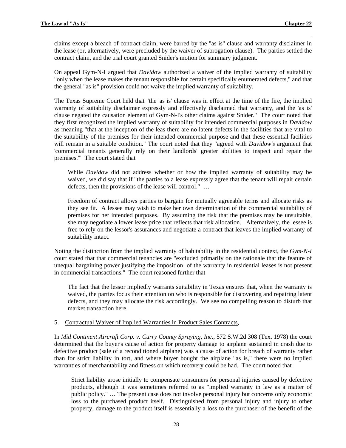<span id="page-35-0"></span>claims except a breach of contract claim, were barred by the "as is" clause and warranty disclaimer in the lease (or, alternatively, were precluded by the waiver of subrogation clause). The parties settled the contract claim, and the trial court granted Snider's motion for summary judgment.

On appeal Gym-N-I argued that *Davidow* authorized a waiver of the implied warranty of suitability "only when the lease makes the tenant responsible for certain specifically enumerated defects," and that the general "as is" provision could not waive the implied warranty of suitability.

The Texas Supreme Court held that "the 'as is' clause was in effect at the time of the fire, the implied warranty of suitability disclaimer expressly and effectively disclaimed that warranty, and the 'as is' clause negated the causation element of Gym-N-I's other claims against Snider." The court noted that they first recognized the implied warranty of suitability for intended commercial purposes in *Davidow* as meaning "that at the inception of the leas there are no latent defects in the facilities that are vital to the suitability of the premises for their intended commercial purpose and that these essential facilities will remain in a suitable condition." The court noted that they "agreed with *Davidow's* argument that 'commercial tenants generally rely on their landlords' greater abilities to inspect and repair the premises.'" The court stated that

While *Davidow* did not address whether or how the implied warranty of suitability may be waived, we did say that if "the parties to a lease expressly agree that the tenant will repair certain defects, then the provisions of the lease will control." …

Freedom of contract allows parties to bargain for mutually agreeable terms and allocate risks as they see fit. A lessee may wish to make her own determination of the commercial suitability of premises for her intended purposes. By assuming the risk that the premises may be unsuitable, she may negotiate a lower lease price that reflects that risk allocation. Alternatively, the lessee is free to rely on the lessor's assurances and negotiate a contract that leaves the implied warranty of suitability intact.

Noting the distinction from the implied warranty of habitability in the residential context, the *Gym-N-I* court stated that that commercial tenancies are "excluded primarily on the rationale that the feature of unequal bargaining power justifying the imposition of the warranty in residential leases is not present in commercial transactions." The court reasoned further that

The fact that the lessor impliedly warrants suitability in Texas ensures that, when the warranty is waived, the parties focus their attention on who is responsible for discovering and repairing latent defects, and they may allocate the risk accordingly. We see no compelling reason to disturb that market transaction here.

#### 5. Contractual Waiver of Implied Warranties in Product Sales Contracts.

In *Mid Continent Aircraft Corp. v. Curry County Spraying, Inc.*, 572 S.W.2d 308 (Tex. 1978) the court determined that the buyer's cause of action for property damage to airplane sustained in crash due to defective product (sale of a reconditioned airplane) was a cause of action for breach of warranty rather than for strict liability in tort, and where buyer bought the airplane "as is," there were no implied warranties of merchantability and fitness on which recovery could be had. The court noted that

Strict liability arose initially to compensate consumers for personal injuries caused by defective products, although it was sometimes referred to as "implied warranty in law as a matter of public policy." … The present case does not involve personal injury but concerns only economic loss to the purchased product itself. Distinguished from personal injury and injury to other property, damage to the product itself is essentially a loss to the purchaser of the benefit of the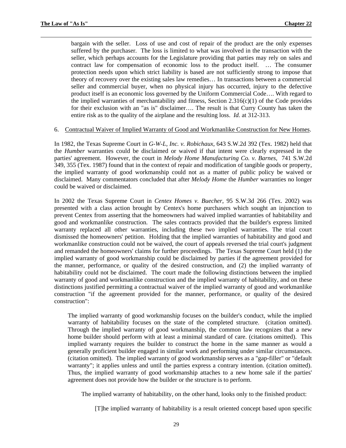<span id="page-36-0"></span>bargain with the seller. Loss of use and cost of repair of the product are the only expenses suffered by the purchaser. The loss is limited to what was involved in the transaction with the seller, which perhaps accounts for the Legislature providing that parties may rely on sales and contract law for compensation of economic loss to the product itself. … The consumer protection needs upon which strict liability is based are not sufficiently strong to impose that theory of recovery over the existing sales law remedies… In transactions between a commercial seller and commercial buyer, when no physical injury has occurred, injury to the defective product itself is an economic loss governed by the Uniform Commercial Code…. With regard to the implied warranties of merchantability and fitness, Section  $2.316(c)(1)$  of the Code provides for their exclusion with an "as is" disclaimer…. The result is that Curry County has taken the entire risk as to the quality of the airplane and the resulting loss. *Id.* at 312-313.

#### 6. Contractual Waiver of Implied Warranty of Good and Workmanlike Construction for New Homes.

In 1982, the Texas Supreme Court in *G-W-L, Inc. v. Robichaux*, 643 S.W.2d 392 (Tex. 1982) held that the *Humber* warranties could be disclaimed or waived if that intent were clearly expressed in the parties' agreement. However, the court in *Melody Home Manufacturing Co. v. Barnes,* 741 S.W.2d 349, 355 (Tex. 1987) found that in the context of repair and modification of tangible goods or property, the implied warranty of good workmanship could not as a matter of public policy be waived or disclaimed. Many commentators concluded that after *Melody Home* the *Humber* warranties no longer could be waived or disclaimed.

In 2002 the Texas Supreme Court in *Centex Homes v. Buecher*, 95 S.W.3d 266 (Tex. 2002) was presented with a class action brought by Centex's home purchasers which sought an injunction to prevent Centex from asserting that the homeowners had waived implied warranties of habitability and good and workmanlike construction. The sales contracts provided that the builder's express limited warranty replaced all other warranties, including these two implied warranties. The trial court dismissed the homeowners' petition. Holding that the implied warranties of habitability and good and workmanlike construction could not be waived, the court of appeals reversed the trial court's judgment and remanded the homeowners' claims for further proceedings. The Texas Supreme Court held (1) the implied warranty of good workmanship could be disclaimed by parties if the agreement provided for the manner, performance, or quality of the desired construction, and (2) the implied warranty of habitability could not be disclaimed. The court made the following distinctions between the implied warranty of good and workmanlike construction and the implied warranty of habitability, and on these distinctions justified permitting a contractual waiver of the implied warranty of good and workmanlike construction "if the agreement provided for the manner, performance, or quality of the desired construction":

The implied warranty of good workmanship focuses on the builder's conduct, while the implied warranty of habitability focuses on the state of the completed structure. (citation omitted). Through the implied warranty of good workmanship, the common law recognizes that a new home builder should perform with at least a minimal standard of care. (citations omitted). This implied warranty requires the builder to construct the home in the same manner as would a generally proficient builder engaged in similar work and performing under similar circumstances. (citation omitted). The implied warranty of good workmanship serves as a "gap-filler" or "default warranty"; it applies unless and until the parties express a contrary intention. (citation omitted). Thus, the implied warranty of good workmanship attaches to a new home sale if the parties' agreement does not provide how the builder or the structure is to perform.

The implied warranty of habitability, on the other hand, looks only to the finished product:

[T]he implied warranty of habitability is a result oriented concept based upon specific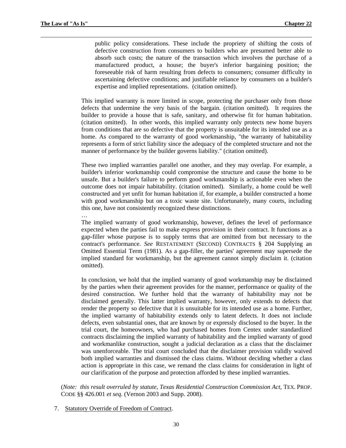…

<span id="page-37-0"></span> $\overline{a}$ 

public policy considerations. These include the propriety of shifting the costs of defective construction from consumers to builders who are presumed better able to absorb such costs; the nature of the transaction which involves the purchase of a manufactured product, a house; the buyer's inferior bargaining position; the foreseeable risk of harm resulting from defects to consumers; consumer difficulty in ascertaining defective conditions; and justifiable reliance by consumers on a builder's expertise and implied representations. (citation omitted).

This implied warranty is more limited in scope, protecting the purchaser only from those defects that undermine the very basis of the bargain. (citation omitted). It requires the builder to provide a house that is safe, sanitary, and otherwise fit for human habitation. (citation omitted). In other words, this implied warranty only protects new home buyers from conditions that are so defective that the property is unsuitable for its intended use as a home. As compared to the warranty of good workmanship, "the warranty of habitability represents a form of strict liability since the adequacy of the completed structure and not the manner of performance by the builder governs liability." (citation omitted).

These two implied warranties parallel one another, and they may overlap. For example, a builder's inferior workmanship could compromise the structure and cause the home to be unsafe. But a builder's failure to perform good workmanship is actionable even when the outcome does not impair habitability. (citation omitted). Similarly, a home could be well constructed and yet unfit for human habitation if, for example, a builder constructed a home with good workmanship but on a toxic waste site. Unfortunately, many courts, including this one, have not consistently recognized these distinctions.

The implied warranty of good workmanship, however, defines the level of performance expected when the parties fail to make express provision in their contract. It functions as a gap-filler whose purpose is to supply terms that are omitted from but necessary to the contract's performance. *See* RESTATEMENT (SECOND) CONTRACTS § 204 Supplying an Omitted Essential Term (1981). As a gap-filler, the parties' agreement may supersede the implied standard for workmanship, but the agreement cannot simply disclaim it. (citation omitted).

In conclusion, we hold that the implied warranty of good workmanship may be disclaimed by the parties when their agreement provides for the manner, performance or quality of the desired construction. We further hold that the warranty of habitability may not be disclaimed generally. This latter implied warranty, however, only extends to defects that render the property so defective that it is unsuitable for its intended use as a home. Further, the implied warranty of habitability extends only to latent defects. It does not include defects, even substantial ones, that are known by or expressly disclosed to the buyer. In the trial court, the homeowners, who had purchased homes from Centex under standardized contracts disclaiming the implied warranty of habitability and the implied warranty of good and workmanlike construction, sought a judicial declaration as a class that the disclaimer was unenforceable. The trial court concluded that the disclaimer provision validly waived both implied warranties and dismissed the class claims. Without deciding whether a class action is appropriate in this case, we remand the class claims for consideration in light of our clarification of the purpose and protection afforded by these implied warranties.

(*Note: this result overruled by statute, Texas Residential Construction Commission Act*, TEX. PROP. CODE §§ 426.001 *et seq.* (Vernon 2003 and Supp. 2008).

7. Statutory Override of Freedom of Contract.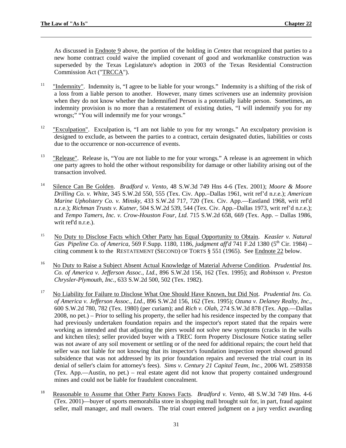<span id="page-38-0"></span>As discussed in Endnote 9 above, the portion of the holding in *Centex* that recognized that parties to a new home contract could waive the implied covenant of good and workmanlike construction was superseded by the Texas Legislature's adoption in 2003 of the Texas Residential Construction Commission Act ("TRCCA").

- $11$  "Indemnity". Indemnity is, "I agree to be liable for your wrongs." Indemnity is a shifting of the risk of a loss from a liable person to another. However, many times scriveners use an indemnity provision when they do not know whether the Indemnified Person is a potentially liable person. Sometimes, an indemnity provision is no more than a restatement of existing duties, "I will indemnify you for my wrongs;" "You will indemnify me for your wrongs."
- <sup>12</sup> "Exculpation". Exculpation is, "I am not liable to you for my wrongs." An exculpatory provision is designed to exclude, as between the parties to a contract, certain designated duties, liabilities or costs due to the occurrence or non-occurrence of events.
- <sup>13</sup> "Release". Release is, "You are not liable to me for your wrongs." A release is an agreement in which one party agrees to hold the other without responsibility for damage or other liability arising out of the transaction involved.
- 14 Silence Can Be Golden. *Bradford v. Vento,* 48 S.W.3d 749 Hns 4-6 (Tex. 2001); *Moore & Moore Drilling Co. v. White*, 345 S.W.2d 550, 555 (Tex. Civ. App.–Dallas 1961, writ ref'd n.r.e.); *American Marine Upholstery Co. v. Minsky*, 433 S.W.2d 717, 720 (Tex. Civ. App.—Eastland 1968, writ ref'd n.r.e.); *Richman Trusts v. Kutner*, 504 S.W.2d 539, 544 (Tex. Civ. App.–Dallas 1973, writ ref'd n.r.e.); and *Tempo Tamers, Inc. v. Crow-Houston Four, Ltd.* 715 S.W.2d 658, 669 (Tex. App. – Dallas 1986, writ ref'd n.r.e.).
- <sup>15</sup> No Duty to Disclose Facts which Other Party has Equal Opportunity to Obtain. *Keasler v. Natural Gas Pipeline Co. of America,* 569 F.Supp. 1180, 1186, *judgment aff'd* 741 F.2d 1380 (5<sup>th</sup> Cir. 1984) – citing comment k to the RESTATEMENT (SECOND) OF TORTS § 551 (1965). See Endnote 22 below.
- 16 No Duty to Raise a Subject Absent Actual Knowledge of Material Adverse Condition. *Prudential Ins. Co. of America v. Jefferson Assoc., Ltd.*, 896 S.W.2d 156, 162 (Tex. 1995); and *Robinson v. Preston Chrysler-Plymouth, Inc.*, 633 S.W.2d 500, 502 (Tex. 1982).
- 17 No Liability for Failure to Disclose What One Should Have Known, but Did Not. *Prudential Ins. Co. of America v. Jefferson Assoc., Ltd.*, 896 S.W.2d 156, 162 (Tex. 1995); *Ozuna v. Delaney Realty, Inc.*, 600 S.W.2d 780, 782 (Tex. 1980) (per curiam); and *Rich v. Olah*, 274 S.W.3d 878 (Tex. App.—Dallas 2008, no pet.) – Prior to selling his property, the seller had his residence inspected by the company that had previously undertaken foundation repairs and the inspector's report stated that the repairs were working as intended and that adjusting the piers would not solve new symptoms (cracks in the walls and kitchen tiles); seller provided buyer with a TREC form Property Disclosure Notice stating seller was not aware of any soil movement or settling or of the need for additional repairs; the court held that seller was not liable for not knowing that its inspector's foundation inspection report showed ground subsidence that was not addressed by its prior foundation repairs and reversed the trial court in its denial of seller's claim for attorney's fees). *Sims v. Century 21 Capital Team, Inc.*, 2006 WL 2589358 (Tex. App.—Austin, no pet.) – real estate agent did not know that property contained underground mines and could not be liable for fraudulent concealment.
- 18 Reasonable to Assume that Other Party Knows Facts. *Bradford v. Vento,* 48 S.W.3d 749 Hns. 4-6 (Tex. 2001)—buyer of sports memorabilia store in shopping mall brought suit for, in part, fraud against seller, mall manager, and mall owners. The trial court entered judgment on a jury verdict awarding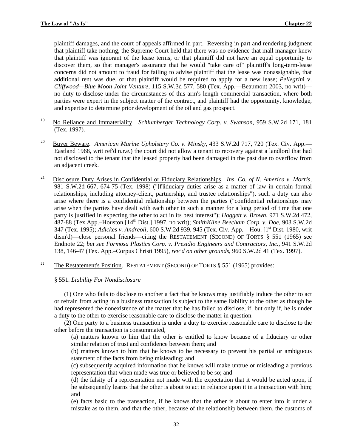<span id="page-39-0"></span>plaintiff damages, and the court of appeals affirmed in part. Reversing in part and rendering judgment that plaintiff take nothing, the Supreme Court held that there was no evidence that mall manager knew that plaintiff was ignorant of the lease terms, or that plaintiff did not have an equal opportunity to discover them, so that manager's assurance that he would "take care of" plaintiff's long-term-lease concerns did not amount to fraud for failing to advise plaintiff that the lease was nonassignable, that additional rent was due, or that plaintiff would be required to apply for a new lease; *Pellegrin*i v. *Cliffwood—Blue Moon Joint Venture*, 115 S.W.3d 577, 580 (Tex. App.—Beaumont 2003, no writ) no duty to disclose under the circumstances of this arm's length commercial transaction, where both parties were expert in the subject matter of the contract, and plaintiff had the opportunity, knowledge, and expertise to determine prior development of the oil and gas prospect.

- 19 No Reliance and Immateriality. *Schlumberger Technology Corp. v. Swanson*, 959 S.W.2d 171, 181 (Tex. 1997).
- <sup>20</sup> Buyer Beware. *American Marine Upholstery Co. v. Minsky*, 433 S.W.2d 717, 720 (Tex. Civ. App.— Eastland 1968, writ ref'd n.r.e.) the court did not allow a tenant to recovery against a landlord that had not disclosed to the tenant that the leased property had been damaged in the past due to overflow from an adjacent creek.
- 21 Disclosure Duty Arises in Confidential or Fiduciary Relationships. *Ins. Co. of N. America v. Morris*, 981 S.W.2d 667, 674-75 (Tex. 1998) ("[f]iduciary duties arise as a matter of law in certain formal relationships, including attorney-client, partnership, and trustee relationships"), such a duty can also arise where there is a confidential relationship between the parties ("confidential relationships may arise when the parties have dealt with each other in such a manner for a long period of time that one party is justified in expecting the other to act in its best interest"); *Hoggett v. Brown*, 971 S.W.2d 472, 487-88 (Tex.App.–Houston [14th Dist.] 1997, no writ); *SmithKline Beecham Corp. v. Doe*, 903 S.W.2d 347 (Tex. 1995); *Adickes v. Andreoli*, 600 S.W.2d 939, 945 (Tex. Civ. App.—Hou. [1st Dist. 1980, writ dism'd)—close personal friends—citing the RESTATEMENT (SECOND) OF TORTS § 551 (1965) see Endnote 22; *but see Formosa Plastics Corp. v. Presidio Engineers and Contractors, Inc.*, 941 S.W.2d 138, 146-47 (Tex. App.–Corpus Christi 1995), *rev'd on other grounds*, 960 S.W.2d 41 (Tex. 1997).
- <sup>22</sup> The Restatement's Position. RESTATEMENT (SECOND) OF TORTS  $§$  551 (1965) provides:

#### § 551. *Liability For Nondisclosure*

 (1) One who fails to disclose to another a fact that he knows may justifiably induce the other to act or refrain from acting in a business transaction is subject to the same liability to the other as though he had represented the nonexistence of the matter that he has failed to disclose, if, but only if, he is under a duty to the other to exercise reasonable care to disclose the matter in question.

 (2) One party to a business transaction is under a duty to exercise reasonable care to disclose to the other before the transaction is consummated,

(a) matters known to him that the other is entitled to know because of a fiduciary or other similar relation of trust and confidence between them; and

(b) matters known to him that he knows to be necessary to prevent his partial or ambiguous statement of the facts from being misleading; and

(c) subsequently acquired information that he knows will make untrue or misleading a previous representation that when made was true or believed to be so; and

(d) the falsity of a representation not made with the expectation that it would be acted upon, if he subsequently learns that the other is about to act in reliance upon it in a transaction with him; and

(e) facts basic to the transaction, if he knows that the other is about to enter into it under a mistake as to them, and that the other, because of the relationship between them, the customs of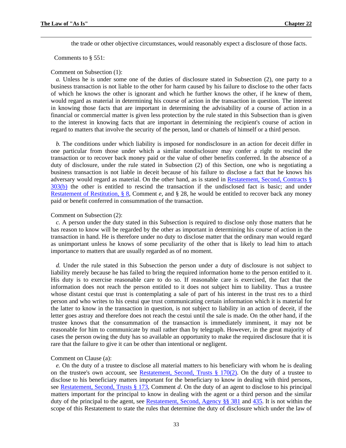the trade or other objective circumstances, would reasonably expect a disclosure of those facts.

<span id="page-40-0"></span>Comments to § 551:

#### Comment on Subsection (1):

*a.* Unless he is under some one of the duties of disclosure stated in Subsection (2), one party to a business transaction is not liable to the other for harm caused by his failure to disclose to the other facts of which he knows the other is ignorant and which he further knows the other, if he knew of them, would regard as material in determining his course of action in the transaction in question. The interest in knowing those facts that are important in determining the advisability of a course of action in a financial or commercial matter is given less protection by the rule stated in this Subsection than is given to the interest in knowing facts that are important in determining the recipient's course of action in regard to matters that involve the security of the person, land or chattels of himself or a third person.

*b.* The conditions under which liability is imposed for nondisclosure in an action for deceit differ in one particular from those under which a similar nondisclosure may confer a right to rescind the transaction or to recover back money paid or the value of other benefits conferred. In the absence of a duty of disclosure, under the rule stated in Subsection (2) of this Section, one who is negotiating a business transaction is not liable in deceit because of his failure to disclose a fact that he knows his adversary would regard as material. On the other hand, as is stated in [Restatement, Second, Contracts §](http://www.westlaw.com/Find/Default.wl?rs=dfa1.0&vr=2.0&DB=0101603&FindType=Y&SerialNum=0289907335)  [303\(b\)](http://www.westlaw.com/Find/Default.wl?rs=dfa1.0&vr=2.0&DB=0101603&FindType=Y&SerialNum=0289907335) the other is entitled to rescind the transaction if the undisclosed fact is basic; and under [Restatement of Restitution, § 8,](http://www.westlaw.com/Find/Default.wl?rs=dfa1.0&vr=2.0&DB=0101585&FindType=Y&SerialNum=0290373748) Comment *e*, and § 28, he would be entitled to recover back any money paid or benefit conferred in consummation of the transaction.

#### Comment on Subsection (2):

*c.* A person under the duty stated in this Subsection is required to disclose only those matters that he has reason to know will be regarded by the other as important in determining his course of action in the transaction in hand. He is therefore under no duty to disclose matter that the ordinary man would regard as unimportant unless he knows of some peculiarity of the other that is likely to lead him to attach importance to matters that are usually regarded as of no moment.

*d.* Under the rule stated in this Subsection the person under a duty of disclosure is not subject to liability merely because he has failed to bring the required information home to the person entitled to it. His duty is to exercise reasonable care to do so. If reasonable care is exercised, the fact that the information does not reach the person entitled to it does not subject him to liability. Thus a trustee whose distant cestui que trust is contemplating a sale of part of his interest in the trust res to a third person and who writes to his cestui que trust communicating certain information which it is material for the latter to know in the transaction in question, is not subject to liability in an action of deceit, if the letter goes astray and therefore does not reach the cestui until the sale is made. On the other hand, if the trustee knows that the consummation of the transaction is immediately imminent, it may not be reasonable for him to communicate by mail rather than by telegraph. However, in the great majority of cases the person owing the duty has so available an opportunity to make the required disclosure that it is rare that the failure to give it can be other than intentional or negligent.

#### Comment on Clause (a):

*e.* On the duty of a trustee to disclose all material matters to his beneficiary with whom he is dealing on the trustee's own account, see Restatement, Second, Trusts  $\S 170(2)$ . On the duty of a trustee to disclose to his beneficiary matters important for the beneficiary to know in dealing with third persons, see [Restatement, Second, Trusts § 173,](http://www.westlaw.com/Find/Default.wl?rs=dfa1.0&vr=2.0&DB=0101580&FindType=Y&SerialNum=0291388723) Comment *d*. On the duty of an agent to disclose to his principal matters important for the principal to know in dealing with the agent or a third person and the similar duty of the principal to the agent, see [Restatement, Second, Agency §§ 381](http://www.westlaw.com/Find/Default.wl?rs=dfa1.0&vr=2.0&DB=0101579&FindType=Y&SerialNum=0288873338) and [435](http://www.westlaw.com/Find/Default.wl?rs=dfa1.0&vr=2.0&DB=0101579&FindType=Y&SerialNum=0288873400). It is not within the scope of this Restatement to state the rules that determine the duty of disclosure which under the law of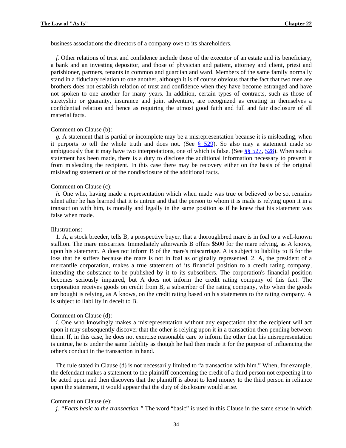<span id="page-41-0"></span>business associations the directors of a company owe to its shareholders.

*f.* Other relations of trust and confidence include those of the executor of an estate and its beneficiary, a bank and an investing depositor, and those of physician and patient, attorney and client, priest and parishioner, partners, tenants in common and guardian and ward. Members of the same family normally stand in a fiduciary relation to one another, although it is of course obvious that the fact that two men are brothers does not establish relation of trust and confidence when they have become estranged and have not spoken to one another for many years. In addition, certain types of contracts, such as those of suretyship or guaranty, insurance and joint adventure, are recognized as creating in themselves a confidential relation and hence as requiring the utmost good faith and full and fair disclosure of all material facts.

#### Comment on Clause (b):

*g.* A statement that is partial or incomplete may be a misrepresentation because it is misleading, when it purports to tell the whole truth and does not. (See  $\frac{8}{529}$ ). So also may a statement made so ambiguously that it may have two interpretations, one of which is false. (See  $\S$ § 527, [528](http://www.westlaw.com/Find/Default.wl?rs=dfa1.0&vr=2.0&DB=101577&DocName=REST2DTORTSs528&FindType=Y)). When such a statement has been made, there is a duty to disclose the additional information necessary to prevent it from misleading the recipient. In this case there may be recovery either on the basis of the original misleading statement or of the nondisclosure of the additional facts.

#### Comment on Clause (c):

*h.* One who, having made a representation which when made was true or believed to be so, remains silent after he has learned that it is untrue and that the person to whom it is made is relying upon it in a transaction with him, is morally and legally in the same position as if he knew that his statement was false when made.

#### Illustrations:

1. A, a stock breeder, tells B, a prospective buyer, that a thoroughbred mare is in foal to a well-known stallion. The mare miscarries. Immediately afterwards B offers \$500 for the mare relying, as A knows, upon his statement. A does not inform B of the mare's miscarriage. A is subject to liability to B for the loss that he suffers because the mare is not in foal as originally represented. 2. A, the president of a mercantile corporation, makes a true statement of its financial position to a credit rating company, intending the substance to be published by it to its subscribers. The corporation's financial position becomes seriously impaired, but A does not inform the credit rating company of this fact. The corporation receives goods on credit from B, a subscriber of the rating company, who when the goods are bought is relying, as A knows, on the credit rating based on his statements to the rating company. A is subject to liability in deceit to B.

#### Comment on Clause (d):

*i.* One who knowingly makes a misrepresentation without any expectation that the recipient will act upon it may subsequently discover that the other is relying upon it in a transaction then pending between them. If, in this case, he does not exercise reasonable care to inform the other that his misrepresentation is untrue, he is under the same liability as though he had then made it for the purpose of influencing the other's conduct in the transaction in hand.

The rule stated in Clause (d) is not necessarily limited to "a transaction with him." When, for example, the defendant makes a statement to the plaintiff concerning the credit of a third person not expecting it to be acted upon and then discovers that the plaintiff is about to lend money to the third person in reliance upon the statement, it would appear that the duty of disclosure would arise.

#### Comment on Clause (e):

*j. "Facts basic to the transaction."* The word "basic" is used in this Clause in the same sense in which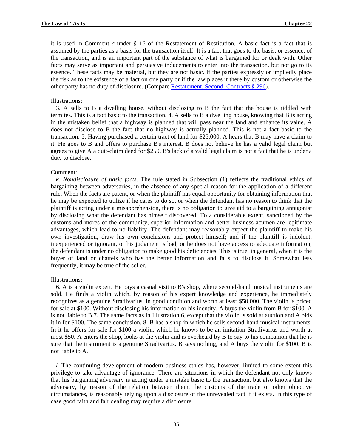<span id="page-42-0"></span>it is used in Comment *c* under § 16 of the Restatement of Restitution. A basic fact is a fact that is assumed by the parties as a basis for the transaction itself. It is a fact that goes to the basis, or essence, of the transaction, and is an important part of the substance of what is bargained for or dealt with. Other facts may serve as important and persuasive inducements to enter into the transaction, but not go to its essence. These facts may be material, but they are not basic. If the parties expressly or impliedly place the risk as to the existence of a fact on one party or if the law places it there by custom or otherwise the other party has no duty of disclosure. (Compare [Restatement, Second, Contracts § 296](http://www.westlaw.com/Find/Default.wl?rs=dfa1.0&vr=2.0&DB=0101603&FindType=Y&SerialNum=0289907322)).

#### Illustrations:

3. A sells to B a dwelling house, without disclosing to B the fact that the house is riddled with termites. This is a fact basic to the transaction. 4. A sells to B a dwelling house, knowing that B is acting in the mistaken belief that a highway is planned that will pass near the land and enhance its value. A does not disclose to B the fact that no highway is actually planned. This is not a fact basic to the transaction. 5. Having purchased a certain tract of land for \$25,000, A hears that B may have a claim to it. He goes to B and offers to purchase B's interest. B does not believe he has a valid legal claim but agrees to give A a quit-claim deed for \$250. B's lack of a valid legal claim is not a fact that he is under a duty to disclose.

#### Comment:

*k. Nondisclosure of basic facts.* The rule stated in Subsection (1) reflects the traditional ethics of bargaining between adversaries, in the absence of any special reason for the application of a different rule. When the facts are patent, or when the plaintiff has equal opportunity for obtaining information that he may be expected to utilize if he cares to do so, or when the defendant has no reason to think that the plaintiff is acting under a misapprehension, there is no obligation to give aid to a bargaining antagonist by disclosing what the defendant has himself discovered. To a considerable extent, sanctioned by the customs and mores of the community, superior information and better business acumen are legitimate advantages, which lead to no liability. The defendant may reasonably expect the plaintiff to make his own investigation, draw his own conclusions and protect himself; and if the plaintiff is indolent, inexperienced or ignorant, or his judgment is bad, or he does not have access to adequate information, the defendant is under no obligation to make good his deficiencies. This is true, in general, when it is the buyer of land or chattels who has the better information and fails to disclose it. Somewhat less frequently, it may be true of the seller.

#### Illustrations:

6. A is a violin expert. He pays a casual visit to B's shop, where second-hand musical instruments are sold. He finds a violin which, by reason of his expert knowledge and experience, he immediately recognizes as a genuine Stradivarius, in good condition and worth at least \$50,000. The violin is priced for sale at \$100. Without disclosing his information or his identity, A buys the violin from B for \$100. A is not liable to B.7. The same facts as in Illustration 6, except that the violin is sold at auction and A bids it in for \$100. The same conclusion. 8. B has a shop in which he sells second-hand musical instruments. In it he offers for sale for \$100 a violin, which he knows to be an imitation Stradivarius and worth at most \$50. A enters the shop, looks at the violin and is overheard by B to say to his companion that he is sure that the instrument is a genuine Stradivarius. B says nothing, and A buys the violin for \$100. B is not liable to A.

*l.* The continuing development of modern business ethics has, however, limited to some extent this privilege to take advantage of ignorance. There are situations in which the defendant not only knows that his bargaining adversary is acting under a mistake basic to the transaction, but also knows that the adversary, by reason of the relation between them, the customs of the trade or other objective circumstances, is reasonably relying upon a disclosure of the unrevealed fact if it exists. In this type of case good faith and fair dealing may require a disclosure.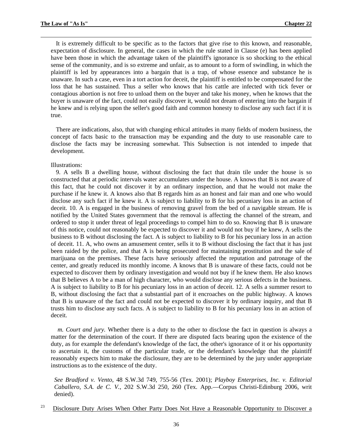<span id="page-43-0"></span>It is extremely difficult to be specific as to the factors that give rise to this known, and reasonable, expectation of disclosure. In general, the cases in which the rule stated in Clause (e) has been applied have been those in which the advantage taken of the plaintiff's ignorance is so shocking to the ethical sense of the community, and is so extreme and unfair, as to amount to a form of swindling, in which the plaintiff is led by appearances into a bargain that is a trap, of whose essence and substance he is unaware. In such a case, even in a tort action for deceit, the plaintiff is entitled to be compensated for the loss that he has sustained. Thus a seller who knows that his cattle are infected with tick fever or contagious abortion is not free to unload them on the buyer and take his money, when he knows that the buyer is unaware of the fact, could not easily discover it, would not dream of entering into the bargain if he knew and is relying upon the seller's good faith and common honesty to disclose any such fact if it is true.

There are indications, also, that with changing ethical attitudes in many fields of modern business, the concept of facts basic to the transaction may be expanding and the duty to use reasonable care to disclose the facts may be increasing somewhat. This Subsection is not intended to impede that development.

#### Illustrations:

9. A sells B a dwelling house, without disclosing the fact that drain tile under the house is so constructed that at periodic intervals water accumulates under the house. A knows that B is not aware of this fact, that he could not discover it by an ordinary inspection, and that he would not make the purchase if he knew it. A knows also that B regards him as an honest and fair man and one who would disclose any such fact if he knew it. A is subject to liability to B for his pecuniary loss in an action of deceit. 10. A is engaged in the business of removing gravel from the bed of a navigable stream. He is notified by the United States government that the removal is affecting the channel of the stream, and ordered to stop it under threat of legal proceedings to compel him to do so. Knowing that B is unaware of this notice, could not reasonably be expected to discover it and would not buy if he knew, A sells the business to B without disclosing the fact. A is subject to liability to B for his pecuniary loss in an action of deceit. 11. A, who owns an amusement center, sells it to B without disclosing the fact that it has just been raided by the police, and that A is being prosecuted for maintaining prostitution and the sale of marijuana on the premises. These facts have seriously affected the reputation and patronage of the center, and greatly reduced its monthly income. A knows that B is unaware of these facts, could not be expected to discover them by ordinary investigation and would not buy if he knew them. He also knows that B believes A to be a man of high character, who would disclose any serious defects in the business. A is subject to liability to B for his pecuniary loss in an action of deceit. 12. A sells a summer resort to B, without disclosing the fact that a substantial part of it encroaches on the public highway. A knows that B is unaware of the fact and could not be expected to discover it by ordinary inquiry, and that B trusts him to disclose any such facts. A is subject to liability to B for his pecuniary loss in an action of deceit.

*m. Court and jury.* Whether there is a duty to the other to disclose the fact in question is always a matter for the determination of the court. If there are disputed facts bearing upon the existence of the duty, as for example the defendant's knowledge of the fact, the other's ignorance of it or his opportunity to ascertain it, the customs of the particular trade, or the defendant's knowledge that the plaintiff reasonably expects him to make the disclosure, they are to be determined by the jury under appropriate instructions as to the existence of the duty.

*See Bradford v. Vento*, 48 S.W.3d 749, 755-56 (Tex. 2001); *Playboy Enterprises, Inc. v. Editorial Caballero, S.A. de C. V.*, 202 S.W.3d 250, 260 (Tex. App.—Corpus Christi-Edinburg 2006, writ denied).

<sup>23</sup> Disclosure Duty Arises When Other Party Does Not Have a Reasonable Opportunity to Discover a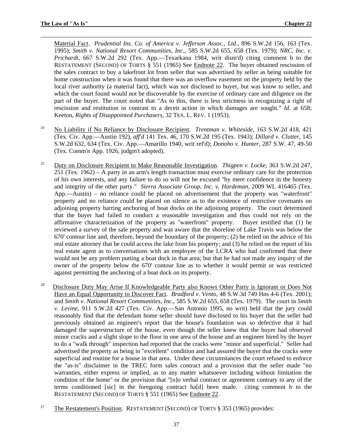<span id="page-44-0"></span>Material Fact. *Prudential Ins. Co. of America v. Jefferson Assoc., Ltd.*, 896 S.W.2d 156, 163 (Tex. 1995); *Smith v. National Resort Communities, Inc.*, 585 S.W.2d 655, 658 (Tex. 1979); *NRC, Inc. v. Prichardt*, 667 S.W.2d 292 (Tex. App.—Texarkana 1984, writ dism'd) citing comment b to the RESTATEMENT (SECOND) OF TORTS § 551 (1965) See Endnote 22. The buyer obtained rescission of the sales contract to buy a lakefront lot from seller that was advertised by seller as being suitable for home construction when it was found that there was an overflow easement on the property held by the local river authority (a material fact), which was not disclosed to buyer, but was know to seller, and which the court found would not be discoverable by the exercise of ordinary care and diligence on the part of the buyer. The court noted that "As to this, there is less strictness in recognizing a right of rescission and restitution in contrast to a deceit action in which damages are sought." *Id.* at 658; Keeton, *Rights of Disappointed Purchasers,* 32 TEX. L. REV. 1 (1953).

- <sup>24</sup> No Liability if No Reliance by Disclosure Recipient. *Trentman v. Whiteside*, 163 S.W.2d 418, 421 (Tex. Civ. App.—Austin 192), *aff'd* 141 Tex. 46, 170 S.W.2d 195 (Tex. 1943); *Dillard v. Clutter*, 145 S.W.2d 632, 634 (Tex. Civ. App.—Amarillo 1940, writ ref'd); *Donoho v. Hunter*, 287 S.W. 47, 49-50 (Tex. Comm'n App. 1926, judgm't adopted).
- <sup>25</sup> Duty on Disclosure Recipient to Make Reasonable Investigation. *Thigpen v. Locke*, 363 S.W.2d 247, 251 (Tex. 1962) – A party in an arm's length transaction must exercise ordinary care for the protection of his own interests, and any failure to do so will not be excused "by mere confidence in the honesty and integrity of the other party." *Sierra Associate Group, Inc. v. Hardeman*, 2009 WL 416465 (Tex. App.—Austin) – no reliance could be placed on advertisement that the property was "waterfront" property and no reliance could be placed on silence as to the existence of restrictive covenants on adjoining property barring anchoring of boat docks on the adjoining property. The court determined that the buyer had failed to conduct a reasonable investigation and thus could not rely on the affirmative characterization of the property as "waterfront" property. Buyer testified that (1) he reviewed a survey of the sale property and was aware that the shoreline of Lake Travis was below the 670' contour line and, therefore, beyond the boundary of the property; (2) he relied on the advice of his real estate attorney that he could access the lake from his property; and (3) he relied on the report of his real estate agent as to conversations with an employee of the LCRA who had confirmed that there would not be any problem putting a boat dock in that area; but that he had not made any inquiry of the owner of the property below the 670' contour line as to whether it would permit or was restricted against permitting the anchoring of a boat dock on its property.
- <sup>26</sup> Disclosure Duty May Arise If Knowledgeable Party also Knows Other Party is Ignorant or Does Not Have an Equal Opportunity to Discover Fact. *Bradford v. Vento,* 48 S.W.3d 749 Hns 4-6 (Tex. 2001); and *Smith v. National Resort Communities, Inc.*, 585 S.W.2d 655, 658 (Tex. 1979). The court in *Smith v. Levine*, 911 S.W.2d 427 (Tex. Civ. App.—San Antonio 1995, no writ) held that the jury could reasonably find that the defendant home seller should have disclosed to his buyer that the seller had previously obtained an engineer's report that the house's foundation was so defective that it had damaged the superstructure of the house, even though the seller knew that the buyer had observed minor cracks and a slight slope to the floor in one area of the house and an engineer hired by the buyer to do a "walk through" inspection had reported that the cracks were "minor and superficial." Seller had advertised the property as being in "excellent" condition and had assured the buyer that the cracks were superficial and routine for a house in that area. Under these circumstances the court refused to enforce the "as-is" disclaimer in the TREC form sales contract and a provision that the seller made "no warranties, either express or implied, as to any matter whatsoever including without limitation the condition of the home" or the provision that "[n]o verbal contract or agreement contrary to any of the terms conditioned [sic] in the foregoing contract ha[d] been made. citing comment b to the RESTATEMENT (SECOND) OF TORTS § 551 (1965) See Endnote 22.
- <sup>27</sup> The Restatement's Position. RESTATEMENT (SECOND) OF TORTS § 353 (1965) provides: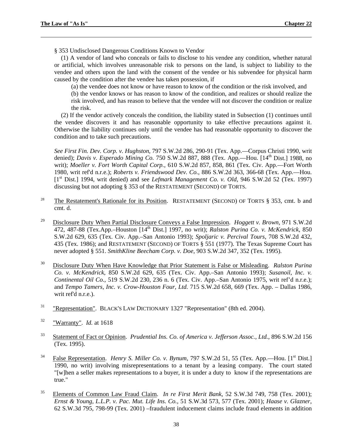<span id="page-45-0"></span>§ 353 Undisclosed Dangerous Conditions Known to Vendor

(1) A vendor of land who conceals or fails to disclose to his vendee any condition, whether natural or artificial, which involves unreasonable risk to persons on the land, is subject to liability to the vendee and others upon the land with the consent of the vendee or his subvendee for physical harm caused by the condition after the vendee has taken possession, if

(a) the vendee does not know or have reason to know of the condition or the risk involved, and

(b) the vendor knows or has reason to know of the condition, and realizes or should realize the risk involved, and has reason to believe that the vendee will not discover the condition or realize the risk.

(2) If the vendor actively conceals the condition, the liability stated in Subsection (1) continues until the vendee discovers it and has reasonable opportunity to take effective precautions against it. Otherwise the liability continues only until the vendee has had reasonable opportunity to discover the condition and to take such precautions.

*See First Fin. Dev. Corp. v. Hughston*, 797 S.W.2d 286, 290-91 (Tex. App.—Corpus Christi 1990, writ denied); *Davis v. Esperado Mining Co.* 750 S.W.2d 887, 888 (Tex. App.—Hou. [14<sup>th</sup> Dist.] 1988, no writ); *Moeller v. Fort Worth Capital Corp.*, 610 S.W.2d 857, 858, 861 (Tex. Civ. App.—Fort Worth 1980, writ ref'd n.r.e.); *Roberts v. Friendswood Dev. Co.*, 886 S.W.2d 363, 366-68 (Tex. App.—Hou. [1st Dist.] 1994, writ denied) and see *Lefmark Management Co. v. Old*, 946 S.W.2d 52 (Tex. 1997) discussing but not adopting § 353 of the RESTATEMENT (SECOND) OF TORTS.

- <sup>28</sup> The Restatement's Rationale for its Position. RESTATEMENT (SECOND) OF TORTS  $\S$  353, cmt. b and cmt. d.
- 29 Disclosure Duty When Partial Disclosure Conveys a False Impression. *Hoggett v. Brown*, 971 S.W.2d 472, 487-88 (Tex.App.–Houston [14th Dist.] 1997, no writ); *Ralston Purina Co. v. McKendrick*, 850 S.W.2d 629, 635 (Tex. Civ. App.–San Antonio 1993); *Spoljaric v. Percival Tours*, 708 S.W.2d 432, 435 (Tex. 1986); and RESTATEMENT (SECOND) OF TORTS § 551 (1977). The Texas Supreme Court has never adopted § 551. *SmithKline Beecham Corp. v. Doe*, 903 S.W.2d 347, 352 (Tex. 1995).
- 30 Disclosure Duty When Have Knowledge that Prior Statement is False or Misleading. *Ralston Purina Co. v. McKendrick*, 850 S.W.2d 629, 635 (Tex. Civ. App.–San Antonio 1993); *Susanoil, Inc. v. Continental Oil Co.*, 519 S.W.2d 230, 236 n. 6 (Tex. Civ. App.–San Antonio 1975, writ ref'd n.r.e.); and *Tempo Tamers, Inc. v. Crow-Houston Four, Ltd.* 715 S.W.2d 658, 669 (Tex. App. – Dallas 1986, writ ref'd n.r.e.).
- 31 "Representation". BLACK'S LAW DICTIONARY 1327 "Representation" (8th ed. 2004).
- 32 "Warranty". *Id.* at 1618
- 33 Statement of Fact or Opinion. *Prudential Ins. Co. of America v. Jefferson Assoc., Ltd.*, 896 S.W.2d 156 (Tex. 1995).
- <sup>34</sup> False Representation. *Henry S. Miller Co. v. Bynum*, 797 S.W.2d 51, 55 (Tex. App.—Hou. [1<sup>st</sup> Dist.] 1990, no writ) involving misrepresentations to a tenant by a leasing company. The court stated "[w]hen a seller makes representations to a buyer, it is under a duty to know if the representations are true."
- 35 Elements of Common Law Fraud Claim. *In re First Merit Bank*, 52 S.W.3d 749, 758 (Tex. 2001); *Ernst & Young, L.L.P. v. Pac. Mut. Life Ins. Co.,* 51 S.W.3d 573, 577 (Tex. 2001); *Haase v. Glazner*, 62 S.W.3d 795, 798-99 (Tex. 2001) –fraudulent inducement claims include fraud elements in addition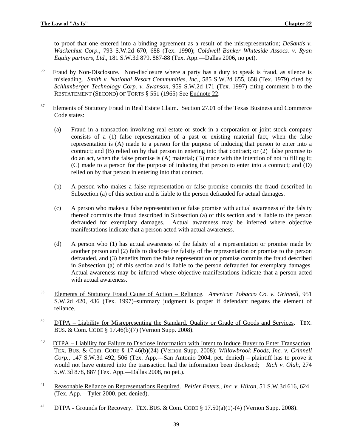to proof that one entered into a binding agreement as a result of the misrepresentation; *DeSantis v. Wackenhut Corp.*, 793 S.W.2d 670, 688 (Tex. 1990); *Coldwell Banker Whiteside Assocs. v. Ryan Equity partners, Ltd.*, 181 S.W.3d 879, 887-88 (Tex. App.—Dallas 2006, no pet).

- <span id="page-46-0"></span><sup>36</sup> Fraud by Non-Disclosure. Non-disclosure where a party has a duty to speak is fraud, as silence is misleading. *Smith v. National Resort Communities, Inc.*, 585 S.W.2d 655, 658 (Tex. 1979) cited by *Schlumberger Technology Corp. v. Swanson*, 959 S.W.2d 171 (Tex. 1997) citing comment b to the RESTATEMENT (SECOND) OF TORTS § 551 (1965) See Endnote 22.
- <sup>37</sup> Elements of Statutory Fraud in Real Estate Claim. Section 27.01 of the Texas Business and Commerce Code states:
	- (a) Fraud in a transaction involving real estate or stock in a corporation or joint stock company consists of a (1) false representation of a past or existing material fact, when the false representation is (A) made to a person for the purpose of inducing that person to enter into a contract; and (B) relied on by that person in entering into that contract; or (2) false promise to do an act, when the false promise is (A) material; (B) made with the intention of not fulfilling it; (C) made to a person for the purpose of inducing that person to enter into a contract; and (D) relied on by that person in entering into that contract.
	- (b) A person who makes a false representation or false promise commits the fraud described in Subsection (a) of this section and is liable to the person defrauded for actual damages.
	- (c) A person who makes a false representation or false promise with actual awareness of the falsity thereof commits the fraud described in Subsection (a) of this section and is liable to the person defrauded for exemplary damages. Actual awareness may be inferred where objective manifestations indicate that a person acted with actual awareness.
	- (d) A person who (1) has actual awareness of the falsity of a representation or promise made by another person and (2) fails to disclose the falsity of the representation or promise to the person defrauded, and (3) benefits from the false representation or promise commits the fraud described in Subsection (a) of this section and is liable to the person defrauded for exemplary damages. Actual awareness may be inferred where objective manifestations indicate that a person acted with actual awareness.
- <sup>38</sup> Elements of Statutory Fraud Cause of Action Reliance. *American Tobacco Co. v. Grinnell*, 951 S.W.2d 420, 436 (Tex. 1997)–summary judgment is proper if defendant negates the element of reliance.
- <sup>39</sup> DTPA Liability for Misrepresenting the Standard, Quality or Grade of Goods and Services. TEX. BUS. & Com. CODE § 17.46(b)(7) (Vernon Supp. 2008).
- $^{40}$  DTPA Liability for Failure to Disclose Information with Intent to Induce Buyer to Enter Transaction. TEX. BUS. & Com. CODE § 17.46(b)(24) (Vernon Supp. 2008); *Willowbrook Foods, Inc. v. Grinnell Corp.*, 147 S.W.3d 492, 506 (Tex. App.—San Antonio 2004, pet. denied) – plaintiff has to prove it would not have entered into the transaction had the information been disclosed; *Rich v. Olah*, 274 S.W.3d 878, 887 (Tex. App.—Dallas 2008, no pet.).
- <sup>41</sup> Reasonable Reliance on Representations Required. *Peltier Enters., Inc. v. Hilton*, 51 S.W.3d 616, 624 (Tex. App.—Tyler 2000, pet. denied).
- <sup>42</sup> DTPA Grounds for Recovery. TEX. BUS. & Com. CODE § 17.50(a)(1)-(4) (Vernon Supp. 2008).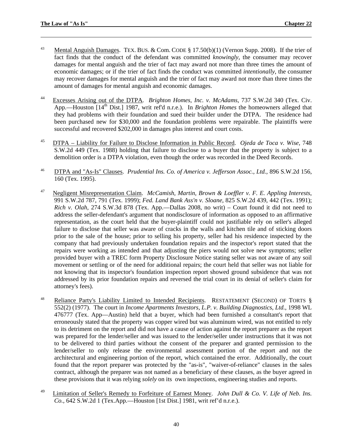- <sup>43</sup> Mental Anguish Damages. TEX. BUS. & Com. CODE § 17.50(b)(1) (Vernon Supp. 2008). If the trier of fact finds that the conduct of the defendant was committed *knowingly*, the consumer may recover damages for mental anguish and the trier of fact may award not more than three times the amount of economic damages; or if the trier of fact finds the conduct was committed *intentionally*, the consumer may recover damages for mental anguish and the trier of fact may award not more than three times the amount of damages for mental anguish and economic damages.
- 44 Excesses Arising out of the DTPA. *Brighton Homes, Inc. v. McAdams*, 737 S.W.2d 340 (Tex. Civ. App.—Houston [14<sup>th</sup> Dist.] 1987, writ ref'd n.r.e.). In *Brighton Homes* the homeowners alleged that they had problems with their foundation and sued their builder under the DTPA. The residence had been purchased new for \$30,000 and the foundation problems were repairable. The plaintiffs were successful and recovered \$202,000 in damages plus interest and court costs.
- 45 DTPA Liability for Failure to Disclose Information in Public Record. *Ojeda de Toca v. Wise,* 748 S.W.2d 449 (Tex. 1988) holding that failure to disclose to a buyer that the property is subject to a demolition order is a DTPA violation, even though the order was recorded in the Deed Records.
- <sup>46</sup> DTPA and "As-Is" Clauses. *Prudential Ins. Co. of America v. Jefferson Assoc., Ltd.*, 896 S.W.2d 156, 160 (Tex. 1995).
- 47 Negligent Misrepresentation Claim. *McCamish, Martin, Brown & Loeffler v. F. E. Appling Interests*, 991 S.W.2d 787, 791 (Tex. 1999); *Fed. Land Bank Ass'n v. Sloane*, 825 S.W.2d 439, 442 (Tex. 1991); *Rich v. Olah*, 274 S.W.3d 878 (Tex. App.—Dallas 2008, no writ) – Court found it did not need to address the seller-defendant's argument that nondisclosure of information as opposed to an affirmative representation, as the court held that the buyer-plaintiff could not justifiable rely on seller's alleged failure to disclose that seller was aware of cracks in the walls and kitchen tile and of sticking doors prior to the sale of the house; prior to selling his property, seller had his residence inspected by the company that had previously undertaken foundation repairs and the inspector's report stated that the repairs were working as intended and that adjusting the piers would not solve new symptoms; seller provided buyer with a TREC form Property Disclosure Notice stating seller was not aware of any soil movement or settling or of the need for additional repairs; the court held that seller was not liable for not knowing that its inspector's foundation inspection report showed ground subsidence that was not addressed by its prior foundation repairs and reversed the trial court in its denial of seller's claim for attorney's fees).
- <sup>48</sup> Reliance Party's Liability Limited to Intended Recipients. RESTATEMENT (SECOND) OF TORTS § 552(2) (1977). The court in *Income Apartments Investors, L.P. v. Building Diagnostics, Ltd.*, 1998 WL 476777 (Tex. App—Austin) held that a buyer, which had been furnished a consultant's report that erroneously stated that the property was copper wired but was aluminum wired, was not entitled to rely to its detriment on the report and did not have a cause of action against the report preparer as the report was prepared for the lender/seller and was issued to the lender/seller under instructions that it was not to be delivered to third parties without the consent of the preparer and granted permission to the lender/seller to only release the environmental assessment portion of the report and not the architectural and engineering portion of the report, which contained the error. Additionally, the court found that the report preparer was protected by the "as-is", "waiver-of-reliance" clauses in the sales contract, although the preparer was not named as a beneficiary of these clauses, as the buyer agreed in these provisions that it was relying *solely* on its own inspections, engineering studies and reports.
- 49 Limitation of Seller's Remedy to Forfeiture of Earnest Money. *John Dull & Co. V. Life of Neb. Ins. Co.,* 642 S.W.2d 1 (Tex.App.—Houston [1st Dist.] 1981, writ ref'd n.r.e.).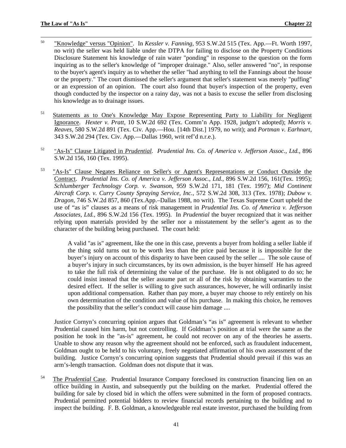- <sup>50</sup> "Knowledge" versus "Opinion". In *Kessler v. Fanning*, 953 S.W.2d 515 (Tex. App.—Ft. Worth 1997, no writ) the seller was held liable under the DTPA for failing to disclose on the Property Conditions Disclosure Statement his knowledge of rain water "ponding" in response to the question on the form inquiring as to the seller's knowledge of "improper drainage." Also, seller answered "no", in response to the buyer's agent's inquiry as to whether the seller "had anything to tell the Fannings about the house or the property." The court dismissed the seller's argument that seller's statement was merely "puffing" or an expression of an opinion. The court also found that buyer's inspection of the property, even though conducted by the inspector on a rainy day, was not a basis to excuse the seller from disclosing his knowledge as to drainage issues.
- <sup>51</sup> Statements as to One's Knowledge May Expose Representing Party to Liability for Negligent Ignorance. *Hexter v. Pratt,* 10 S.W.2d 692 (Tex. Comm'n App. 1928, judgm't adopted); *Morris v. Reaves,* 580 S.W.2d 891 (Tex. Civ. App.—Hou. [14th Dist.] 1979, no writ); and *Portman v. Earhnart,* 343 S.W.2d 294 (Tex. Civ. App.—Dallas 1960, writ ref'd n.r.e.).
- 52 "As-Is" Clause Litigated in *Prudential*. *Prudential Ins. Co. of America v. Jefferson Assoc., Ltd.*, 896 S.W.2d 156, 160 (Tex. 1995).
- 53 "As-Is" Clause Negates Reliance on Seller's or Agent's Representations or Conduct Outside the Contract. *Prudential Ins. Co. of America v. Jefferson Assoc., Ltd.*, 896 S.W.2d 156, 161(Tex. 1995); *Schlumberger Technology Corp. v. Swanson*, 959 S.W.2d 171, 181 (Tex. 1997); *Mid Continent Aircraft Corp. v. Curry County Spraying Service, Inc.*, 572 S.W.2d 308, 313 (Tex. 1978); *Dubow v. Dragon*, 746 S.W.2d 857, 860 (Tex.App.–Dallas 1988, no writ). The Texas Supreme Court upheld the use of "as is" clauses as a means of risk management in *Prudential Ins. Co. of America v. Jefferson Associates, Ltd.*, 896 S.W.2d 156 (Tex. 1995). In *Prudential* the buyer recognized that it was neither relying upon materials provided by the seller nor a misstatement by the seller's agent as to the character of the building being purchased. The court held:

A valid "as is" agreement, like the one in this case, prevents a buyer from holding a seller liable if the thing sold turns out to be worth less than the price paid because it is impossible for the buyer's injury on account of this disparity to have been caused by the seller .... The sole cause of a buyer's injury in such circumstances, by its own admission, is the buyer himself He has agreed to take the full risk of determining the value of the purchase. He is not obligated to do so; he could insist instead that the seller assume part or all of the risk by obtaining warranties to the desired effect. If the seller is willing to give such assurances, however, he will ordinarily insist upon additional compensation. Rather than pay more, a buyer may choose to rely entirely on his own determination of the condition and value of his purchase. In making this choice, he removes the possibility that the seller's conduct will cause him damage ....

Justice Cornyn's concurring opinion argues that Goldman's "as is" agreement is relevant to whether Prudential caused him harm, but not controlling. If Goldman's position at trial were the same as the position he took in the "as-is" agreement, he could not recover on any of the theories he asserts. Unable to show any reason why the agreement should not be enforced, such as fraudulent inducement, Goldman ought to be held to his voluntary, freely negotiated affirmation of his own assessment of the building. Justice Cornyn's concurring opinion suggests that Prudential should prevail if this was an arm's-length transaction. Goldman does not dispute that it was.

54 The *Prudential* Case. Prudential Insurance Company foreclosed its construction financing lien on an office building in Austin, and subsequently put the building on the market. Prudential offered the building for sale by closed bid in which the offers were submitted in the form of proposed contracts. Prudential permitted potential bidders to review financial records pertaining to the building and to inspect the building. F. B. Goldman, a knowledgeable real estate investor, purchased the building from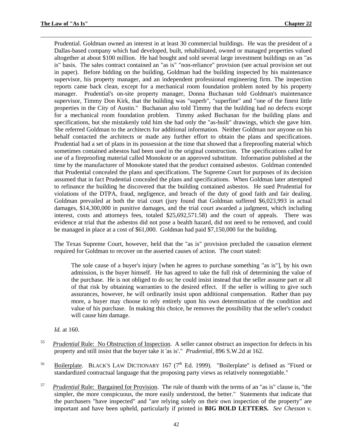Prudential. Goldman owned an interest in at least 30 commercial buildings. He was the president of a Dallas-based company which had developed, built, rehabilitated, owned or managed properties valued altogether at about \$100 million. He had bought and sold several large investment buildings on an "as is" basis. The sales contract contained an "as is" "non-reliance" provision (see actual provision set out in paper). Before bidding on the building, Goldman had the building inspected by his maintenance supervisor, his property manager, and an independent professional engineering firm. The inspection reports came back clean, except for a mechanical room foundation problem noted by his property manager. Prudential's on-site property manager, Donna Buchanan told Goldman's maintenance supervisor, Timmy Don Kirk, that the building was "superb", "superfine" and "one of the finest little properties in the City of Austin." Buchanan also told Timmy that the building had no defects except for a mechanical room foundation problem. Timmy asked Buchanan for the building plans and specifications, but she mistakenly told him she had only the "as-built" drawings, which she gave him. She referred Goldman to the architects for additional information. Neither Goldman nor anyone on his behalf contacted the architects or made any further effort to obtain the plans and specifications. Prudential had a set of plans in its possession at the time that showed that a fireproofing material which sometimes contained asbestos had been used in the original construction. The specifications called for use of a fireproofing material called Monokote or an approved substitute. Information published at the time by the manufacturer of Monokote stated that the product contained asbestos. Goldman contended that Prudential concealed the plans and specifications. The Supreme Court for purposes of its decision assumed that in fact Prudential concealed the plans and specifications. When Goldman later attempted to refinance the building he discovered that the building contained asbestos. He sued Prudential for violations of the DTPA, fraud, negligence, and breach of the duty of good faith and fair dealing. Goldman prevailed at both the trial court (jury found that Goldman suffered \$6,023,993 in actual damages, \$14,300,000 in punitive damages, and the trial court awarded a judgment, which including interest, costs and attorneys fees, totaled \$25,692,571.58) and the court of appeals. There was evidence at trial that the asbestos did not pose a health hazard, did not need to be removed, and could be managed in place at a cost of \$61,000. Goldman had paid \$7,150,000 for the building.

The Texas Supreme Court, however, held that the "as is" provision precluded the causation element required for Goldman to recover on the asserted causes of action. The court stated:

The sole cause of a buyer's injury [when he agrees to purchase something "as is"], by his own admission, is the buyer himself. He has agreed to take the full risk of determining the value of the purchase. He is not obliged to do so; he could insist instead that the seller assume part or all of that risk by obtaining warranties to the desired effect. If the seller is willing to give such assurances, however, he will ordinarily insist upon additional compensation. Rather than pay more, a buyer may choose to rely entirely upon his own determination of the condition and value of his purchase. In making this choice, he removes the possibility that the seller's conduct will cause him damage.

*Id.* at 160.

- 55 *Prudential* Rule: No Obstruction of Inspection. A seller cannot obstruct an inspection for defects in his property and still insist that the buyer take it 'as is'." *Prudential,* 896 S.W.2d at 162.
- <sup>56</sup> Boilerplate. BLACK'S LAW DICTIONARY 167 ( $7<sup>th</sup>$  Ed. 1999). "Boilerplate" is defined as "Fixed or standardized contractual language that the proposing party views as relatively nonnegotiable."
- 57 *Prudential* Rule: Bargained for Provision. The rule of thumb with the terms of an "as is" clause is, "the simpler, the more conspicuous, the more easily understood, the better." Statements that indicate that the purchasers "have inspected" and "are relying solely on their own inspection of the property" are important and have been upheld, particularly if printed in **BIG BOLD LETTERS.** *See Chesson v.*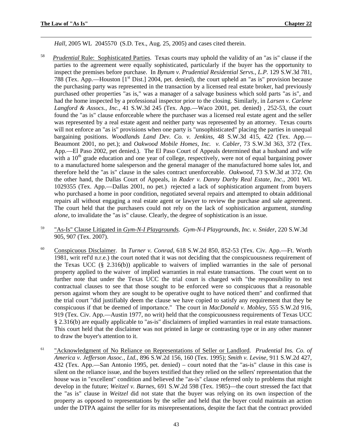*Hall*, 2005 WL 2045570 (S.D. Tex., Aug. 25, 2005) and cases cited therein.

- 58 *Prudential* Rule: Sophisticated Parties. Texas courts may uphold the validity of an "as is" clause if the parties to the agreement were equally sophisticated, particularly if the buyer has the opportunity to inspect the premises before purchase. In *Bynum v. Prudential Residential Servs., L.P.* 129 S.W.3d 781, 788 (Tex. App.—Houston [1<sup>st</sup> Dist.] 2004, pet. denied), the court upheld an "as is" provision because the purchasing party was represented in the transaction by a licensed real estate broker, had previously purchased other properties "as is," was a manager of a salvage business which sold parts "as is", and had the home inspected by a professional inspector prior to the closing. Similarly, in *Larsen v. Carlene Langford & Assocs., Inc.,* 41 S.W.3d 245 (Tex. App.—Waco 2001, pet. denied) , 252-53, the court found the "as is" clause enforceable where the purchaser was a licensed real estate agent and the seller was represented by a real estate agent and neither party was represented by an attorney. Texas courts will not enforce an "as is" provisions when one party is "unsophisticated" placing the parties in unequal bargaining positions. *Woodland*s *Land Dev. Co. v. Jenkins*, 48 S.W.3d 415, 422 (Tex. App.— Beaumont 2001, no pet.); and *Oakwood Mobile Homes, Inc. v. Cabler*, 73 S.W.3d 363, 372 (Tex. App.—El Paso 2002, pet denied.). The El Paso Court of Appeals determined that a husband and wife with a  $10<sup>th</sup>$  grade education and one year of college, respectively, were not of equal bargaining power to a manufactured home salesperson and the general manager of the manufactured home sales lot, and therefore held the "as is" clause in the sales contract unenforceable. *Oakwood*, 73 S.W.3d at 372. On the other hand, the Dallas Court of Appeals, in *Rader v. Danny Darby Real Estate, Inc.*, 2001 WL 1029355 (Tex. App.—Dallas 2001, no pet.) rejected a lack of sophistication argument from buyers who purchased a home in poor condition, negotiated several repairs and attempted to obtain additional repairs all without engaging a real estate agent or lawyer to review the purchase and sale agreement. The court held that the purchasers could not rely on the lack of sophistication argument, *standing alone,* to invalidate the "as is" clause. Clearly, the degree of sophistication is an issue.
- <sup>59</sup> "As-Is" Clause Litigated in *Gym-N-I Playgrounds. Gym-N-I Playgrounds, Inc. v. Snider*, 220 S.W.3d 905, 907 (Tex. 2007).
- 60 Conspicuous Disclaimer. In *Turner v. Conrad*, 618 S.W.2d 850, 852-53 (Tex. Civ. App.—Ft. Worth 1981, writ ref'd n.r.e.) the court noted that it was not deciding that the conspicuousness requirement of the Texas UCC (§ 2.316(b)) applicable to waivers of implied warranties in the sale of personal property applied to the waiver of implied warranties in real estate transactions. The court went on to further note that under the Texas UCC the trial court is charged with "the responsibility to test contractual clauses to see that those sought to be enforced were so conspicuous that a reasonable person against whom they are sought to be operative ought to have noticed them" and confirmed that the trial court "did justifiably deem the clause we have copied to satisfy any requirement that they be conspicuous if that be deemed of importance." The court in *MacDonald v. Mobley*, 555 S.W.2d 916, 919 (Tex. Civ. App.—Austin 1977, no writ) held that the conspicuousness requirements of Texas UCC § 2.316(b) are equally applicable to "as-is" disclaimers of implied warranties in real estate transactions. This court held that the disclaimer was not printed in large or contrasting type or in any other manner to draw the buyer's attention to it.
- <sup>61</sup> "Acknowledgment of No Reliance on Representations of Seller or Landlord. *Prudential Ins. Co. of America v. Jefferson Assoc., Ltd.*, 896 S.W.2d 156, 160 (Tex. 1995); *Smith v. Levine,* 911 S.W.2d 427, 432 (Tex. App.—San Antonio 1995, pet. denied) – court noted that the "as-is" clause in this case is silent on the reliance issue, and the buyers testified that they relied on the sellers' representation that the house was in "excellent" condition and believed the "as-is" clause referred only to problems that might develop in the future; *Weitzel v. Barnes*, 691 S.W.2d 598 (Tex. 1985)—the court stressed the fact that the "as is" clause in *Weitzel* did not state that the buyer was relying on its own inspection of the property as opposed to representations by the seller and held that the buyer could maintain an action under the DTPA against the seller for its misrepresentations, despite the fact that the contract provided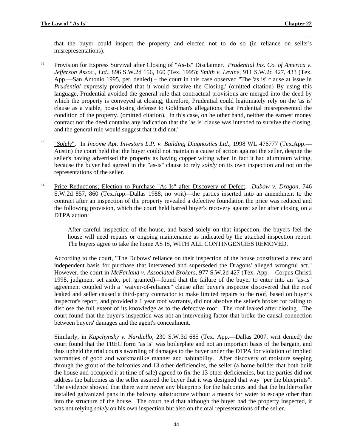that the buyer could inspect the property and elected not to do so (in reliance on seller's misrepresentations).

- <sup>62</sup> Provision for Express Survival after Closing of "As-Is" Disclaimer. *Prudential Ins. Co. of America v. Jefferson Assoc., Ltd.*, 896 S.W.2d 156, 160 (Tex. 1995); *Smith v. Levine,* 911 S.W.2d 427, 433 (Tex. App.—San Antonio 1995, pet. denied) – the court in this case observed "The 'as is' clause at issue in *Prudential* expressly provided that it would 'survive the Closing.' (omitted citation) By using this language, Prudential avoided the general rule that contractual provisions are merged into the deed by which the property is conveyed at closing; therefore, Prudential could legitimately rely on the 'as is' clause as a viable, post-closing defense to Goldman's allegations that Prudential misrepresented the condition of the property. (omitted citation). In this case, on he other hand, neither the earnest money contract nor the deed contains any indication that the 'as is' clause was intended to survive the closing, and the general rule would suggest that it did not."
- <sup>63</sup> "*Solely*". In *Income Apt. Investors L.P. v. Building Diagnostics Ltd.*, 1998 WL 476777 (Tex.App.— Austin) the court held that the buyer could not maintain a cause of action against the seller, despite the seller's having advertised the property as having copper wiring when in fact it had aluminum wiring, because the buyer had agreed in the "as-is" clause to rely *solely* on its own inspection and not on the representations of the seller.
- <sup>64</sup> Price Reductions; Election to Purchase "As Is" after Discovery of Defect. *Dubow v. Dragon*, 746 S.W.2d 857, 860 (Tex.App.–Dallas 1988, no writ)—the parties inserted into an amendment to the contract after an inspection of the property revealed a defective foundation the price was reduced and the following provision, which the court held barred buyer's recovery against seller after closing on a DTPA action:

After careful inspection of the house, and based solely on that inspection, the buyers feel the house will need repairs or ongoing maintenance as indicated by the attached inspection report. The buyers agree to take the home AS IS, WITH ALL CONTINGENCIES REMOVED.

According to the court, "The Dubows' reliance on their inspection of the house constituted a new and independent basis for purchase that intervened and superseded the Dragons' alleged wrongful act." However, the court in *McFarland v. Associated Brokers*, 977 S.W.2d 427 (Tex. App.—Corpus Christi 1998, judgment set aside, pet. granted)—found that the failure of the buyer to enter into an "as-is" agreement coupled with a "waiver-of-reliance" clause after buyer's inspector discovered that the roof leaked and seller caused a third-party contractor to make limited repairs to the roof, based on buyer's inspector's report, and provided a 1 year roof warranty, did not absolve the seller's broker for failing to disclose the full extent of its knowledge as to the defective roof. The roof leaked after closing. The court found that the buyer's inspection was not an intervening factor that broke the causal connection between buyers' damages and the agent's concealment.

Similarly, in *Kupchynsky v. Nardiello*, 230 S.W.3d 685 (Tex. App.—Dallas 2007, writ denied) the court found that the TREC form "as is" was boilerplate and not an important basis of the bargain, and thus upheld the trial court's awarding of damages to the buyer under the DTPA for violation of implied warranties of good and workmanlike manner and habitability. After discovery of moisture seeping through the grout of the balconies and 13 other deficiencies, the seller (a home builder that both built the house and occupied it at time of sale) agreed to fix the 13 other deficiencies, but the parties did not address the balconies as the seller assured the buyer that it was designed that way "per the blueprints". The evidence showed that there were never any blueprints for the balconies and that the builder/seller installed galvanized pans in the balcony substructure without a means for water to escape other than into the structure of the house. The court held that although the buyer had the property inspected, it was not relying *solely* on his own inspection but also on the oral representations of the seller.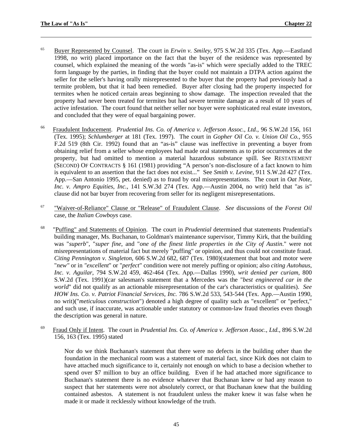- <sup>65</sup> Buyer Represented by Counsel. The court in *Erwin v. Smiley*, 975 S.W.2d 335 (Tex. App.—Eastland 1998, no writ) placed importance on the fact that the buyer of the residence was represented by counsel, which explained the meaning of the words "as-is" which were specially added to the TREC form language by the parties, in finding that the buyer could not maintain a DTPA action against the seller for the seller's having orally misrepresented to the buyer that the property had previously had a termite problem, but that it had been remedied. Buyer after closing had the property inspected for termites when he noticed certain areas beginning to show damage. The inspection revealed that the property had never been treated for termites but had severe termite damage as a result of 10 years of active infestation. The court found that neither seller nor buyer were sophisticated real estate investors, and concluded that they were of equal bargaining power.
- 66 Fraudulent Inducement. *Prudential Ins. Co. of America v. Jefferson Assoc., Ltd.*, 96 S.W.2d 156, 161 (Tex. 1995); *Schlumberger* at 181 (Tex. 1997). The court in *Gopher Oil Co. v. Union Oil Co.,* 955 F.2d 519 (8th Cir. 1992) found that an "as-is" clause was ineffective in preventing a buyer from obtaining relief from a seller whose employees had made oral statements as to prior occurrences at the property, but had omitted to mention a material hazardous substance spill. See RESTATEMENT (SECOND) OF CONTRACTS § 161 (1981) providing "A person's non-disclosure of a fact known to him is equivalent to an assertion that the fact does not exist..." See *Smith v. Levine,* 911 S.W.2d 427 (Tex. App.—San Antonio 1995, pet. denied) as to fraud by oral misrepresentations. The court in *Oat Note, Inc. v. Ampro Equities*, *Inc.*, 141 S.W.3d 274 (Tex. App.—Austin 2004, no writ) held that "as is" clause did not bar buyer from recovering from seller for its negligent misrepresentations.
- <sup>67</sup> "Waiver-of-Reliance" Clause or "Release" of Fraudulent Clause. *See* discussions of the *Forest Oil*  case, the *Italian Cowboys* case.
- 68 "Puffing" and Statements of Opinion. The court in *Prudential* determined that statements Prudential's building manager, Ms. Buchanan, to Goldman's maintenance supervisor, Timmy Kirk, that the building was "*superb*", "*super fine*, and "*one of the finest little properties in the City of Austin*." were not misrepresentations of material fact but merely "puffing" or opinion, and thus could not constitute fraud. *Citing Pennington v. Singleton*, 606 S.W.2d 682, 687 (Tex. 1980)(statement that boat and motor were "*new"* or in *"excellent*" or "*perfect*" condition were not merely puffing or opinion; also *citing Autohaus, Inc. v. Aguilar*, 794 S.W.2d 459, 462-464 (Tex. App.—Dallas 1990), *writ denied per curiam*, 800 S.W.2d (Tex. 1991)(car salesman's statement that a Mercedes was the "*best engineered car in the world*" did not qualify as an actionable misrepresentation of the car's characteristics or qualities). *See HOW Ins. Co. v. Patriot Financial Services, Inc.* 786 S.W.2d 533, 543-544 (Tex. App.—Austin 1990, no writ)("*meticulous construction*") denoted a high degree of quality such as "excellent" or "perfect," and such use, if inaccurate, was actionable under statutory or common-law fraud theories even though the description was general in nature.
- 69 Fraud Only if Intent. The court in *Prudential Ins. Co. of America v. Jefferson Assoc., Ltd.*, 896 S.W.2d 156, 163 (Tex. 1995) stated

Nor do we think Buchanan's statement that there were no defects in the building other than the foundation in the mechanical room was a statement of material fact, since Kirk does not claim to have attached much significance to it, certainly not enough on which to base a decision whether to spend over \$7 million to buy an office building. Even if he had attached more significance to Buchanan's statement there is no evidence whatever that Buchanan knew or had any reason to suspect that her statements were not absolutely correct, or that Buchanan knew that the building contained asbestos. A statement is not fraudulent unless the maker knew it was false when he made it or made it recklessly without knowledge of the truth.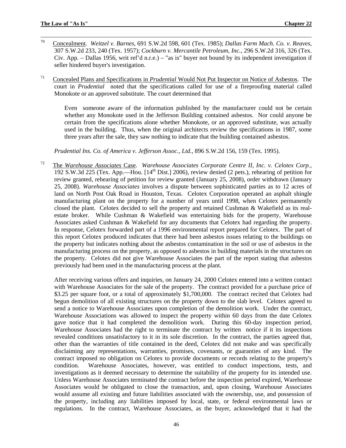- $70\,$ 70 Concealment. *Weitzel v. Barnes*, 691 S.W.2d 598, 601 (Tex. 1985); *Dallas Farm Mach. Co. v. Reaves*, 307 S.W.2d 233, 240 (Tex. 1957); *Cockburn v. Mercantile Petroleum, Inc.*, 296 S.W.2d 316, 326 (Tex. Civ. App. – Dallas 1956, writ ref'd n.r.e.) – "as is" buyer not bound by its independent investigation if seller hindered buyer's investigation.
- 71 Concealed Plans and Specifications in *Prudential* Would Not Put Inspector on Notice of Asbestos. The court in *Prudential* noted that the specifications called for use of a fireproofing material called Monokote or an approved substitute. The court determined that

Even someone aware of the information published by the manufacturer could not be certain whether any Monokote used in the Jefferson Building contained asbestos. Nor could anyone be certain from the specifications alone whether Monokote, or an approved substitute, was actually used in the building. Thus, when the original architects review the specifications in 1987, some three years after the sale, they saw nothing to indicate that the building contained asbestos.

*Prudential Ins. Co. of America v. Jefferson Assoc., Ltd.*, 896 S.W.2d 156, 159 (Tex. 1995).

72 The *Warehouse Associates* Case. *Warehouse Associates Corporate Centre II, Inc. v. Celotex Corp.*, 192 S.W.3d 225 (Tex. App.—Hou. [14th Dist.] 2006), review denied (2 pets.), rehearing of petition for review granted, rehearing of petition for review granted (January 25, 2008), order withdrawn (January 25, 2008). *Warehouse Associates* involves a dispute between sophisticated parties as to 12 acres of land on North Post Oak Road in Houston, Texas. Celotex Corporation operated an asphalt shingle manufacturing plant on the property for a number of years until 1998, when Celotex permanently closed the plant. Celotex decided to sell the property and retained Cushman & Wakefield as its realestate broker. While Cushman & Wakefield was entertaining bids for the property, Warehouse Associates asked Cushman & Wakefield for any documents that Celotex had regarding the property. In response, Celotex forwarded part of a 1996 environmental report prepared for Celotex. The part of this report Celotex produced indicates that there had been asbestos issues relating to the buildings on the property but indicates nothing about the asbestos contamination in the soil or use of asbestos in the manufacturing process on the property, as opposed to asbestos in building materials in the structures on the property. Celotex did not give Warehouse Associates the part of the report stating that asbestos previously had been used in the manufacturing process at the plant.

After receiving various offers and inquiries, on January 24, 2000 Celotex entered into a written contact with Warehouse Associates for the sale of the property. The contract provided for a purchase price of \$3.25 per square foot, or a total of approximately \$1,700,000. The contract recited that Celotex had begun demolition of all existing structures on the property down to the slab level. Celotex agreed to send a notice to Warehouse Associates upon completion of the demolition work. Under the contract, Warehouse Associations was allowed to inspect the property within 60 days from the date Celotex gave notice that it had completed the demolition work. During this 60-day inspection period, Warehouse Associates had the right to terminate the contract by written notice if it its inspections revealed conditions unsatisfactory to it in its sole discretion. In the contract, the parties agreed that, other than the warranties of title contained in the deed, Celotex did not make and was specifically disclaiming any representations, warranties, promises, covenants, or guaranties of any kind. The contract imposed no obligation on Celotex to provide documents or records relating to the property's condition. Warehouse Associates, however, was entitled to conduct inspections, tests, and investigations as it deemed necessary to determine the suitability of the property for its intended use. Unless Warehouse Associates terminated the contract before the inspection period expired, Warehouse Associates would be obligated to close the transaction, and, upon closing, Warehouse Associates would assume all existing and future liabilities associated with the ownership, use, and possession of the property, including any liabilities imposed by local, state, or federal environmental laws or regulations. In the contract, Warehouse Associates, as the buyer, acknowledged that it had the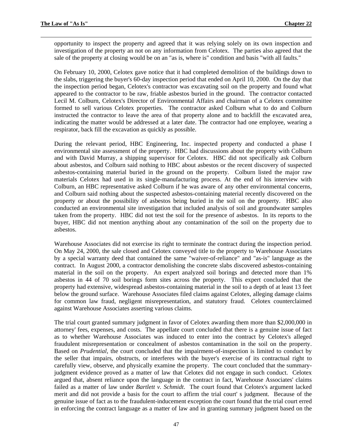opportunity to inspect the property and agreed that it was relying solely on its own inspection and investigation of the property an not on any information from Celotex. The parties also agreed that the sale of the property at closing would be on an "as is, where is" condition and basis "with all faults."

On February 10, 2000, Celotex gave notice that it had completed demolition of the buildings down to the slabs, triggering the buyer's 60-day inspection period that ended on April 10, 2000. On the day that the inspection period began, Celotex's contractor was excavating soil on the property and found what appeared to the contractor to be raw, friable asbestos buried in the ground. The contractor contacted Lecil M. Colburn, Celotex's Director of Environmental Affairs and chairman of a Celotex committee formed to sell various Celotex properties. The contractor asked Colburn what to do and Colburn instructed the contractor to leave the area of that property alone and to backfill the excavated area, indicating the matter would be addressed at a later date. The contractor had one employee, wearing a respirator, back fill the excavation as quickly as possible.

During the relevant period, HBC Engineering, Inc. inspected property and conducted a phase I environmental site assessment of the property. HBC had discussions about the property with Colburn and with David Murray, a shipping supervisor for Celotex. HBC did not specifically ask Colburn about asbestos, and Colburn said nothing to HBC about asbestos or the recent discovery of suspected asbestos-containing material buried in the ground on the property. Colburn listed the major raw materials Celotex had used in its single-manufacturing process. At the end of his interview with Colburn, an HBC representative asked Colburn if he was aware of any other environmental concerns, and Colburn said nothing about the suspected asbestos-containing material recently discovered on the property or about the possibility of asbestos being buried in the soil on the property. HBC also conducted an environmental site investigation that included analysis of soil and groundwater samples taken from the property. HBC did not test the soil for the presence of asbestos. In its reports to the buyer, HBC did not mention anything about any contamination of the soil on the property due to asbestos.

Warehouse Associates did not exercise its right to terminate the contract during the inspection period. On May 24, 2000, the sale closed and Celotex conveyed title to the property to Warehouse Associates by a special warranty deed that contained the same "waiver-of-reliance" and "as-is" language as the contract. In August 2000, a contractor demolishing the concrete slabs discovered asbestos-containing material in the soil on the property. An expert analyzed soil borings and detected more than 1% asbestos in 44 of 70 soil borings form sites across the property. This expert concluded that the property had extensive, widespread asbestos-containing material in the soil to a depth of at least 13 feet below the ground surface. Warehouse Associates filed claims against Celotex, alleging damage claims for common law fraud, negligent misrepresentation, and statutory fraud. Celotex counterclaimed against Warehouse Associates asserting various claims.

The trial court granted summary judgment in favor of Celotex awarding them more than \$2,000,000 in attorney' fees, expenses, and costs. The appellate court concluded that there is a genuine issue of fact as to whether Warehouse Associates was induced to enter into the contract by Celotex's alleged fraudulent misrepresentation or concealment of asbestos contamination in the soil on the property. Based on *Prudential*, the court concluded that the impairment-of-inspection is limited to conduct by the seller that impairs, obstructs, or interferes with the buyer's exercise of its contractual right to carefully view, observe, and physically examine the property. The court concluded that the summaryjudgment evidence proved as a matter of law that Celotex did not engage in such conduct. Celotex argued that, absent reliance upon the language in the contract in fact, Warehouse Associates' claims failed as a matter of law under *Bartlett v. Schmidt*. The court found that Celotex's argument lacked merit and did not provide a basis for the court to affirm the trial court' s judgment. Because of the genuine issue of fact as to the fraudulent-inducement exception the court found that the trial court erred in enforcing the contract language as a matter of law and in granting summary judgment based on the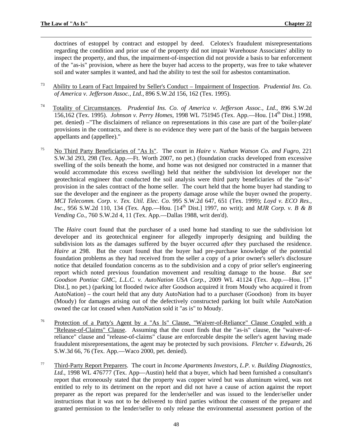doctrines of estoppel by contract and estoppel by deed. Celotex's fraudulent misrepresentations regarding the condition and prior use of the property did not impair Warehouse Associates' ability to inspect the property, and thus, the impairment-of-inspection did not provide a basis to bar enforcement of the "as-is" provision, where as here the buyer had access to the property, was free to take whatever soil and water samples it wanted, and had the ability to test the soil for asbestos contamination.

- 73 Ability to Learn of Fact Impaired by Seller's Conduct Impairment of Inspection. *Prudential Ins. Co. of America v. Jefferson Assoc., Ltd.*, 896 S.W.2d 156, 162 (Tex. 1995).
- 74 Totality of Circumstances. *Prudential Ins. Co. of America v. Jefferson Assoc., Ltd.*, 896 S.W.2d 156,162 (Tex. 1995). *Johnson v. Perry Homes*, 1998 WL 751945 (Tex. App.—Hou. [14th Dist.] 1998, pet. denied) –"The disclaimers of reliance on representations in this case are part of the 'boiler-plate' provisions in the contracts, and there is no evidence they were part of the basis of the bargain between appellants and (appellee)."
- 75 No Third Party Beneficiaries of "As Is". The court in *Haire v. Nathan Watson Co. and Fugro*, 221 S.W.3d 293, 298 (Tex. App.—Ft. Worth 2007, no pet.) (foundation cracks developed from excessive swelling of the soils beneath the home, and home was not designed nor constructed in a manner that would accommodate this excess swelling) held that neither the subdivision lot developer nor the geotechnical engineer that conducted the soil analysis were third party beneficiaries of the "as-is" provision in the sales contract of the home seller. The court held that the home buyer had standing to sue the developer and the engineer as the property damage arose while the buyer owned the property. *MCI Telecomm. Corp. v. Tex. Util. Elec. Co.* 995 S.W.2d 647, 651 (Tex. 1999); *Loyd v. ECO Res., Inc.*, 956 S.W.2d 110, 134 (Tex. App.—Hou. [14<sup>th</sup> Dist.] 1997, no writ); and *MJR Corp. v. B & B Vending Co.*, 760 S.W.2d 4, 11 (Tex. App.—Dallas 1988, writ den'd).

The *Haire* court found that the purchaser of a used home had standing to sue the subdivision lot developer and its geotechnical engineer for allegedly improperly designing and building the subdivision lots as the damages suffered by the buyer occurred *after* they purchased the residence. *Haire* at 298. But the court found that the buyer had pre-purchase knowledge of the potential foundation problems as they had received from the seller a copy of a prior owner's seller's disclosure notice that detailed foundation concerns as to the subdivision and a copy of prior seller's engineering report which noted previous foundation movement and resulting damage to the house. *But see* Goodson Pontiac GMC, L.L.C. v. AutoNation USA Corp., 2009 WL 41124 (Tex. App.-Hou. [1st] Dist.], no pet.) (parking lot flooded twice after Goodson acquired it from Moudy who acquired it from AutoNation) – the court held that any duty AutoNation had to a purchaser (Goodson) from its buyer (Moudy) for damages arising out of the defectively constructed parking lot built while AutoNation owned the car lot ceased when AutoNation sold it "as is" to Moudy.

- <sup>76</sup> Protection of a Party's Agent by a "As Is" Clause, "Waiver-of-Reliance" Clause Coupled with a "Release-of-Claims" Clause. Assuming that the court finds that the "as-is" clause, the "waiver-ofreliance" clause and "release-of-claims" clause are enforceable despite the seller's agent having made fraudulent misrepresentations, the agent may be protected by such provisions. *Fletcher v. Edwards*, 26 S.W.3d 66, 76 (Tex. App.—Waco 2000, pet. denied).
- <sup>77</sup> Third-Party Report Preparers. The court in *Income Apartments Investors, L.P. v. Building Diagnostics, Ltd.*, 1998 WL 476777 (Tex. App—Austin) held that a buyer, which had been furnished a consultant's report that erroneously stated that the property was copper wired but was aluminum wired, was not entitled to rely to its detriment on the report and did not have a cause of action against the report preparer as the report was prepared for the lender/seller and was issued to the lender/seller under instructions that it was not to be delivered to third parties without the consent of the preparer and granted permission to the lender/seller to only release the environmental assessment portion of the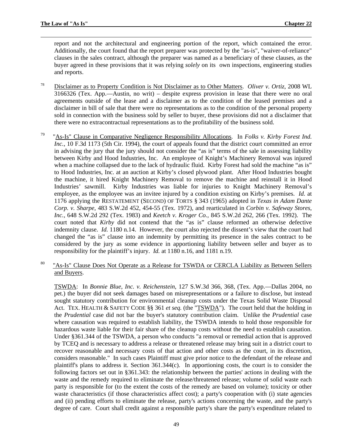report and not the architectural and engineering portion of the report, which contained the error. Additionally, the court found that the report preparer was protected by the "as-is", "waiver-of-reliance" clauses in the sales contract, although the preparer was named as a beneficiary of these clauses, as the buyer agreed in these provisions that it was relying *solely* on its own inspections, engineering studies and reports.

- <sup>78</sup> Disclaimer as to Property Condition is Not Disclaimer as to Other Matters. *Oliver v. Ortiz*, 2008 WL 3166326 (Tex. App.—Austin, no writ) – despite express provision in lease that there were no oral agreements outside of the lease and a disclaimer as to the condition of the leased premises and a disclaimer in bill of sale that there were no representations as to the condition of the personal property sold in connection with the business sold by seller to buyer, these provisions did not a disclaimer that there were no extracontractual representations as to the profitability of the business sold.
- 79 "As-Is" Clause in Comparative Negligence Responsibility Allocations. In *Folks v. Kirby Forest Ind. Inc.*, 10 F.3d 1173 (5th Cir. 1994), the court of appeals found that the district court committed an error in advising the jury that the jury should not consider the "as is" terms of the sale in assessing liability between Kirby and Hood Industries, Inc. An employee of Knight's Machinery Removal was injured when a machine collapsed due to the lack of hydraulic fluid. Kirby Forest had sold the machine "as is" to Hood Industries, Inc. at an auction at Kirby's closed plywood plant. After Hood Industries bought the machine, it hired Knight Machinery Removal to remove the machine and reinstall it in Hood Industries' sawmill. Kirby Industries was liable for injuries to Knight Machinery Removal's employee, as the employee was an invitee injured by a condition existing on Kirby's premises. *Id.* at 1176 applying the RESTATEMENT (SECOND) OF TORTS § 343 (1965) adopted in *Texas in Adam Dante Corp. v. Sharpe,* 483 S.W.2d 452, 454-55 (Tex. 1972), and rearticulated in *Corbin v. Safeway Stores, Inc.,* 648 S.W.2d 292 (Tex. 1983) and *Keetch v. Kroger Co.,* 845 S.W.2d 262, 266 (Tex. 1992). The court noted that *Kirby* did not contend that the "as is" clause reformed an otherwise defective indemnity clause. *Id.* 1180 n.14. However, the court also rejected the dissent's view that the court had changed the "as is" clause into an indemnity by permitting its presence in the sales contract to be considered by the jury as some evidence in apportioning liability between seller and buyer as to responsibility for the plaintiff's injury. *Id.* at 1180 n.16, and 1181 n.19.
- <sup>80</sup> "As-Is" Clause Does Not Operate as a Release for TSWDA or CERCLA Liability as Between Sellers and Buyers.

TSWDA: In *Bonnie Blue, Inc. v. Reichenstein*, 127 S.W.3d 366, 368, (Tex. App.—Dallas 2004, no pet.) the buyer did not seek damages based on misrepresentations or a failure to disclose, but instead sought statutory contribution for environmental cleanup costs under the Texas Solid Waste Disposal Act. TEX. HEALTH & SAFETY CODE §§ 361 *et seq.* (the "TSWDA"). The court held that the holding in the *Prudential* case did not bar the buyer's statutory contribution claim. Unlike the *Prudential* case where causation was required to establish liability, the TSWDA intends to hold those responsible for hazardous waste liable for their fair share of the cleanup costs without the need to establish causation. Under §361.344 of the TSWDA, a person who conducts "a removal or remedial action that is approved by TCEQ and is necessary to address a release or threatened release may bring suit in a district court to recover reasonable and necessary costs of that action and other costs as the court, in its discretion, considers reasonable." In such cases Plaintiff must give prior notice to the defendant of the release and plaintiff's plans to address it. Section 361.344(c). In apportioning costs, the court is to consider the following factors set out in §361.343: the relationship between the parties' actions in dealing with the waste and the remedy required to eliminate the release/threatened release; volume of solid waste each party is responsible for (to the extent the costs of the remedy are based on volume); toxicity or other waste characteristics (if those characteristics affect cost); a party's cooperation with (i) state agencies and (ii) pending efforts to eliminate the release, party's actions concerning the waste, and the party's degree of care. Court shall credit against a responsible party's share the party's expenditure related to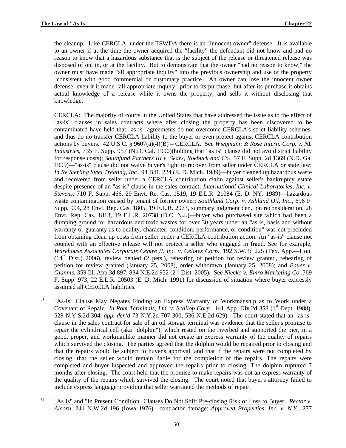the cleanup. Like CERCLA, under the TSWDA there is an "innocent owner" defense. It is available to an owner if at the time the owner acquired the "facility" the defendant did not know and had no reason to know that a hazardous substance that is the subject of the release or threatened release was disposed of on, in, or at the facility. But to demonstrate that the owner "had no reason to know," the owner must have made "all appropriate inquiry" into the previous ownership and use of the property "consistent with good commercial or customary practice. An owner can lose the innocent owner defense, even it it made "all appropriate inquiry" prior to its purchase, but after its purchase it obtains actual knowledge of a release while it owns the property, and sells it without disclosing that knowledge.

CERCLA: The majority of courts in the United States that have addressed the issue as to the effect of "as-is" clauses in sales contracts where after closing the property has been discovered to be contaminated have held that "as is" agreements do not overcome CERCLA's strict liability schemes, and thus do no transfer CERCLA liability to the buyer or even protect against CERCLA contribution actions by buyers. 42 U.S.C. § 9607(a)(4)(B) – CERCLA. See *Wiegmann & Rose Intern. Corp. v. NL Industries*, 735 F. Supp. 957 (N.D. Cal. 1990)(holding that "as is" clause did not avoid strict liability for response costs); *Southfund Partners III v. Sears, Roebuck and Co.*, 57 F. Supp. 2d 1369 (N.D. Ga. 1999)—"as-is" clause did not waive buyer's right to recover from seller under CERCLA or state law; *In Re Sterling Steel Treating, Inc.*, 94 B.R. 224 (E. D. Mich. 1989)—buyer cleaned up hazardous waste and recovered from seller under a CERCLA contribution claim against seller's bankruptcy estate despite presence of an "as is" clause in the sales contract; *International Clinical Laboratories, Inc. v. Stevens*, 710 F. Supp. 466, 29 Envt. Re. Cas. 1519, 19 E.L.R. 21084 (E. D. NY. 1989)—hazardous waste contamination caused by tenant of former owner; *Southland Corp. v. Ashland Oil, Inc.*, 696 F. Supp. 994, 28 Envt. Rep. Cas. 1805, 19 E.L.R. 2073, summary judgment den., on reconsideration, 28 Envt. Rep. Cas. 1813, 19 E.L.R. 20738 (D.C. N.J.)—buyer who purchased site which had been a dumping ground for hazardous and toxic wastes for over 30 years under an "as is, basis and without warranty or guaranty as to quality, character, condition, performance, or condition" was not precluded from obtaining clean up costs from seller under a CERCLA contribution action. An "as-is" clause not coupled with an effective release will not protect a seller who engaged in fraud. See for example, *Warehouse Associates Corporate Centre II, Inc. v. Celotex Corp.*, 192 S.W.3d 225 (Tex. App.—Hou.  $(14<sup>th</sup> Dist.)$  2006), review denied (2 pets.), rehearing of petition for review granted, rehearing of petition for review granted (January 25, 2008), order withdrawn (January 25, 2008); and *Bauer v. Giannis*, 359 Ill. App.3d 897, 834 N.E.2d 952 (2nd Dist. 2005). See *Niecko v. Emro Marketing Co.* 769 F. Supp. 973, 22 E.L.R. 20503 (E. D. Mich. 1991) for discussion of situation where buyer expressly assumed all CERCLA liabilities.

- <sup>81</sup> "As-Is" Clause May Negates Finding an Express Warranty of Workmanship as to Work under a Covenant of Repair. *In Rom Terminals, Ltd. v. Scallop Corp.*, 141 App. Div.2d 358 (1<sup>st</sup> Dept. 1988), 529 N.Y.S.2d 304, *app. den'd* 73 N.Y.2d 707 300, 536 N.E.2d 629). The court stated that an "as is" clause in the sales contract for sale of an oil storage terminal was evidence that the seller's promise to repair the cylindrical cell (aka "dolphin"), which rested on the riverbed and supported the pier, in a good, proper, and workmanlike manner did not create an express warranty of the quality of repairs which survived the closing. The parties agreed that the dolphin would be repaired prior to closing and that the repairs would be subject to buyer's approval, and that if the repairs were not completed by closing, that the seller would remain liable for the completion of the repairs. The repairs were completed and buyer inspected and approved the repairs prior to closing. The dolphin ruptured 7 months after closing. The court held that the promise to make repairs was not an express warranty of the quality of the repairs which survived the closing. The court noted that buyer's attorney failed to include express language providing that seller warranted the methods of repair.
- <sup>82</sup> "As Is" and "In Present Condition" Clauses Do Not Shift Pre-closing Risk of Loss to Buyer. *Rector v. Alcorn*, 241 N.W.2d 196 (Iowa 1976)—contractor damage; *Approved Properties, Inc. v. N.Y.*, 277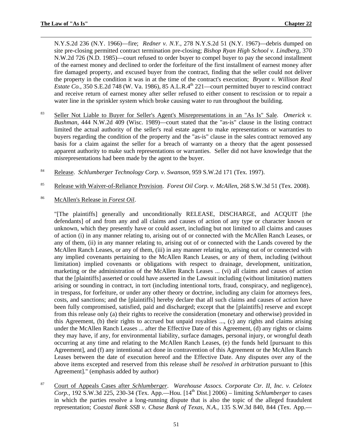N.Y.S.2d 236 (N.Y. 1966)—fire; *Redner v. N.Y.*, 278 N.Y.S.2d 51 (N.Y. 1967)—debris dumped on site pre-closing permitted contract termination pre-closing; *Bishop Ryan High School v. Lindberg*, 370 N.W.2d 726 (N.D. 1985)—court refused to order buyer to compel buyer to pay the second installment of the earnest money and declined to order the forfeiture of the first installment of earnest money after fire damaged property, and excused buyer from the contract, finding that the seller could not deliver the property in the condition it was in at the time of the contract's execution; *Bryant v. Willison Real Estate Co.*, 350 S.E.2d 748 (W. Va. 1986), 85 A.L.R.4<sup>th</sup> 221—court permitted buyer to rescind contract and receive return of earnest money after seller refused to either consent to rescission or to repair a water line in the sprinkler system which broke causing water to run throughout the building.

- <sup>83</sup> Seller Not Liable to Buyer for Seller's Agent's Misrepresentations in an "As Is" Sale. *Omerick v. Bushman*, 444 N.W.2d 409 (Wisc. 1989)—court stated that the "as-is" clause in the listing contract limited the actual authority of the seller's real estate agent to make representations or warranties to buyers regarding the condition of the property and the "as-is" clause in the sales contract removed any basis for a claim against the seller for a breach of warranty on a theory that the agent possessed apparent authority to make such representations or warranties. Seller did not have knowledge that the misrepresentations had been made by the agent to the buyer.
- 84 Release. *Schlumberger Technology Corp. v. Swanson*, 959 S.W.2d 171 (Tex. 1997).
- 85 Release with Waiver-of-Reliance Provision. *Forest Oil Corp. v. McAllen*, 268 S.W.3d 51 (Tex. 2008).
- <sup>86</sup> McAllen's Release in *Forest Oil*.

"[The plaintiffs] generally and unconditionally RELEASE, DISCHARGE, and ACQUIT [the defendants] of and from any and all claims and causes of action of any type or character known or unknown, which they presently have or could assert, including but not limited to all claims and causes of action (i) in any manner relating to, arising out of or connected with the McAllen Ranch Leases, or any of them, (ii) in any manner relating to, arising out of or connected with the Lands covered by the McAllen Ranch Leases, or any of them, (iii) in any manner relating to, arising out of or connected with any implied covenants pertaining to the McAllen Ranch Leases, or any of them, including (without limitation) implied covenants or obligations with respect to drainage, development, unitization, marketing or the administration of the McAllen Ranch Leases ... (vi) all claims and causes of action that the [plaintiffs] asserted or could have asserted in the Lawsuit including (without limitation) matters arising or sounding in contract, in tort (including intentional torts, fraud, conspiracy, and negligence), in trespass, for forfeiture, or under any other theory or doctrine, including any claim for attorneys fees, costs, and sanctions; and the [plaintiffs] hereby declare that all such claims and causes of action have been fully compromised, satisfied, paid and discharged; except that the [plaintiffs] reserve and except from this release only (a) their rights to receive the consideration (monetary and otherwise) provided in this Agreement, (b) their rights to accrued but unpaid royalties ..., (c) any rights and claims arising under the McAllen Ranch Leases ... after the Effective Date of this Agreement, (d) any rights or claims they may have, if any, for environmental liability, surface damages, personal injury, or wrongful death occurring at any time and relating to the McAllen Ranch Leases, (e) the funds held [pursuant to this Agreement], and (f) any intentional act done in contravention of this Agreement or the McAllen Ranch Leases between the date of execution hereof and the Effective Date. Any disputes over any of the above items excepted and reserved from this release *shall be resolved in arbitration* pursuant to [this Agreement]." (emphasis added by author)

<sup>87</sup> Court of Appeals Cases after *Schlumberger*. *Warehouse Assocs. Corporate Ctr. II, Inc. v. Celotex*  Corp., 192 S.W.3d 225, 230-34 (Tex. App.—Hou. [14<sup>th</sup> Dist.] 2006) – limiting *Schlumberger* to cases in which the parties resolve a long-running dispute that is also the topic of the alleged fraudulent representation; *Coastal Bank SSB v. Chase Bank of Texas, N.A.*, 135 S.W.3d 840, 844 (Tex. App.—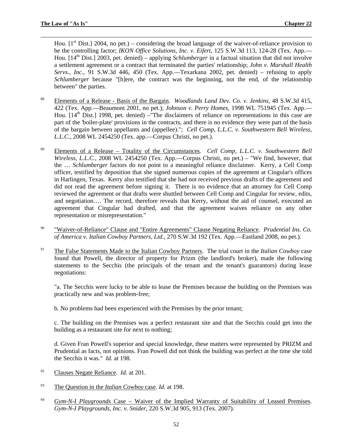Hou.  $[1<sup>st</sup> Dist.]$  2004, no pet.) – considering the broad language of the waiver-of-reliance provision to be the controlling factor; *IKON Office Solutions, Inc. v. Eifert*, 125 S.W.3d 113, 124-28 (Tex. App.— Hou. [14th Dist.] 2003, pet. denied) – applying *Schlumberger* in a factual situation that did not involve a settlement agreement or a contract that terminated the parties' relationship; *John v. Marshall Health Servs., Inc.*, 91 S.W.3d 446, 450 (Tex. App.—Texarkana 2002, pet. denied) – refusing to apply *Schlumberger* because "[h]ere, the contract was the beginning, not the end, of the relationship between" the parties.

- <sup>88</sup> Elements of a Release Basis of the Bargain. *Woodlands Land Dev. Co. v. Jenkins*, 48 S.W.3d 415, 422 (Tex. App.—Beaumont 2001, no pet.); *Johnson v. Perry Homes*, 1998 WL 751945 (Tex. App.— Hou. [14<sup>th</sup> Dist.] 1998, pet. denied) – The disclaimers of reliance on representations in this case are part of the 'boiler-plate' provisions in the contracts, and there is no evidence they were part of the basis of the bargain between appellants and (appellee)."; *Cell Comp, L.L.C. v. Southwestern Bell Wireless, L.L.C.*, 2008 WL 2454250 (Tex. app.—Corpus Christi, no pet.).
- <sup>89</sup> Elements of a Release Totality of the Circumstances. *Cell Comp, L.L.C. v. Southwestern Bell Wireless, L.L.C.*, 2008 WL 2454250 (Tex. App.—Corpus Christi, no pet.) – "We find, however, that the … *Schlumberger* factors do not point to a meaningful reliance disclaimer. Kerry, a Cell Comp officer, testified by deposition that she signed numerous copies of the agreement at Cingular's offices in Harlingen, Texas. Kerry also testified that she had not received previous drafts of the agreement and did not read the agreement before signing it. There is no evidence that an attorney for Cell Comp reviewed the agreement or that drafts were shuttled between Cell Comp and Cingular for review, edits, and negotiation…. The record, therefore reveals that Kerry, without the aid of counsel, executed an agreement that Cingular had drafted, and that the agreement waives reliance on any other representation or misrepresentation."
- <sup>90</sup> "Waiver-of-Reliance" Clause and "Entire Agreements" Clause Negating Reliance. *Prudential Ins. Co. of America v. Italian Cowboy Partners, Ltd.*, 270 S.W.3d 192 (Tex. App.—Eastland 2008, no pet.).
- <sup>91</sup> The False Statements Made to the Italian Cowboy Partners. The trial court in the *Italian Cowboy* case found that Powell, the director of property for Prizm (the landlord's broker), made the following statements to the Secchis (the principals of the tenant and the tenant's guarantors) during lease negotiations:

"a. The Secchis were lucky to be able to lease the Premises because the building on the Premises was practically new and was problem-free;

b. No problems had been experienced with the Premises by the prior tenant;

c. The building on the Premises was a perfect restaurant site and that the Secchis could get into the building as a restaurant site for next to nothing;

d. Given Fran Powell's superior and special knowledge, these matters were represented by PRIZM and Prudential as facts, not opinions. Fran Powell did not think the building was perfect at the time she told the Secchis it was." *Id.* at 198.

- 92 Clauses Negate Reliance. *Id.* at 201.
- <sup>93</sup> The Question in the *Italian Cowboy* case. *Id.* at 198.
- <sup>94</sup> *Gym-N-I Playgrounds* Case Waiver of the Implied Warranty of Suitability of Leased Premises. *Gym-N-I Playgrounds, Inc. v. Snider*, 220 S.W.3d 905, 913 (Tex. 2007).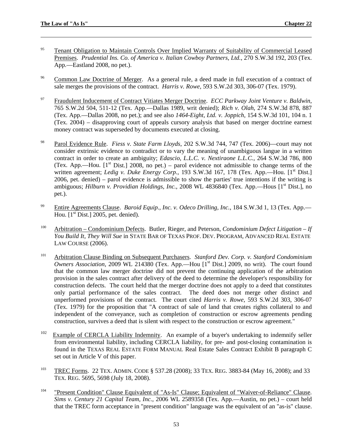- <sup>95</sup> Tenant Obligation to Maintain Controls Over Implied Warranty of Suitability of Commercial Leased Premises. *Prudential Ins. Co. of America v. Italian Cowboy Partners, Ltd.*, 270 S.W.3d 192, 203 (Tex. App.—Eastland 2008, no pet.).
- <sup>96</sup> Common Law Doctrine of Merger. As a general rule, a deed made in full execution of a contract of sale merges the provisions of the contract. *Harris v. Rowe,* 593 S.W.2d 303, 306-07 (Tex. 1979).
- 97 Fraudulent Inducement of Contract Vitiates Merger Doctrine. *ECC Parkway Joint Venture v. Baldwin*, 765 S.W.2d 504, 511-12 (Tex. App.—Dallas 1989, writ denied); *Rich v. Olah*, 274 S.W.3d 878, 887 (Tex. App.—Dallas 2008, no pet.); and see also *1464-Eight, Ltd. v. Joppich*, 154 S.W.3d 101, 104 n. 1 (Tex. 2004) – disapproving court of appeals cursory analysis that based on merger doctrine earnest money contract was superseded by documents executed at closing.
- <sup>98</sup> Parol Evidence Rule. *Fiess v. State Farm Lloyds*, 202 S.W.3d 744, 747 (Tex. 2006)—court may not consider extrinsic evidence to contradict or to vary the meaning of unambiguous langue in a written contract in order to create an ambiguity; *Edascio, L.L.C. v. Nextiraone L.L.C.*, 264 S.W.3d 786, 800 (Tex. App.—Hou.  $[1<sup>st</sup> Dist.]$  2008, no pet.) – parol evidence not admissible to change terms of the written agreement; *Ledig v. Duke Energy Corp.*, 193 S.W.3d 167, 178 (Tex. App.—Hou. [1<sup>st</sup> Dist.] 2006, pet. denied) – parol evidence is admissible to show the parties' true intentions if the writing is ambiguous; *Hilburn v. Providian Holdings, Inc.*, 2008 WL 4836840 (Tex. App.—Hous [1<sup>st</sup> Dist.], no pet.).
- 99 Entire Agreements Clause. *Baroid Equip., Inc. v. Odeco Drilling, Inc.*, 184 S.W.3d 1, 13 (Tex. App.— Hou.  $[1<sup>st</sup> Dist.]$  2005, pet. denied).
- 100 Arbitration Condominium Defects. Butler, Rieger, and Peterson, *Condominium Defect Litigation If You Build It, They Will Sue* in STATE BAR OF TEXAS PROF. DEV. PROGRAM, ADVANCED REAL ESTATE LAW COURSE (2006).
- 101 Arbitration Clause Binding on Subsequent Purchasers. *Stanford Dev. Corp. v. Stanford Condominium Owners Association*, 2009 WL 214380 (Tex. App.—Hou [1<sup>st</sup> Dist.] 2009, no writ). The court found that the common law merger doctrine did not prevent the continuing application of the arbitration provision in the sales contract after delivery of the deed to determine the developer's responsibility for construction defects. The court held that the merger doctrine does not apply to a deed that constitutes only partial performance of the sales contract. The deed does not merge other distinct and unperformed provisions of the contract. The court cited *Harris v. Rowe,* 593 S.W.2d 303, 306-07 (Tex. 1979) for the proposition that "A contract of sale of land that creates rights collateral to and independent of the conveyance, such as completion of construction or escrow agreements pending construction, survives a deed that is silent with respect to the construction or escrow agreement."
- Example of CERCLA Liability Indemnity. An example of a buyer's undertaking to indemnify seller from environmental liability, including CERCLA liability, for pre- and post-closing contamination is found in the TEXAS REAL ESTATE FORM MANUAL Real Estate Sales Contract Exhibit B paragraph C set out in Article V of this paper.
- <sup>103</sup> TREC Forms. 22 TEX. ADMIN. CODE § 537.28 (2008); 33 TEX. REG. 3883-84 (May 16, 2008); and 33 TEX. REG. 5695, 5698 (July 18, 2008).
- <sup>104</sup> "Present Condition" Clause Equivalent of "As-Is" Clause; Equivalent of "Waiver-of-Reliance" Clause. *Sims v. Century 21 Capital Team, Inc.*, 2006 WL 2589358 (Tex. App.—Austin, no pet.) – court held that the TREC form acceptance in "present condition" language was the equivalent of an "as-is" clause.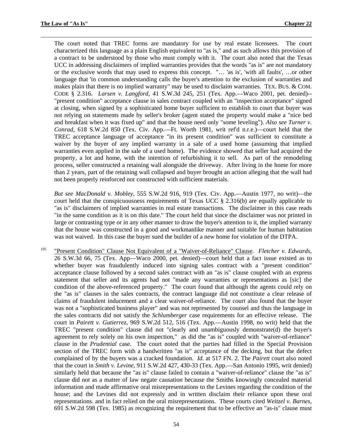The court noted that TREC forms are mandatory for use by real estate licensees. The court characterized this language as a plain English equivalent to "as is," and as such allows this provision of a contract to be understood by those who must comply with it. The court also noted that the Texas UCC in addressing disclaimers of implied warranties provides that the words "as is" are not mandatory or the exclusive words that may used to express this concept. "… 'as is', 'with all faults', …or other language that 'in common understanding calls the buyer's attention to the exclusion of warranties and makes plain that there is no implied warranty" may be used to disclaim warranties. TEX. BUS. & COM. CODE § 2.316. *Larsen v. Langford*, 41 S.W.3d 245, 251 (Tex. App.—Waco 2001, pet. denied)-- "present condition" acceptance clause in sales contract coupled with an "inspection acceptance" signed at closing, when signed by a sophisticated home buyer sufficient to establish to court that buyer was not relying on statements made by seller's broker (agent stated the property would make a "nice bed and breakfast when it was fixed up" and that the house need only "some leveling"). *Also see Turner v. Conrad*, 618 S.W.2d 850 (Tex. Civ. App.—Ft. Worth 1981, writ ref'd n.r.e.)—court held that the TREC acceptance language of acceptance "in its present condition" was sufficient to constitute a waiver by the buyer of any implied warranty in a sale of a used home (assuming that implied warranties even applied in the sale of a used home). The evidence showed that seller had acquired the property, a lot and home, with the intention of refurbishing it to sell. As part of the remodeling process, seller constructed a retaining wall alongside the driveway. After living in the home for more than 2 years, part of the retaining wall collapsed and buyer brought an action alleging that the wall had not been properly reinforced nor constructed with sufficient materials.

*But see MacDonald v. Mobley*, 555 S.W.2d 916, 919 (Tex. Civ. App.—Austin 1977, no writ)—the court held that the conspicuousness requirements of Texas UCC § 2.316(b) are equally applicable to "as is" disclaimers of implied warranties in real estate transactions. The disclaimer in this case reads "in the same condition as it is on this date." The court held that since the disclaimer was not printed in large or contrasting type or in any other manner to draw the buyer's attention to it, the implied warranty that the house was constructed in a good and workmanlike manner and suitable for human habitation was not waived. In this case the buyer sued the builder of a new home for violation of the DTPA.

<sup>105</sup> "Present Condition" Clause Not Equivalent of a "Waiver-of-Reliance" Clause. *Fletcher v. Edwards*, 26 S.W.3d 66, 75 (Tex. App—Waco 2000, pet. denied)—court held that a fact issue existed as to whether buyer was fraudulently induced into signing sales contract with a "present condition" acceptance clause followed by a second sales contract with an "as is" clause coupled with an express statement that seller and its agents had not "made any warranties or representations as [sic] the condition of the above-referenced property." The court found that although the agents could rely on the "as is" clauses in the sales contracts, the contract language did not constitute a clear release of claims of fraudulent inducement and a clear waiver-of-reliance. The court also found that the buyer was not a "sophisticated business player" and was not represented by counsel and thus the language in the sales contracts did not satisfy the *Schlumberger* case requirements for an effective release. The court in *Pairett v. Gutierrez*, 969 S.W.2d 512, 516 (Tex. App.—Austin 1998, no writ) held that the TREC "present condition" clause did not "clearly and unambiguously demonstrate(d) the buyer's agreement to rely solely on his own inspection," as did the "as is" coupled with "waiver-of-reliance" clause in the *Prudential* case. The court noted that the parties had filled in the Special Provision section of the TREC form with a handwritten "as is" acceptance of the decking, but that the defect complained of by the buyers was a cracked foundation. *Id.* at 517 FN. 2. The *Pairett* court also noted that the court in *Smith v. Levine*, 911 S.W.2d 427, 430-33 (Tex. App.—San Antonio 1995, writ denied) similarly held that because the "as is" clause failed to contain a "waiver-of-reliance" clause the "as is" clause did not as a matter of law negate causation because the Smiths knowingly concealed material information and made affirmative oral misrepresentations to the Levines regarding the condition of the house; and the Levines did not expressly and in written disclaim their reliance upon these oral representations. and in fact relied on the oral misrepresentations. These courts cited *Weitzel v. Barnes*, 691 S.W.2d 598 (Tex. 1985) as recognizing the requirement that to be effective an "as-is" clause must